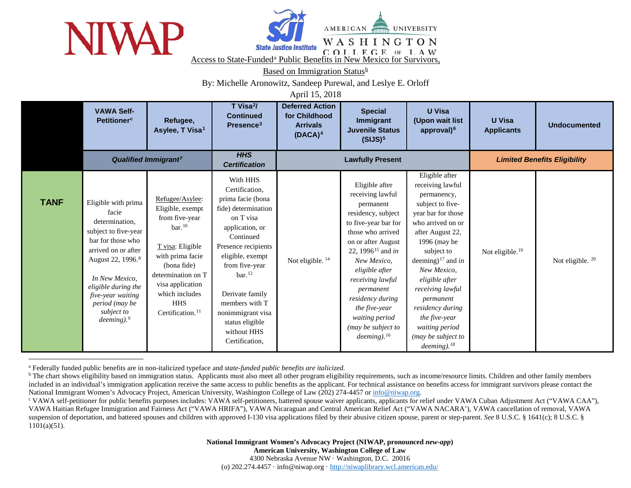



<span id="page-0-2"></span><span id="page-0-1"></span><span id="page-0-0"></span>AMERICAN **UNIVERSITY** WASHINGTON

**EXECUTE INSTITUTE:** COLLEGE OF LAW Access to St[a](#page-0-0)te-Funded<sup>a</sup> Public Benefits in New Mexico for Survivors,

Based on Immigration Status<sup>[b](#page-0-1)</sup>

By: Michelle Aronowitz, Sandeep Purewal, and Leslye E. Orloff

April 15, 2018

|             | <b>VAWA Self-</b><br><b>Petitioner<sup>c</sup></b>                                                                                                                                                                                                                         | Refugee,<br>Asylee, T Visa <sup>1</sup>                                                                                                                                                                                                        | T Visa <sup>2</sup> /<br><b>Continued</b><br>Presence <sup>3</sup>                                                                                                                                                                                                                                                     | <b>Deferred Action</b><br>for Childhood<br><b>Arrivals</b><br>$(DACA)^4$ | <b>Special</b><br>Immigrant<br><b>Juvenile Status</b><br>(SIJS) <sup>5</sup>                                                                                                                                                                                                                                                                                 | <b>U</b> Visa<br>(Upon wait list<br>approval) <sup>6</sup>                                                                                                                                                                                                                                                                                                                               | <b>U</b> Visa<br><b>Applicants</b>  | <b>Undocumented</b>         |  |
|-------------|----------------------------------------------------------------------------------------------------------------------------------------------------------------------------------------------------------------------------------------------------------------------------|------------------------------------------------------------------------------------------------------------------------------------------------------------------------------------------------------------------------------------------------|------------------------------------------------------------------------------------------------------------------------------------------------------------------------------------------------------------------------------------------------------------------------------------------------------------------------|--------------------------------------------------------------------------|--------------------------------------------------------------------------------------------------------------------------------------------------------------------------------------------------------------------------------------------------------------------------------------------------------------------------------------------------------------|------------------------------------------------------------------------------------------------------------------------------------------------------------------------------------------------------------------------------------------------------------------------------------------------------------------------------------------------------------------------------------------|-------------------------------------|-----------------------------|--|
|             | Qualified Immigrant <sup>7</sup>                                                                                                                                                                                                                                           |                                                                                                                                                                                                                                                | <b>HHS</b><br><b>Certification</b>                                                                                                                                                                                                                                                                                     | <b>Lawfully Present</b>                                                  |                                                                                                                                                                                                                                                                                                                                                              |                                                                                                                                                                                                                                                                                                                                                                                          | <b>Limited Benefits Eligibility</b> |                             |  |
| <b>TANF</b> | Eligible with prima<br>facie<br>determination.<br>subject to five-year<br>bar for those who<br>arrived on or after<br>August 22, 1996. <sup>8</sup><br>In New Mexico,<br>eligible during the<br>five-year waiting<br>period (may be<br>subject to<br>deeming. <sup>9</sup> | Refugee/Asylee:<br>Eligible, exempt<br>from five-year<br>$bar.$ <sup>10</sup><br>T visa: Eligible<br>with prima facie<br>(bona fide)<br>determination on T<br>visa application<br>which includes<br><b>HHS</b><br>Certification. <sup>11</sup> | With HHS<br>Certification,<br>prima facie (bona<br>fide) determination<br>on T visa<br>application, or<br>Continued<br>Presence recipients<br>eligible, exempt<br>from five-year<br>$bar.$ <sup>12</sup><br>Derivate family<br>members with T<br>nonimmigrant visa<br>status eligible<br>without HHS<br>Certification, | Not eligible. <sup>14</sup>                                              | Eligible after<br>receiving lawful<br>permanent<br>residency, subject<br>to five-year bar for<br>those who arrived<br>on or after August<br>22, 1996 <sup>15</sup> and <i>in</i><br>New Mexico,<br>eligible after<br>receiving lawful<br>permanent<br>residency during<br>the five-year<br>waiting period<br>(may be subject to<br>$deeming$ . <sup>16</sup> | Eligible after<br>receiving lawful<br>permanency,<br>subject to five-<br>year bar for those<br>who arrived on or<br>after August 22,<br>$1996$ (may be<br>subject to<br>deeming) <sup>17</sup> and <i>in</i><br>New Mexico,<br>eligible after<br>receiving lawful<br>permanent<br>residency during<br>the five-year<br>waiting period<br>(may be subject to<br>$deeming$ . <sup>18</sup> | Not eligible. <sup>19</sup>         | Not eligible. <sup>20</sup> |  |

a Federally funded public benefits are in non-italicized typeface and *state-funded public benefits are italicized.* 

<sup>b</sup> The chart shows eligibility based on immigration status. Applicants must also meet all other program eligibility requirements, such as income/resource limits. Children and other family members included in an individual's immigration application receive the same access to public benefits as the applicant. For technical assistance on benefits access for immigrant survivors please contact the National Immigrant Women's Advocacy Project, American University, Washington College of Law (202) 274-4457 or [info@niwap.org.](mailto:info@niwap.org)<br>
COMA Self-petitioner for public benefits purposes includes: VAWA self-petitioners, battered spo

VAWA Haitian Refugee Immigration and Fairness Act ("VAWA HRIFA"), VAWA Nicaraguan and Central American Relief Act ("VAWA NACARA'), VAWA cancellation of removal, VAWA suspension of deportation, and battered spouses and children with approved I-130 visa applications filed by their abusive citizen spouse, parent or step-parent. *See* 8 U.S.C. § 1641(c); 8 U.S.C. § 1101(a)(51).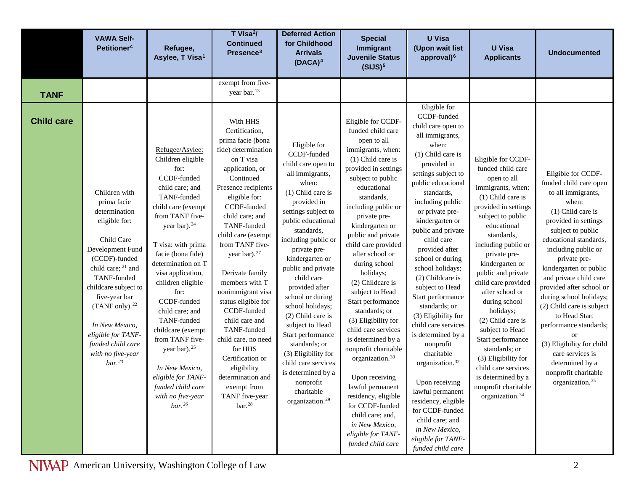|                   | <b>VAWA Self-</b><br><b>Petitioner<sup>c</sup></b>                                                                                                                                                                                                                                                                                                 | Refugee,<br>Asylee, T Visa <sup>1</sup>                                                                                                                                                                                                                                                                                                                                                                                                                                                                     | T Visa <sup>2</sup> /<br><b>Continued</b><br>Presence <sup>3</sup>                                                                                                                                                                                                                                                                                                                                                                                                                                                                                                    | <b>Deferred Action</b><br>for Childhood<br><b>Arrivals</b><br>$(DACA)^4$                                                                                                                                                                                                                                                                                                                                                                                                                                                                         | <b>Special</b><br>Immigrant<br><b>Juvenile Status</b><br>(SIJS) <sup>5</sup>                                                                                                                                                                                                                                                                                                                                                                                                                                                                                                                                                                                                                                | <b>U</b> Visa<br>(Upon wait list<br>approval) <sup>6</sup>                                                                                                                                                                                                                                                                                                                                                                                                                                                                                                                                                                                                                                                      | <b>U</b> Visa<br><b>Applicants</b>                                                                                                                                                                                                                                                                                                                                                                                                                                                                                                          | <b>Undocumented</b>                                                                                                                                                                                                                                                                                                                                                                                                                                                                                                                       |
|-------------------|----------------------------------------------------------------------------------------------------------------------------------------------------------------------------------------------------------------------------------------------------------------------------------------------------------------------------------------------------|-------------------------------------------------------------------------------------------------------------------------------------------------------------------------------------------------------------------------------------------------------------------------------------------------------------------------------------------------------------------------------------------------------------------------------------------------------------------------------------------------------------|-----------------------------------------------------------------------------------------------------------------------------------------------------------------------------------------------------------------------------------------------------------------------------------------------------------------------------------------------------------------------------------------------------------------------------------------------------------------------------------------------------------------------------------------------------------------------|--------------------------------------------------------------------------------------------------------------------------------------------------------------------------------------------------------------------------------------------------------------------------------------------------------------------------------------------------------------------------------------------------------------------------------------------------------------------------------------------------------------------------------------------------|-------------------------------------------------------------------------------------------------------------------------------------------------------------------------------------------------------------------------------------------------------------------------------------------------------------------------------------------------------------------------------------------------------------------------------------------------------------------------------------------------------------------------------------------------------------------------------------------------------------------------------------------------------------------------------------------------------------|-----------------------------------------------------------------------------------------------------------------------------------------------------------------------------------------------------------------------------------------------------------------------------------------------------------------------------------------------------------------------------------------------------------------------------------------------------------------------------------------------------------------------------------------------------------------------------------------------------------------------------------------------------------------------------------------------------------------|---------------------------------------------------------------------------------------------------------------------------------------------------------------------------------------------------------------------------------------------------------------------------------------------------------------------------------------------------------------------------------------------------------------------------------------------------------------------------------------------------------------------------------------------|-------------------------------------------------------------------------------------------------------------------------------------------------------------------------------------------------------------------------------------------------------------------------------------------------------------------------------------------------------------------------------------------------------------------------------------------------------------------------------------------------------------------------------------------|
| <b>TANF</b>       |                                                                                                                                                                                                                                                                                                                                                    |                                                                                                                                                                                                                                                                                                                                                                                                                                                                                                             | exempt from five-<br>year bar. <sup>13</sup>                                                                                                                                                                                                                                                                                                                                                                                                                                                                                                                          |                                                                                                                                                                                                                                                                                                                                                                                                                                                                                                                                                  |                                                                                                                                                                                                                                                                                                                                                                                                                                                                                                                                                                                                                                                                                                             |                                                                                                                                                                                                                                                                                                                                                                                                                                                                                                                                                                                                                                                                                                                 |                                                                                                                                                                                                                                                                                                                                                                                                                                                                                                                                             |                                                                                                                                                                                                                                                                                                                                                                                                                                                                                                                                           |
| <b>Child care</b> | Children with<br>prima facie<br>determination<br>eligible for:<br>Child Care<br>Development Fund<br>(CCDF)-funded<br>child care; <sup>21</sup> and<br>TANF-funded<br>childcare subject to<br>five-year bar<br>(TANF only). <sup>22</sup><br>In New Mexico,<br>eligible for TANF-<br>funded child care<br>with no five-year<br>$bar.$ <sup>23</sup> | Refugee/Asylee:<br>Children eligible<br>for:<br>CCDF-funded<br>child care; and<br>TANF-funded<br>child care (exempt<br>from TANF five-<br>year bar). <sup>24</sup><br>T visa: with prima<br>facie (bona fide)<br>determination on T<br>visa application,<br>children eligible<br>for:<br>CCDF-funded<br>child care; and<br>TANF-funded<br>childcare (exempt<br>from TANF five-<br>year bar). <sup>25</sup><br>In New Mexico,<br>eligible for TANF-<br>funded child care<br>with no five-year<br>$bar.^{26}$ | With HHS<br>Certification,<br>prima facie (bona<br>fide) determination<br>on T visa<br>application, or<br>Continued<br>Presence recipients<br>eligible for:<br>CCDF-funded<br>child care; and<br>TANF-funded<br>child care (exempt<br>from TANF five-<br>year bar). <sup>27</sup><br>Derivate family<br>members with T<br>nonimmigrant visa<br>status eligible for<br>CCDF-funded<br>child care and<br>TANF-funded<br>child care, no need<br>for HHS<br>Certification or<br>eligibility<br>determination and<br>exempt from<br>TANF five-year<br>$bar.$ <sup>28</sup> | Eligible for<br>CCDF-funded<br>child care open to<br>all immigrants,<br>when:<br>(1) Child care is<br>provided in<br>settings subject to<br>public educational<br>standards,<br>including public or<br>private pre-<br>kindergarten or<br>public and private<br>child care<br>provided after<br>school or during<br>school holidays;<br>(2) Child care is<br>subject to Head<br>Start performance<br>standards; or<br>(3) Eligibility for<br>child care services<br>is determined by a<br>nonprofit<br>charitable<br>organization. <sup>29</sup> | Eligible for CCDF-<br>funded child care<br>open to all<br>immigrants, when:<br>(1) Child care is<br>provided in settings<br>subject to public<br>educational<br>standards,<br>including public or<br>private pre-<br>kindergarten or<br>public and private<br>child care provided<br>after school or<br>during school<br>holidays;<br>(2) Childcare is<br>subject to Head<br>Start performance<br>standards; or<br>(3) Eligibility for<br>child care services<br>is determined by a<br>nonprofit charitable<br>organization. <sup>30</sup><br>Upon receiving<br>lawful permanent<br>residency, eligible<br>for CCDF-funded<br>child care; and,<br>in New Mexico,<br>eligible for TANF-<br>funded child care | Eligible for<br>CCDF-funded<br>child care open to<br>all immigrants,<br>when:<br>(1) Child care is<br>provided in<br>settings subject to<br>public educational<br>standards,<br>including public<br>or private pre-<br>kindergarten or<br>public and private<br>child care<br>provided after<br>school or during<br>school holidays;<br>(2) Childcare is<br>subject to Head<br>Start performance<br>standards; or<br>(3) Eligibility for<br>child care services<br>is determined by a<br>nonprofit<br>charitable<br>organization. <sup>32</sup><br>Upon receiving<br>lawful permanent<br>residency, eligible<br>for CCDF-funded<br>child care; and<br>in New Mexico,<br>eligible for TANF-<br>funded child care | Eligible for CCDF-<br>funded child care<br>open to all<br>immigrants, when:<br>(1) Child care is<br>provided in settings<br>subject to public<br>educational<br>standards,<br>including public or<br>private pre-<br>kindergarten or<br>public and private<br>child care provided<br>after school or<br>during school<br>holidays;<br>(2) Child care is<br>subject to Head<br>Start performance<br>standards; or<br>(3) Eligibility for<br>child care services<br>is determined by a<br>nonprofit charitable<br>organization. <sup>34</sup> | Eligible for CCDF-<br>funded child care open<br>to all immigrants,<br>when:<br>(1) Child care is<br>provided in settings<br>subject to public<br>educational standards,<br>including public or<br>private pre-<br>kindergarten or public<br>and private child care<br>provided after school or<br>during school holidays;<br>(2) Child care is subject<br>to Head Start<br>performance standards;<br><b>or</b><br>(3) Eligibility for child<br>care services is<br>determined by a<br>nonprofit charitable<br>organization. <sup>35</sup> |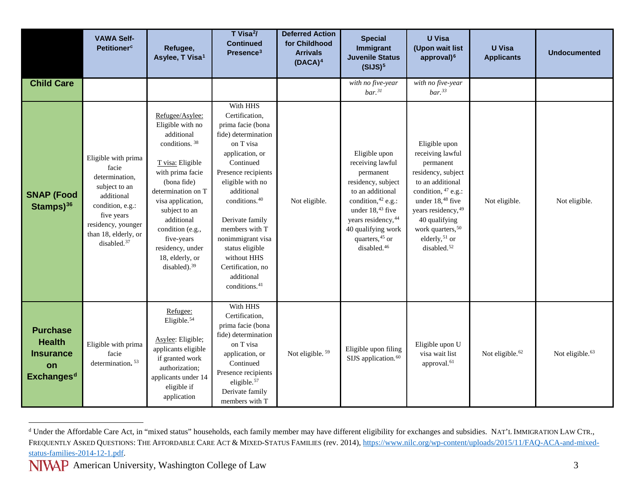<span id="page-2-0"></span>

|                                                                                 | <b>VAWA Self-</b><br><b>Petitioner<sup>c</sup></b>                                                                                                                                       | Refugee,<br>Asylee, T Visa <sup>1</sup>                                                                                                                                                                                                                                                                              | T Visa <sup>2</sup> /<br><b>Continued</b><br>Presence <sup>3</sup>                                                                                                                                                                                                                                                                                                    | <b>Deferred Action</b><br>for Childhood<br><b>Arrivals</b><br>$(DACA)^4$ | <b>Special</b><br>Immigrant<br><b>Juvenile Status</b><br>(SIJS) <sup>5</sup>                                                                                                                                                     | <b>U</b> Visa<br>(Upon wait list<br>approval) <sup>6</sup>                                                                                                                                                                                                             | <b>U</b> Visa<br><b>Applicants</b> | <b>Undocumented</b>         |
|---------------------------------------------------------------------------------|------------------------------------------------------------------------------------------------------------------------------------------------------------------------------------------|----------------------------------------------------------------------------------------------------------------------------------------------------------------------------------------------------------------------------------------------------------------------------------------------------------------------|-----------------------------------------------------------------------------------------------------------------------------------------------------------------------------------------------------------------------------------------------------------------------------------------------------------------------------------------------------------------------|--------------------------------------------------------------------------|----------------------------------------------------------------------------------------------------------------------------------------------------------------------------------------------------------------------------------|------------------------------------------------------------------------------------------------------------------------------------------------------------------------------------------------------------------------------------------------------------------------|------------------------------------|-----------------------------|
| <b>Child Care</b>                                                               |                                                                                                                                                                                          |                                                                                                                                                                                                                                                                                                                      |                                                                                                                                                                                                                                                                                                                                                                       |                                                                          | with no five-year<br>$bar.^{31}$                                                                                                                                                                                                 | with no five-year<br>$bar.$ <sup>33</sup>                                                                                                                                                                                                                              |                                    |                             |
| <b>SNAP (Food</b><br>Stamps $)^{36}$                                            | Eligible with prima<br>facie<br>determination,<br>subject to an<br>additional<br>condition, e.g.:<br>five years<br>residency, younger<br>than 18, elderly, or<br>disabled. <sup>37</sup> | Refugee/Asylee:<br>Eligible with no<br>additional<br>conditions. <sup>38</sup><br>T visa: Eligible<br>with prima facie<br>(bona fide)<br>determination on T<br>visa application,<br>subject to an<br>additional<br>condition (e.g.,<br>five-years<br>residency, under<br>18, elderly, or<br>disabled). <sup>39</sup> | With HHS<br>Certification,<br>prima facie (bona<br>fide) determination<br>on T visa<br>application, or<br>Continued<br>Presence recipients<br>eligible with no<br>additional<br>conditions. <sup>40</sup><br>Derivate family<br>members with T<br>nonimmigrant visa<br>status eligible<br>without HHS<br>Certification, no<br>additional<br>conditions. <sup>41</sup> | Not eligible.                                                            | Eligible upon<br>receiving lawful<br>permanent<br>residency, subject<br>to an additional<br>condition, 42 e.g.:<br>under $18,43$ five<br>years residency, 44<br>40 qualifying work<br>quarters, 45 or<br>disabled. <sup>46</sup> | Eligible upon<br>receiving lawful<br>permanent<br>residency, subject<br>to an additional<br>condition, $47$ e.g.:<br>under 18, <sup>48</sup> five<br>years residency, 49<br>40 qualifying<br>work quarters, 50<br>elderly, <sup>51</sup> or<br>disabled. <sup>52</sup> | Not eligible.                      | Not eligible.               |
| <b>Purchase</b><br><b>Health</b><br><b>Insurance</b><br>on<br><b>Exchangesd</b> | Eligible with prima<br>facie<br>determination. <sup>53</sup>                                                                                                                             | Refugee:<br>Eligible. <sup>54</sup><br>Asylee: Eligible;<br>applicants eligible<br>if granted work<br>authorization;<br>applicants under 14<br>eligible if<br>application                                                                                                                                            | With HHS<br>Certification,<br>prima facie (bona<br>fide) determination<br>on T visa<br>application, or<br>Continued<br>Presence recipients<br>eligible. <sup>57</sup><br>Derivate family<br>members with T                                                                                                                                                            | Not eligible. <sup>59</sup>                                              | Eligible upon filing<br>SIJS application. <sup>60</sup>                                                                                                                                                                          | Eligible upon U<br>visa wait list<br>approval. <sup>61</sup>                                                                                                                                                                                                           | Not eligible. <sup>62</sup>        | Not eligible. <sup>63</sup> |

<sup>&</sup>lt;sup>d</sup> Under the Affordable Care Act, in "mixed status" households, each family member may have different eligibility for exchanges and subsidies. NAT'L IMMIGRATION LAW CTR., FREQUENTLY ASKED QUESTIONS: THE AFFORDABLE CARE ACT & MIXED-STATUS FAMILIES (rev. 2014), [https://www.nilc.org/wp-content/uploads/2015/11/FAQ-ACA-and-mixed](https://www.nilc.org/wp-content/uploads/2015/11/FAQ-ACA-and-mixed-status-families-2014-12-1.pdf)[status-families-2014-12-1.pdf.](https://www.nilc.org/wp-content/uploads/2015/11/FAQ-ACA-and-mixed-status-families-2014-12-1.pdf)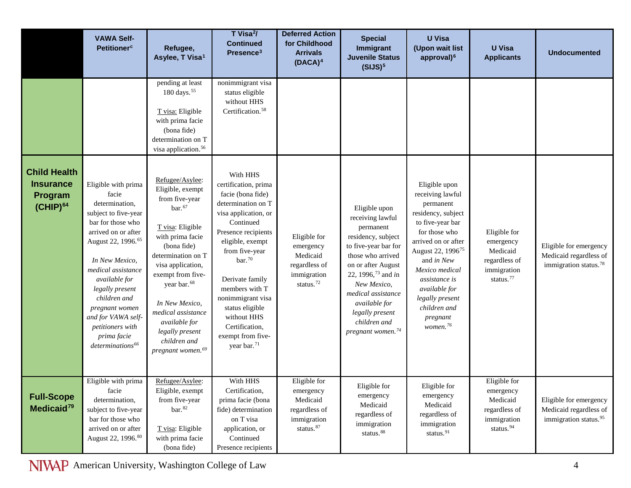|                                                                     | <b>VAWA Self-</b><br><b>Petitioner<sup>c</sup></b>                                                                                                                                                                                                                                                                                                          | Refugee,<br>Asylee, T Visa <sup>1</sup>                                                                                                                                                                                                                                                                                                    | T Visa <sup>2</sup> /<br><b>Continued</b><br>Presence <sup>3</sup>                                                                                                                                                                                                                                                                                         | <b>Deferred Action</b><br>for Childhood<br><b>Arrivals</b><br>$(DACA)^4$                       | <b>Special</b><br>Immigrant<br><b>Juvenile Status</b><br>(SIJS) <sup>5</sup>                                                                                                                                                                                                                        | <b>U</b> Visa<br>(Upon wait list<br>approval) <sup>6</sup>                                                                                                                                                                                                                                                 | <b>U</b> Visa<br><b>Applicants</b>                                                             | <b>Undocumented</b>                                                                   |
|---------------------------------------------------------------------|-------------------------------------------------------------------------------------------------------------------------------------------------------------------------------------------------------------------------------------------------------------------------------------------------------------------------------------------------------------|--------------------------------------------------------------------------------------------------------------------------------------------------------------------------------------------------------------------------------------------------------------------------------------------------------------------------------------------|------------------------------------------------------------------------------------------------------------------------------------------------------------------------------------------------------------------------------------------------------------------------------------------------------------------------------------------------------------|------------------------------------------------------------------------------------------------|-----------------------------------------------------------------------------------------------------------------------------------------------------------------------------------------------------------------------------------------------------------------------------------------------------|------------------------------------------------------------------------------------------------------------------------------------------------------------------------------------------------------------------------------------------------------------------------------------------------------------|------------------------------------------------------------------------------------------------|---------------------------------------------------------------------------------------|
|                                                                     |                                                                                                                                                                                                                                                                                                                                                             | pending at least<br>180 days. <sup>55</sup><br>T visa: Eligible<br>with prima facie<br>(bona fide)<br>determination on T<br>visa application. <sup>56</sup>                                                                                                                                                                                | nonimmigrant visa<br>status eligible<br>without HHS<br>Certification. <sup>58</sup>                                                                                                                                                                                                                                                                        |                                                                                                |                                                                                                                                                                                                                                                                                                     |                                                                                                                                                                                                                                                                                                            |                                                                                                |                                                                                       |
| <b>Child Health</b><br><b>Insurance</b><br>Program<br>$(CHIP)^{64}$ | Eligible with prima<br>facie<br>determination,<br>subject to five-year<br>bar for those who<br>arrived on or after<br>August 22, 1996. <sup>65</sup><br>In New Mexico,<br>medical assistance<br>available for<br>legally present<br>children and<br>pregnant women<br>and for VAWA self-<br>petitioners with<br>prima facie<br>determinations <sup>66</sup> | Refugee/Asylee:<br>Eligible, exempt<br>from five-year<br>bar.67<br>T visa: Eligible<br>with prima facie<br>(bona fide)<br>determination on T<br>visa application,<br>exempt from five-<br>year bar. <sup>68</sup><br>In New Mexico,<br>medical assistance<br>available for<br>legally present<br>children and<br>$pregnant$ women. $^{69}$ | With HHS<br>certification, prima<br>facie (bona fide)<br>determination on T<br>visa application, or<br>Continued<br>Presence recipients<br>eligible, exempt<br>from five-year<br>$bar.^{70}$<br>Derivate family<br>members with T<br>nonimmigrant visa<br>status eligible<br>without HHS<br>Certification,<br>exempt from five-<br>year bar. <sup>71</sup> | Eligible for<br>emergency<br>Medicaid<br>regardless of<br>immigration<br>status. $72$          | Eligible upon<br>receiving lawful<br>permanent<br>residency, subject<br>to five-year bar for<br>those who arrived<br>on or after August<br>22, 1996, <sup>73</sup> and in<br>New Mexico,<br>medical assistance<br>available for<br>legally present<br>children and<br>pregnant women. <sup>74</sup> | Eligible upon<br>receiving lawful<br>permanent<br>residency, subject<br>to five-year bar<br>for those who<br>arrived on or after<br>August 22, 1996 <sup>75</sup><br>and in New<br>Mexico medical<br>assistance is<br>available for<br>legally present<br>children and<br>pregnant<br>women. <sup>76</sup> | Eligible for<br>emergency<br>Medicaid<br>regardless of<br>immigration<br>status. <sup>77</sup> | Eligible for emergency<br>Medicaid regardless of<br>immigration status. <sup>78</sup> |
| <b>Full-Scope</b><br>Medicaid <sup>79</sup>                         | Eligible with prima<br>facie<br>determination,<br>subject to five-year<br>bar for those who<br>arrived on or after<br>August 22, 1996.80                                                                                                                                                                                                                    | Refugee/Asylee:<br>Eligible, exempt<br>from five-year<br>bar. <sup>82</sup><br>T visa: Eligible<br>with prima facie<br>(bona fide)                                                                                                                                                                                                         | With HHS<br>Certification,<br>prima facie (bona<br>fide) determination<br>on T visa<br>application, or<br>Continued<br>Presence recipients                                                                                                                                                                                                                 | Eligible for<br>emergency<br>Medicaid<br>regardless of<br>immigration<br>status. <sup>87</sup> | Eligible for<br>emergency<br>Medicaid<br>regardless of<br>immigration<br>status. <sup>88</sup>                                                                                                                                                                                                      | Eligible for<br>emergency<br>Medicaid<br>regardless of<br>immigration<br>status. <sup>91</sup>                                                                                                                                                                                                             | Eligible for<br>emergency<br>Medicaid<br>regardless of<br>immigration<br>status. $^{94}$       | Eligible for emergency<br>Medicaid regardless of<br>immigration status. <sup>95</sup> |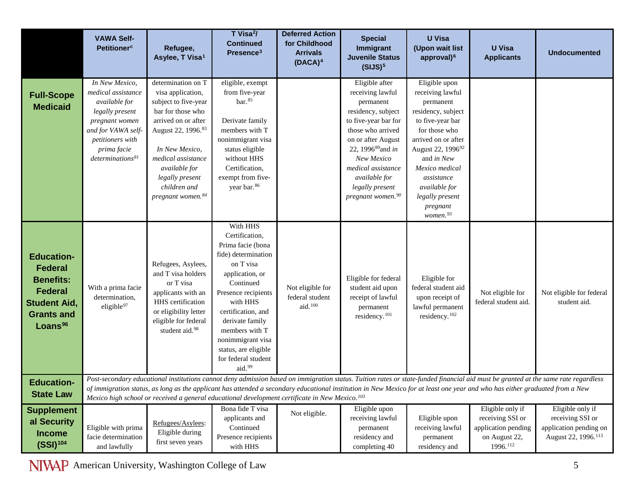<span id="page-4-0"></span>

|                                                                                                                                              | <b>VAWA Self-</b><br><b>Petitioner<sup>c</sup></b>                                                                                                                                  | Refugee,<br>Asylee, T Visa <sup>1</sup>                                                                                                                                                                                                                        | T Visa <sup>2</sup> /<br><b>Continued</b><br>Presence <sup>3</sup>                                                                                                                                                                                                                              | <b>Deferred Action</b><br>for Childhood<br><b>Arrivals</b><br>$(DACA)^4$ | <b>Special</b><br>Immigrant<br><b>Juvenile Status</b><br>(SIJS) <sup>5</sup>                                                                                                                                                                                                   | <b>U</b> Visa<br>(Upon wait list<br>approval) <sup>6</sup>                                                                                                                                                                                                                              | <b>U</b> Visa<br><b>Applicants</b>                                                                                                                                           | <b>Undocumented</b>                                                                                                                                                                |
|----------------------------------------------------------------------------------------------------------------------------------------------|-------------------------------------------------------------------------------------------------------------------------------------------------------------------------------------|----------------------------------------------------------------------------------------------------------------------------------------------------------------------------------------------------------------------------------------------------------------|-------------------------------------------------------------------------------------------------------------------------------------------------------------------------------------------------------------------------------------------------------------------------------------------------|--------------------------------------------------------------------------|--------------------------------------------------------------------------------------------------------------------------------------------------------------------------------------------------------------------------------------------------------------------------------|-----------------------------------------------------------------------------------------------------------------------------------------------------------------------------------------------------------------------------------------------------------------------------------------|------------------------------------------------------------------------------------------------------------------------------------------------------------------------------|------------------------------------------------------------------------------------------------------------------------------------------------------------------------------------|
| <b>Full-Scope</b><br><b>Medicaid</b>                                                                                                         | In New Mexico,<br>medical assistance<br>available for<br>legally present<br>pregnant women<br>and for VAWA self-<br>petitioners with<br>prima facie<br>determinations <sup>81</sup> | determination on T<br>visa application,<br>subject to five-year<br>bar for those who<br>arrived on or after<br>August 22, 1996.83<br>In New Mexico,<br>medical assistance<br>available for<br>legally present<br>children and<br>pregnant women. <sup>84</sup> | eligible, exempt<br>from five-year<br>bar. <sup>85</sup><br>Derivate family<br>members with T<br>nonimmigrant visa<br>status eligible<br>without HHS<br>Certification,<br>exempt from five-<br>year bar. <sup>86</sup>                                                                          |                                                                          | Eligible after<br>receiving lawful<br>permanent<br>residency, subject<br>to five-year bar for<br>those who arrived<br>on or after August<br>22, 1996 <sup>89</sup> and in<br>New Mexico<br>medical assistance<br>available for<br>legally present<br>$pregnant$ women. $^{90}$ | Eligible upon<br>receiving lawful<br>permanent<br>residency, subject<br>to five-year bar<br>for those who<br>arrived on or after<br>August 22, 1996 <sup>92</sup><br>and in New<br>Mexico medical<br>assistance<br>available for<br>legally present<br>pregnant<br>women. <sup>93</sup> |                                                                                                                                                                              |                                                                                                                                                                                    |
| <b>Education-</b><br><b>Federal</b><br><b>Benefits:</b><br><b>Federal</b><br><b>Student Aid,</b><br><b>Grants and</b><br>Loans <sup>96</sup> | With a prima facie<br>determination,<br>eligible <sup>97</sup>                                                                                                                      | Refugees, Asylees,<br>and T visa holders<br>or T visa<br>applicants with an<br>HHS certification<br>or eligibility letter<br>eligible for federal<br>student aid. <sup>98</sup>                                                                                | With HHS<br>Certification,<br>Prima facie (bona<br>fide) determination<br>on T visa<br>application, or<br>Continued<br>Presence recipients<br>with HHS<br>certification, and<br>derivate family<br>members with T<br>nonimmigrant visa<br>status, are eligible<br>for federal student<br>aid.99 | Not eligible for<br>federal student<br>aid. <sup>100</sup>               | Eligible for federal<br>student aid upon<br>receipt of lawful<br>permanent<br>residency. <sup>101</sup>                                                                                                                                                                        | Eligible for<br>federal student aid<br>upon receipt of<br>lawful permanent<br>residency. <sup>102</sup>                                                                                                                                                                                 | Not eligible for<br>federal student aid.                                                                                                                                     | Not eligible for federal<br>student aid.                                                                                                                                           |
| <b>Education-</b><br><b>State Law</b>                                                                                                        |                                                                                                                                                                                     | Mexico high school or received a general educational development certificate in New Mexico. <sup>103</sup>                                                                                                                                                     |                                                                                                                                                                                                                                                                                                 |                                                                          |                                                                                                                                                                                                                                                                                |                                                                                                                                                                                                                                                                                         | of immigration status, as long as the applicant has attended a secondary educational institution in New Mexico for at least one year and who has either graduated from a New | Post-secondary educational institutions cannot deny admission based on immigration status. Tuition rates or state-funded financial aid must be granted at the same rate regardless |
| <b>Supplement</b><br>al Security<br><b>Income</b><br>$(SSI)^{104}$                                                                           | Eligible with prima<br>facie determination<br>and lawfully                                                                                                                          | Refugees/Asylees:<br>Eligible during<br>first seven years                                                                                                                                                                                                      | Bona fide T visa<br>applicants and<br>Continued<br>Presence recipients<br>with HHS                                                                                                                                                                                                              | Not eligible.                                                            | Eligible upon<br>receiving lawful<br>permanent<br>residency and<br>completing 40                                                                                                                                                                                               | Eligible upon<br>receiving lawful<br>permanent<br>residency and                                                                                                                                                                                                                         | Eligible only if<br>receiving SSI or<br>application pending<br>on August 22,<br>1996.112                                                                                     | Eligible only if<br>receiving SSI or<br>application pending on<br>August 22, 1996. <sup>113</sup>                                                                                  |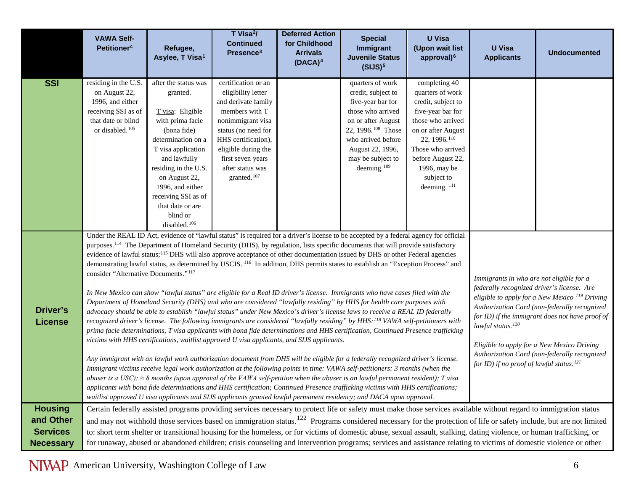<span id="page-5-3"></span><span id="page-5-2"></span><span id="page-5-1"></span><span id="page-5-0"></span>

|                                     | <b>VAWA Self-</b><br><b>Petitioner<sup>c</sup></b>                                                                                                                                                                                                                                                                                                                                                                                                                                                                                                                                                                                                                                                                                                                                                                                                                                                                                                                                                                                                                                                                                                                                                                                                                                                                                                                                                                                                                                                                                                                                                                                                                                                                                                                                                                                                                                                                                                                                                                                                                                                                                                                                                                                                                                                                                                                                                                                                                                                                                                                 | Refugee,<br>Asylee, T Visa <sup>1</sup>                                                                                                                                                                                                                                 | T Visa <sup>2</sup> /<br><b>Continued</b><br>Presence <sup>3</sup>                                                                                                                                                                               | <b>Deferred Action</b><br>for Childhood<br><b>Arrivals</b><br>$(DACA)^4$ | <b>Special</b><br>Immigrant<br><b>Juvenile Status</b><br>(SIJS) <sup>5</sup>                                                                                                                                                       | <b>U</b> Visa<br>(Upon wait list<br>approval) <sup>6</sup>                                                                                                                                                                                             | <b>U</b> Visa<br><b>Applicants</b>                                                                                                                                     | <b>Undocumented</b>                                                                                                                                                             |
|-------------------------------------|--------------------------------------------------------------------------------------------------------------------------------------------------------------------------------------------------------------------------------------------------------------------------------------------------------------------------------------------------------------------------------------------------------------------------------------------------------------------------------------------------------------------------------------------------------------------------------------------------------------------------------------------------------------------------------------------------------------------------------------------------------------------------------------------------------------------------------------------------------------------------------------------------------------------------------------------------------------------------------------------------------------------------------------------------------------------------------------------------------------------------------------------------------------------------------------------------------------------------------------------------------------------------------------------------------------------------------------------------------------------------------------------------------------------------------------------------------------------------------------------------------------------------------------------------------------------------------------------------------------------------------------------------------------------------------------------------------------------------------------------------------------------------------------------------------------------------------------------------------------------------------------------------------------------------------------------------------------------------------------------------------------------------------------------------------------------------------------------------------------------------------------------------------------------------------------------------------------------------------------------------------------------------------------------------------------------------------------------------------------------------------------------------------------------------------------------------------------------------------------------------------------------------------------------------------------------|-------------------------------------------------------------------------------------------------------------------------------------------------------------------------------------------------------------------------------------------------------------------------|--------------------------------------------------------------------------------------------------------------------------------------------------------------------------------------------------------------------------------------------------|--------------------------------------------------------------------------|------------------------------------------------------------------------------------------------------------------------------------------------------------------------------------------------------------------------------------|--------------------------------------------------------------------------------------------------------------------------------------------------------------------------------------------------------------------------------------------------------|------------------------------------------------------------------------------------------------------------------------------------------------------------------------|---------------------------------------------------------------------------------------------------------------------------------------------------------------------------------|
| <b>SSI</b>                          | residing in the U.S.<br>on August 22,<br>1996, and either<br>receiving SSI as of<br>that date or blind<br>or disabled. <sup>105</sup>                                                                                                                                                                                                                                                                                                                                                                                                                                                                                                                                                                                                                                                                                                                                                                                                                                                                                                                                                                                                                                                                                                                                                                                                                                                                                                                                                                                                                                                                                                                                                                                                                                                                                                                                                                                                                                                                                                                                                                                                                                                                                                                                                                                                                                                                                                                                                                                                                              | after the status was<br>granted.<br>T visa: Eligible<br>with prima facie<br>(bona fide)<br>determination on a<br>T visa application<br>and lawfully<br>residing in the U.S.<br>on August 22,<br>1996, and either<br>receiving SSI as of<br>that date or are<br>blind or | certification or an<br>eligibility letter<br>and derivate family<br>members with T<br>nonimmigrant visa<br>status (no need for<br>HHS certification),<br>eligible during the<br>first seven years<br>after status was<br>granted. <sup>107</sup> |                                                                          | quarters of work<br>credit, subject to<br>five-year bar for<br>those who arrived<br>on or after August<br>22, 1996. <sup>108</sup> Those<br>who arrived before<br>August 22, 1996,<br>may be subject to<br>deeming. <sup>109</sup> | completing 40<br>quarters of work<br>credit, subject to<br>five-year bar for<br>those who arrived<br>on or after August<br>22, 1996. <sup>110</sup><br>Those who arrived<br>before August 22,<br>1996, may be<br>subject to<br>deeming. <sup>111</sup> |                                                                                                                                                                        |                                                                                                                                                                                 |
| Driver's<br><b>License</b>          | disabled. <sup>106</sup><br>Under the REAL ID Act, evidence of "lawful status" is required for a driver's license to be accepted by a federal agency for official<br>purposes. <sup>114</sup> The Department of Homeland Security (DHS), by regulation, lists specific documents that will provide satisfactory<br>evidence of lawful status; <sup>115</sup> DHS will also approve acceptance of other documentation issued by DHS or other Federal agencies<br>demonstrating lawful status, as determined by USCIS. <sup>116</sup> In addition, DHS permits states to establish an "Exception Process" and<br>consider "Alternative Documents." <sup>117</sup><br>Immigrants in who are not eligible for a<br>federally recognized driver's license. Are<br>In New Mexico can show "lawful status" are eligible for a Real ID driver's license. Immigrants who have cases filed with the<br>eligible to apply for a New Mexico <sup>119</sup> Driving<br>Department of Homeland Security (DHS) and who are considered "lawfully residing" by HHS for health care purposes with<br>Authorization Card (non-federally recognized<br>advocacy should be able to establish "lawful status" under New Mexico's driver's license laws to receive a REAL ID federally<br>for ID) if the immigrant does not have proof of<br>recognized driver's license. The following immigrants are considered "lawfully residing" by HHS: <sup>118</sup> VAWA self-petitioners with<br>lawful status. <sup>120</sup><br>prima facie determinations, T visa applicants with bona fide determinations and HHS certification, Continued Presence trafficking<br>victims with HHS certifications, waitlist approved U visa applicants, and SIJS applicants.<br>Eligible to apply for a New Mexico Driving<br>Authorization Card (non-federally recognized<br>Any immigrant with an lawful work authorization document from DHS will be eligible for a federally recognized driver's license.<br>for ID) if no proof of lawful status. <sup>121</sup><br>Immigrant victims receive legal work authorization at the following points in time: VAWA self-petitioners: 3 months (when the<br>abuser is a USC); $\approx$ 8 months (upon approval of the VAWA self-petition when the abuser is an lawful permanent resident); T visa<br>applicants with bona fide determinations and HHS certification; Continued Presence trafficking victims with HHS certifications;<br>waitlist approved U visa applicants and SIJS applicants granted lawful permanent residency; and DACA upon approval. |                                                                                                                                                                                                                                                                         |                                                                                                                                                                                                                                                  |                                                                          |                                                                                                                                                                                                                                    |                                                                                                                                                                                                                                                        |                                                                                                                                                                        |                                                                                                                                                                                 |
| <b>Housing</b><br>and Other         |                                                                                                                                                                                                                                                                                                                                                                                                                                                                                                                                                                                                                                                                                                                                                                                                                                                                                                                                                                                                                                                                                                                                                                                                                                                                                                                                                                                                                                                                                                                                                                                                                                                                                                                                                                                                                                                                                                                                                                                                                                                                                                                                                                                                                                                                                                                                                                                                                                                                                                                                                                    |                                                                                                                                                                                                                                                                         |                                                                                                                                                                                                                                                  |                                                                          |                                                                                                                                                                                                                                    |                                                                                                                                                                                                                                                        | Certain federally assisted programs providing services necessary to protect life or safety must make those services available without regard to immigration status     | and may not withhold those services based on immigration status. <sup>122</sup> Programs considered necessary for the protection of life or safety include, but are not limited |
| <b>Services</b><br><b>Necessary</b> |                                                                                                                                                                                                                                                                                                                                                                                                                                                                                                                                                                                                                                                                                                                                                                                                                                                                                                                                                                                                                                                                                                                                                                                                                                                                                                                                                                                                                                                                                                                                                                                                                                                                                                                                                                                                                                                                                                                                                                                                                                                                                                                                                                                                                                                                                                                                                                                                                                                                                                                                                                    |                                                                                                                                                                                                                                                                         |                                                                                                                                                                                                                                                  |                                                                          |                                                                                                                                                                                                                                    |                                                                                                                                                                                                                                                        | to: short term shelter or transitional housing for the homeless, or for victims of domestic abuse, sexual assault, stalking, dating violence, or human trafficking, or | for runaway, abused or abandoned children; crisis counseling and intervention programs; services and assistance relating to victims of domestic violence or other               |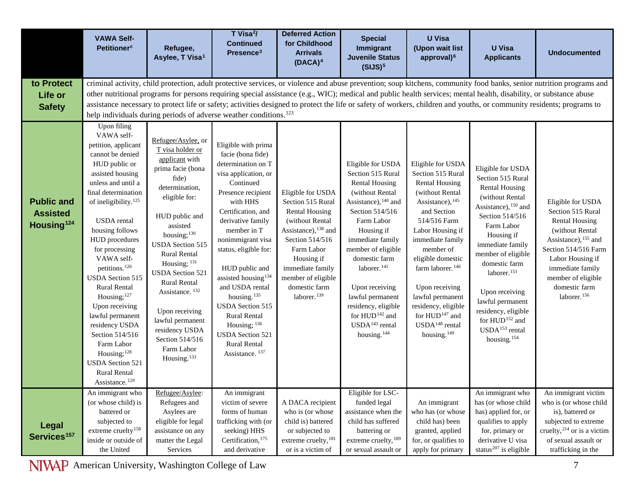<span id="page-6-3"></span><span id="page-6-2"></span><span id="page-6-1"></span><span id="page-6-0"></span>

|                                                                | <b>VAWA Self-</b><br><b>Petitioner<sup>c</sup></b>                                                                                                                                                                                                                                                                                                                                                                                                           | Refugee,<br>Asylee, T Visa <sup>1</sup>                                                                                                                                                                                                                                                                                                                                                                  | T Visa <sup>2</sup> /<br><b>Continued</b><br>Presence <sup>3</sup>                                                                                                                                                                                                                                                                                                                                                                                                                                                             | <b>Deferred Action</b><br>for Childhood<br><b>Arrivals</b><br>$(DACA)^4$                                                                                                                                                                                   | <b>Special</b><br>Immigrant<br><b>Juvenile Status</b><br>(SIJS) <sup>5</sup>                                                                                                                                                                                                                                                                                                                        | <b>U</b> Visa<br>(Upon wait list<br>approval) <sup>6</sup>                                                                                                                                                                                                                                                                                                                                          | <b>U</b> Visa<br><b>Applicants</b>                                                                                                                                                                                                                                                                                                                                                                                         | <b>Undocumented</b>                                                                                                                                                                                                                                     |
|----------------------------------------------------------------|--------------------------------------------------------------------------------------------------------------------------------------------------------------------------------------------------------------------------------------------------------------------------------------------------------------------------------------------------------------------------------------------------------------------------------------------------------------|----------------------------------------------------------------------------------------------------------------------------------------------------------------------------------------------------------------------------------------------------------------------------------------------------------------------------------------------------------------------------------------------------------|--------------------------------------------------------------------------------------------------------------------------------------------------------------------------------------------------------------------------------------------------------------------------------------------------------------------------------------------------------------------------------------------------------------------------------------------------------------------------------------------------------------------------------|------------------------------------------------------------------------------------------------------------------------------------------------------------------------------------------------------------------------------------------------------------|-----------------------------------------------------------------------------------------------------------------------------------------------------------------------------------------------------------------------------------------------------------------------------------------------------------------------------------------------------------------------------------------------------|-----------------------------------------------------------------------------------------------------------------------------------------------------------------------------------------------------------------------------------------------------------------------------------------------------------------------------------------------------------------------------------------------------|----------------------------------------------------------------------------------------------------------------------------------------------------------------------------------------------------------------------------------------------------------------------------------------------------------------------------------------------------------------------------------------------------------------------------|---------------------------------------------------------------------------------------------------------------------------------------------------------------------------------------------------------------------------------------------------------|
| to Protect                                                     |                                                                                                                                                                                                                                                                                                                                                                                                                                                              |                                                                                                                                                                                                                                                                                                                                                                                                          |                                                                                                                                                                                                                                                                                                                                                                                                                                                                                                                                |                                                                                                                                                                                                                                                            |                                                                                                                                                                                                                                                                                                                                                                                                     |                                                                                                                                                                                                                                                                                                                                                                                                     |                                                                                                                                                                                                                                                                                                                                                                                                                            | criminal activity, child protection, adult protective services, or violence and abuse prevention; soup kitchens, community food banks, senior nutrition programs and                                                                                    |
| Life or                                                        |                                                                                                                                                                                                                                                                                                                                                                                                                                                              |                                                                                                                                                                                                                                                                                                                                                                                                          |                                                                                                                                                                                                                                                                                                                                                                                                                                                                                                                                |                                                                                                                                                                                                                                                            |                                                                                                                                                                                                                                                                                                                                                                                                     |                                                                                                                                                                                                                                                                                                                                                                                                     | other nutritional programs for persons requiring special assistance (e.g., WIC); medical and public health services; mental health, disability, or substance abuse                                                                                                                                                                                                                                                         |                                                                                                                                                                                                                                                         |
| <b>Safety</b>                                                  |                                                                                                                                                                                                                                                                                                                                                                                                                                                              |                                                                                                                                                                                                                                                                                                                                                                                                          |                                                                                                                                                                                                                                                                                                                                                                                                                                                                                                                                |                                                                                                                                                                                                                                                            |                                                                                                                                                                                                                                                                                                                                                                                                     |                                                                                                                                                                                                                                                                                                                                                                                                     |                                                                                                                                                                                                                                                                                                                                                                                                                            | assistance necessary to protect life or safety; activities designed to protect the life or safety of workers, children and youths, or community residents; programs to                                                                                  |
| <b>Public and</b><br><b>Assisted</b><br>Housing <sup>124</sup> | Upon filing<br>VAWA self-<br>petition, applicant<br>cannot be denied<br>HUD public or<br>assisted housing<br>unless and until a<br>final determination<br>of ineligibility. <sup>125</sup><br>USDA rental<br>housing follows<br>HUD procedures<br>for processing<br>VAWA self-<br>petitions. <sup>126</sup><br><b>USDA</b> Section 515<br>Rural Rental<br>Housing; <sup>127</sup><br>Upon receiving<br>lawful permanent<br>residency USDA<br>Section 514/516 | Refugee/Asylee, or<br>T visa holder or<br>applicant with<br>prima facie (bona<br>fide)<br>determination,<br>eligible for:<br>HUD public and<br>assisted<br>housing; <sup>130</sup><br><b>USDA</b> Section 515<br><b>Rural Rental</b><br>Housing; 131<br><b>USDA Section 521</b><br>Rural Rental<br>Assistance. <sup>132</sup><br>Upon receiving<br>lawful permanent<br>residency USDA<br>Section 514/516 | help individuals during periods of adverse weather conditions. <sup>123</sup><br>Eligible with prima<br>facie (bona fide)<br>determination on T<br>visa application, or<br>Continued<br>Presence recipient<br>with HHS<br>Certification, and<br>derivative family<br>member in T<br>nonimmigrant visa<br>status, eligible for:<br>HUD public and<br>assisted housing <sup>134</sup><br>and USDA rental<br>housing. <sup>135</sup><br><b>USDA Section 515</b><br><b>Rural Rental</b><br>Housing; 136<br><b>USDA</b> Section 521 | Eligible for USDA<br>Section 515 Rural<br><b>Rental Housing</b><br>(without Rental<br>Assistance), <sup>138</sup> and<br>Section 514/516<br>Farm Labor<br>Housing if<br>immediate family<br>member of eligible<br>domestic farm<br>laborer. <sup>139</sup> | Eligible for USDA<br>Section 515 Rural<br><b>Rental Housing</b><br>(without Rental<br>Assistance), 140 and<br>Section 514/516<br>Farm Labor<br>Housing if<br>immediate family<br>member of eligible<br>domestic farm<br>laborer. <sup>141</sup><br>Upon receiving<br>lawful permanent<br>residency, eligible<br>for HUD <sup>142</sup> and<br>USDA <sup>143</sup> rental<br>housing. <sup>144</sup> | Eligible for USDA<br>Section 515 Rural<br><b>Rental Housing</b><br>(without Rental<br>Assistance), 145<br>and Section<br>514/516 Farm<br>Labor Housing if<br>immediate family<br>member of<br>eligible domestic<br>farm laborer. <sup>146</sup><br>Upon receiving<br>lawful permanent<br>residency, eligible<br>for HUD <sup>147</sup> and<br>USDA <sup>148</sup> rental<br>housing. <sup>149</sup> | Eligible for USDA<br>Section 515 Rural<br><b>Rental Housing</b><br>(without Rental<br>Assistance), <sup>150</sup> and<br>Section 514/516<br>Farm Labor<br>Housing if<br>immediate family<br>member of eligible<br>domestic farm<br>laborer. <sup>151</sup><br>Upon receiving<br>lawful permanent<br>residency, eligible<br>for $\rm{HUD^{\hspace{0.2mm}152}}$ and<br>USDA <sup>153</sup> rental<br>housing. <sup>154</sup> | Eligible for USDA<br>Section 515 Rural<br><b>Rental Housing</b><br>(without Rental<br>Assistance), <sup>155</sup> and<br>Section 514/516 Farm<br>Labor Housing if<br>immediate family<br>member of eligible<br>domestic farm<br>laborer. <sup>156</sup> |
|                                                                | Farm Labor<br>Housing; <sup>128</sup><br><b>USDA</b> Section 521<br><b>Rural Rental</b><br>Assistance. <sup>129</sup>                                                                                                                                                                                                                                                                                                                                        | Farm Labor<br>Housing. <sup>133</sup>                                                                                                                                                                                                                                                                                                                                                                    | <b>Rural Rental</b><br>Assistance. <sup>137</sup>                                                                                                                                                                                                                                                                                                                                                                                                                                                                              |                                                                                                                                                                                                                                                            |                                                                                                                                                                                                                                                                                                                                                                                                     |                                                                                                                                                                                                                                                                                                                                                                                                     |                                                                                                                                                                                                                                                                                                                                                                                                                            |                                                                                                                                                                                                                                                         |
| Legal<br>Services <sup>157</sup>                               | An immigrant who<br>(or whose child) is<br>battered or<br>subjected to<br>extreme cruelty $^{158}$<br>inside or outside of<br>the United                                                                                                                                                                                                                                                                                                                     | Refugee/Asylee:<br>Refugees and<br>Asylees are<br>eligible for legal<br>assistance on any<br>matter the Legal<br>Services                                                                                                                                                                                                                                                                                | An immigrant<br>victim of severe<br>forms of human<br>trafficking with (or<br>seeking) HHS<br>Certification, 175<br>and derivative                                                                                                                                                                                                                                                                                                                                                                                             | A DACA recipient<br>who is (or whose<br>child is) battered<br>or subjected to<br>extreme cruelty, 181<br>or is a victim of                                                                                                                                 | Eligible for LSC-<br>funded legal<br>assistance when the<br>child has suffered<br>battering or<br>extreme cruelty, 189<br>or sexual assault or                                                                                                                                                                                                                                                      | An immigrant<br>who has (or whose<br>child has) been<br>granted, applied<br>for, or qualifies to<br>apply for primary                                                                                                                                                                                                                                                                               | An immigrant who<br>has (or whose child<br>has) applied for, or<br>qualifies to apply<br>for, primary or<br>derivative U visa<br>status <sup>207</sup> is eligible                                                                                                                                                                                                                                                         | An immigrant victim<br>who is (or whose child<br>is), battered or<br>subjected to extreme<br>cruelty, $2^{14}$ or is a victim<br>of sexual assault or<br>trafficking in the                                                                             |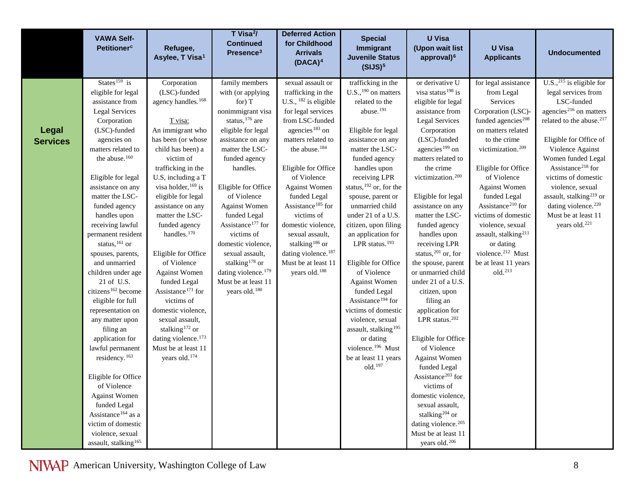<span id="page-7-1"></span><span id="page-7-0"></span>

|                                 | <b>VAWA Self-</b><br><b>Petitioner<sup>c</sup></b>                                                                                                                                                                                                                                                                                                                                                                                                                                                                                                                                                                                                                                                                                    | Refugee,<br>Asylee, T Visa <sup>1</sup>                                                                                                                                                                                                                                                                                                                                                                                                                                                                                                                                                                                      | T Visa <sup>2</sup> /<br><b>Continued</b><br>Presence <sup>3</sup>                                                                                                                                                                                                                                                                                                                                                                                                              | <b>Deferred Action</b><br>for Childhood<br><b>Arrivals</b><br>$(DACA)^4$                                                                                                                                                                                                                                                                                                                                                                                                                   | <b>Special</b><br>Immigrant<br><b>Juvenile Status</b><br>(SIJS) <sup>5</sup>                                                                                                                                                                                                                                                                                                                                                                                                                                                                                                                                                                                             | <b>U</b> Visa<br>(Upon wait list<br>approval) <sup>6</sup>                                                                                                                                                                                                                                                                                                                                                                                                                                                                                                                                                                                                                                                                                        | <b>U</b> Visa<br><b>Applicants</b>                                                                                                                                                                                                                                                                                                                                                                                                                                       | <b>Undocumented</b>                                                                                                                                                                                                                                                                                                                                                                                                             |
|---------------------------------|---------------------------------------------------------------------------------------------------------------------------------------------------------------------------------------------------------------------------------------------------------------------------------------------------------------------------------------------------------------------------------------------------------------------------------------------------------------------------------------------------------------------------------------------------------------------------------------------------------------------------------------------------------------------------------------------------------------------------------------|------------------------------------------------------------------------------------------------------------------------------------------------------------------------------------------------------------------------------------------------------------------------------------------------------------------------------------------------------------------------------------------------------------------------------------------------------------------------------------------------------------------------------------------------------------------------------------------------------------------------------|---------------------------------------------------------------------------------------------------------------------------------------------------------------------------------------------------------------------------------------------------------------------------------------------------------------------------------------------------------------------------------------------------------------------------------------------------------------------------------|--------------------------------------------------------------------------------------------------------------------------------------------------------------------------------------------------------------------------------------------------------------------------------------------------------------------------------------------------------------------------------------------------------------------------------------------------------------------------------------------|--------------------------------------------------------------------------------------------------------------------------------------------------------------------------------------------------------------------------------------------------------------------------------------------------------------------------------------------------------------------------------------------------------------------------------------------------------------------------------------------------------------------------------------------------------------------------------------------------------------------------------------------------------------------------|---------------------------------------------------------------------------------------------------------------------------------------------------------------------------------------------------------------------------------------------------------------------------------------------------------------------------------------------------------------------------------------------------------------------------------------------------------------------------------------------------------------------------------------------------------------------------------------------------------------------------------------------------------------------------------------------------------------------------------------------------|--------------------------------------------------------------------------------------------------------------------------------------------------------------------------------------------------------------------------------------------------------------------------------------------------------------------------------------------------------------------------------------------------------------------------------------------------------------------------|---------------------------------------------------------------------------------------------------------------------------------------------------------------------------------------------------------------------------------------------------------------------------------------------------------------------------------------------------------------------------------------------------------------------------------|
| <b>Legal</b><br><b>Services</b> | States <sup>159</sup> is<br>eligible for legal<br>assistance from<br><b>Legal Services</b><br>Corporation<br>(LSC)-funded<br>agencies on<br>matters related to<br>the abuse. <sup>160</sup><br>Eligible for legal<br>assistance on any<br>matter the LSC-<br>funded agency<br>handles upon<br>receiving lawful<br>permanent resident<br>status, $^{161}$ or<br>spouses, parents,<br>and unmarried<br>children under age<br>21 of U.S.<br>citizens <sup>162</sup> become<br>eligible for full<br>representation on<br>any matter upon<br>filing an<br>application for<br>lawful permanent<br>residency. <sup>163</sup><br>Eligible for Office<br>of Violence<br><b>Against Women</b><br>funded Legal<br>Assistance <sup>164</sup> as a | Corporation<br>(LSC)-funded<br>agency handles. <sup>168</sup><br>T visa:<br>An immigrant who<br>has been (or whose<br>child has been) a<br>victim of<br>trafficking in the<br>U.S, including a T<br>visa holder, 169 is<br>eligible for legal<br>assistance on any<br>matter the LSC-<br>funded agency<br>handles. <sup>170</sup><br>Eligible for Office<br>of Violence<br><b>Against Women</b><br>funded Legal<br>Assistance <sup>171</sup> for<br>victims of<br>domestic violence,<br>sexual assault,<br>stalking <sup>172</sup> or<br>dating violence. <sup>173</sup><br>Must be at least 11<br>years old. <sup>174</sup> | family members<br>with (or applying<br>for) $T$<br>nonimmigrant visa<br>status, $176$ are<br>eligible for legal<br>assistance on any<br>matter the LSC-<br>funded agency<br>handles.<br>Eligible for Office<br>of Violence<br><b>Against Women</b><br>funded Legal<br>Assistance <sup>177</sup> for<br>victims of<br>domestic violence,<br>sexual assault,<br>stalking <sup>178</sup> or<br>dating violence. <sup>179</sup><br>Must be at least 11<br>years old. <sup>180</sup> | sexual assault or<br>trafficking in the<br>U.S., $^{182}$ is eligible<br>for legal services<br>from LSC-funded<br>agencies <sup>183</sup> on<br>matters related to<br>the abuse. <sup>184</sup><br>Eligible for Office<br>of Violence<br><b>Against Women</b><br>funded Legal<br>Assistance <sup>185</sup> for<br>victims of<br>domestic violence,<br>sexual assault,<br>stalking <sup>186</sup> or<br>dating violence. <sup>187</sup><br>Must be at least 11<br>years old. <sup>188</sup> | trafficking in the<br>$U.S.,190$ on matters<br>related to the<br>abuse. <sup>191</sup><br>Eligible for legal<br>assistance on any<br>matter the LSC-<br>funded agency<br>handles upon<br>receiving LPR<br>status, <sup>192</sup> or, for the<br>spouse, parent or<br>unmarried child<br>under 21 of a U.S.<br>citizen, upon filing<br>an application for<br>LPR status. $193$<br>Eligible for Office<br>of Violence<br><b>Against Women</b><br>funded Legal<br>Assistance <sup>194</sup> for<br>victims of domestic<br>violence, sexual<br>assault, stalking <sup>195</sup><br>or dating<br>violence. <sup>196</sup> Must<br>be at least 11 years<br>old. <sup>197</sup> | or derivative U<br>visa status <sup>198</sup> is<br>eligible for legal<br>assistance from<br><b>Legal Services</b><br>Corporation<br>(LSC)-funded<br>agencies <sup>199</sup> on<br>matters related to<br>the crime<br>victimization. <sup>200</sup><br>Eligible for legal<br>assistance on any<br>matter the LSC-<br>funded agency<br>handles upon<br>receiving LPR<br>status, $201$ or, for<br>the spouse, parent<br>or unmarried child<br>under 21 of a U.S.<br>citizen, upon<br>filing an<br>application for<br>LPR status. <sup>202</sup><br>Eligible for Office<br>of Violence<br><b>Against Women</b><br>funded Legal<br>Assistance <sup>203</sup> for<br>victims of<br>domestic violence,<br>sexual assault,<br>stalking <sup>204</sup> or | for legal assistance<br>from Legal<br>Services<br>Corporation (LSC)-<br>funded agencies <sup>208</sup><br>on matters related<br>to the crime<br>victimization. <sup>209</sup><br>Eligible for Office<br>of Violence<br><b>Against Women</b><br>funded Legal<br>Assistance <sup>210</sup> for<br>victims of domestic<br>violence, sexual<br>assault, stalking <sup>211</sup><br>or dating<br>violence. <sup>212</sup> Must<br>be at least 11 years<br>old. <sup>213</sup> | U.S., $^{215}$ is eligible for<br>legal services from<br>LSC-funded<br>agencies <sup>216</sup> on matters<br>related to the abuse. <sup>217</sup><br>Eligible for Office of<br>Violence Against<br>Women funded Legal<br>Assistance <sup>218</sup> for<br>victims of domestic<br>violence, sexual<br>assault, stalking <sup>219</sup> or<br>dating violence. <sup>220</sup><br>Must be at least 11<br>years old. <sup>221</sup> |
|                                 | victim of domestic<br>violence, sexual<br>assault, stalking $^{165}$                                                                                                                                                                                                                                                                                                                                                                                                                                                                                                                                                                                                                                                                  |                                                                                                                                                                                                                                                                                                                                                                                                                                                                                                                                                                                                                              |                                                                                                                                                                                                                                                                                                                                                                                                                                                                                 |                                                                                                                                                                                                                                                                                                                                                                                                                                                                                            |                                                                                                                                                                                                                                                                                                                                                                                                                                                                                                                                                                                                                                                                          | dating violence. <sup>205</sup><br>Must be at least 11<br>years old. <sup>206</sup>                                                                                                                                                                                                                                                                                                                                                                                                                                                                                                                                                                                                                                                               |                                                                                                                                                                                                                                                                                                                                                                                                                                                                          |                                                                                                                                                                                                                                                                                                                                                                                                                                 |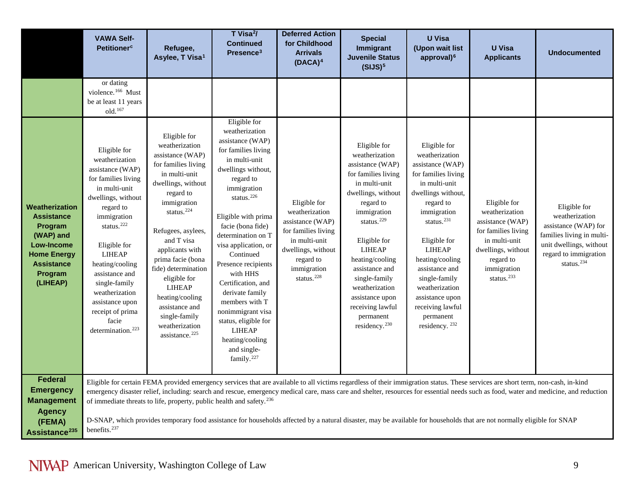<span id="page-8-0"></span>

|                                                                                                                                                           | <b>VAWA Self-</b><br><b>Petitioner<sup>c</sup></b>                                                                                                                                                                                                                                                                                                               | Refugee,<br>Asylee, T Visa <sup>1</sup>                                                                                                                                                                                                                                                                                                                                                                          | T Visa <sup>2</sup> /<br><b>Continued</b><br>Presence <sup>3</sup>                                                                                                                                                                                                                                                                                                                                                                                                                                    | <b>Deferred Action</b><br>for Childhood<br><b>Arrivals</b><br>$(DACA)^4$                                                                                               | <b>Special</b><br>Immigrant<br><b>Juvenile Status</b><br>(SIJS) <sup>5</sup>                                                                                                                                                                                                                                                                                     | <b>U</b> Visa<br>(Upon wait list<br>approval) <sup>6</sup>                                                                                                                                                                                                                                                                                                       | <b>U</b> Visa<br><b>Applicants</b>                                                                                                                            | <b>Undocumented</b>                                                                                                                                                                   |
|-----------------------------------------------------------------------------------------------------------------------------------------------------------|------------------------------------------------------------------------------------------------------------------------------------------------------------------------------------------------------------------------------------------------------------------------------------------------------------------------------------------------------------------|------------------------------------------------------------------------------------------------------------------------------------------------------------------------------------------------------------------------------------------------------------------------------------------------------------------------------------------------------------------------------------------------------------------|-------------------------------------------------------------------------------------------------------------------------------------------------------------------------------------------------------------------------------------------------------------------------------------------------------------------------------------------------------------------------------------------------------------------------------------------------------------------------------------------------------|------------------------------------------------------------------------------------------------------------------------------------------------------------------------|------------------------------------------------------------------------------------------------------------------------------------------------------------------------------------------------------------------------------------------------------------------------------------------------------------------------------------------------------------------|------------------------------------------------------------------------------------------------------------------------------------------------------------------------------------------------------------------------------------------------------------------------------------------------------------------------------------------------------------------|---------------------------------------------------------------------------------------------------------------------------------------------------------------|---------------------------------------------------------------------------------------------------------------------------------------------------------------------------------------|
|                                                                                                                                                           | or dating<br>violence. <sup>166</sup> Must<br>be at least 11 years<br>old. <sup>167</sup>                                                                                                                                                                                                                                                                        |                                                                                                                                                                                                                                                                                                                                                                                                                  |                                                                                                                                                                                                                                                                                                                                                                                                                                                                                                       |                                                                                                                                                                        |                                                                                                                                                                                                                                                                                                                                                                  |                                                                                                                                                                                                                                                                                                                                                                  |                                                                                                                                                               |                                                                                                                                                                                       |
| <b>Weatherization</b><br><b>Assistance</b><br>Program<br>(WAP) and<br><b>Low-Income</b><br><b>Home Energy</b><br><b>Assistance</b><br>Program<br>(LIHEAP) | Eligible for<br>weatherization<br>assistance (WAP)<br>for families living<br>in multi-unit<br>dwellings, without<br>regard to<br>immigration<br>status. <sup>222</sup><br>Eligible for<br><b>LIHEAP</b><br>heating/cooling<br>assistance and<br>single-family<br>weatherization<br>assistance upon<br>receipt of prima<br>facie<br>determination. <sup>223</sup> | Eligible for<br>weatherization<br>assistance (WAP)<br>for families living<br>in multi-unit<br>dwellings, without<br>regard to<br>immigration<br>status. <sup>224</sup><br>Refugees, asylees,<br>and T visa<br>applicants with<br>prima facie (bona<br>fide) determination<br>eligible for<br><b>LIHEAP</b><br>heating/cooling<br>assistance and<br>single-family<br>weatherization<br>assistance. <sup>225</sup> | Eligible for<br>weatherization<br>assistance (WAP)<br>for families living<br>in multi-unit<br>dwellings without,<br>regard to<br>immigration<br>status. <sup>226</sup><br>Eligible with prima<br>facie (bona fide)<br>determination on T<br>visa application, or<br>Continued<br>Presence recipients<br>with HHS<br>Certification, and<br>derivate family<br>members with T<br>nonimmigrant visa<br>status, eligible for<br><b>LIHEAP</b><br>heating/cooling<br>and single-<br>family. <sup>227</sup> | Eligible for<br>weatherization<br>assistance (WAP)<br>for families living<br>in multi-unit<br>dwellings, without<br>regard to<br>immigration<br>status. <sup>228</sup> | Eligible for<br>weatherization<br>assistance (WAP)<br>for families living<br>in multi-unit<br>dwellings, without<br>regard to<br>immigration<br>status. <sup>229</sup><br>Eligible for<br><b>LIHEAP</b><br>heating/cooling<br>assistance and<br>single-family<br>weatherization<br>assistance upon<br>receiving lawful<br>permanent<br>residency. <sup>230</sup> | Eligible for<br>weatherization<br>assistance (WAP)<br>for families living<br>in multi-unit<br>dwellings without,<br>regard to<br>immigration<br>status. <sup>231</sup><br>Eligible for<br><b>LIHEAP</b><br>heating/cooling<br>assistance and<br>single-family<br>weatherization<br>assistance upon<br>receiving lawful<br>permanent<br>residency. <sup>232</sup> | Eligible for<br>weatherization<br>assistance (WAP)<br>for families living<br>in multi-unit<br>dwellings, without<br>regard to<br>immigration<br>status. $233$ | Eligible for<br>weatherization<br>assistance (WAP) for<br>families living in multi-<br>unit dwellings, without<br>regard to immigration<br>status. $234$                              |
| <b>Federal</b><br><b>Emergency</b><br><b>Management</b>                                                                                                   |                                                                                                                                                                                                                                                                                                                                                                  | of immediate threats to life, property, public health and safety. <sup>236</sup>                                                                                                                                                                                                                                                                                                                                 |                                                                                                                                                                                                                                                                                                                                                                                                                                                                                                       |                                                                                                                                                                        | Eligible for certain FEMA provided emergency services that are available to all victims regardless of their immigration status. These services are short term, non-cash, in-kind                                                                                                                                                                                 |                                                                                                                                                                                                                                                                                                                                                                  |                                                                                                                                                               | emergency disaster relief, including: search and rescue, emergency medical care, mass care and shelter, resources for essential needs such as food, water and medicine, and reduction |
| <b>Agency</b><br>(FEMA)<br>Assistance <sup>235</sup>                                                                                                      | benefits. <sup>237</sup>                                                                                                                                                                                                                                                                                                                                         |                                                                                                                                                                                                                                                                                                                                                                                                                  |                                                                                                                                                                                                                                                                                                                                                                                                                                                                                                       |                                                                                                                                                                        | D-SNAP, which provides temporary food assistance for households affected by a natural disaster, may be available for households that are not normally eligible for SNAP                                                                                                                                                                                          |                                                                                                                                                                                                                                                                                                                                                                  |                                                                                                                                                               |                                                                                                                                                                                       |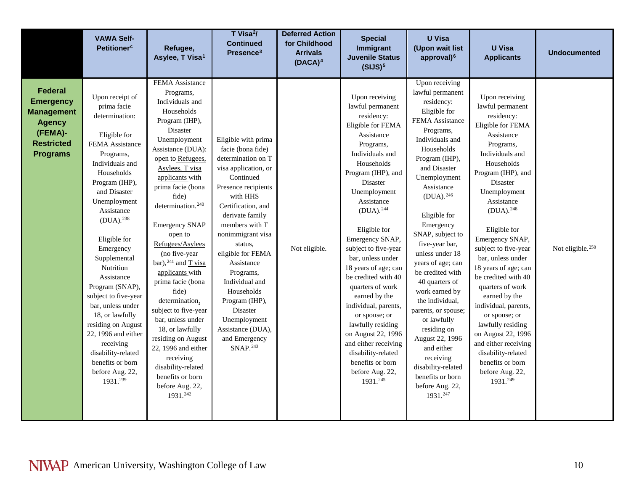<span id="page-9-1"></span><span id="page-9-0"></span>

|                                                                                                                             | <b>VAWA Self-</b><br><b>Petitioner<sup>c</sup></b>                                                                                                                                                                                                                                                                                                                                                                                                                                                                       | Refugee,<br>Asylee, T Visa <sup>1</sup>                                                                                                                                                                                                                                                                                                                                                                                                                                                                                                                                                                                             | T Visa <sup>2</sup> /<br><b>Continued</b><br>Presence <sup>3</sup>                                                                                                                                                                                                                                                                                                                                                            | <b>Deferred Action</b><br>for Childhood<br><b>Arrivals</b><br>$(DACA)^4$ | <b>Special</b><br>Immigrant<br><b>Juvenile Status</b><br>(SIJS) <sup>5</sup>                                                                                                                                                                                                                                                                                                                                                                                                                                                                                                 | <b>U</b> Visa<br>(Upon wait list<br>approval) <sup>6</sup>                                                                                                                                                                                                                                                                                                                                                                                                                                                                                                                            | <b>U</b> Visa<br><b>Applicants</b>                                                                                                                                                                                                                                                                                                                                                                                                                                                                                                                                           | <b>Undocumented</b>          |
|-----------------------------------------------------------------------------------------------------------------------------|--------------------------------------------------------------------------------------------------------------------------------------------------------------------------------------------------------------------------------------------------------------------------------------------------------------------------------------------------------------------------------------------------------------------------------------------------------------------------------------------------------------------------|-------------------------------------------------------------------------------------------------------------------------------------------------------------------------------------------------------------------------------------------------------------------------------------------------------------------------------------------------------------------------------------------------------------------------------------------------------------------------------------------------------------------------------------------------------------------------------------------------------------------------------------|-------------------------------------------------------------------------------------------------------------------------------------------------------------------------------------------------------------------------------------------------------------------------------------------------------------------------------------------------------------------------------------------------------------------------------|--------------------------------------------------------------------------|------------------------------------------------------------------------------------------------------------------------------------------------------------------------------------------------------------------------------------------------------------------------------------------------------------------------------------------------------------------------------------------------------------------------------------------------------------------------------------------------------------------------------------------------------------------------------|---------------------------------------------------------------------------------------------------------------------------------------------------------------------------------------------------------------------------------------------------------------------------------------------------------------------------------------------------------------------------------------------------------------------------------------------------------------------------------------------------------------------------------------------------------------------------------------|------------------------------------------------------------------------------------------------------------------------------------------------------------------------------------------------------------------------------------------------------------------------------------------------------------------------------------------------------------------------------------------------------------------------------------------------------------------------------------------------------------------------------------------------------------------------------|------------------------------|
| <b>Federal</b><br><b>Emergency</b><br><b>Management</b><br><b>Agency</b><br>(FEMA)-<br><b>Restricted</b><br><b>Programs</b> | Upon receipt of<br>prima facie<br>determination:<br>Eligible for<br>FEMA Assistance<br>Programs,<br>Individuals and<br>Households<br>Program (IHP),<br>and Disaster<br>Unemployment<br>Assistance<br>(DUA). <sup>238</sup><br>Eligible for<br>Emergency<br>Supplemental<br>Nutrition<br>Assistance<br>Program (SNAP),<br>subject to five-year<br>bar, unless under<br>18, or lawfully<br>residing on August<br>22, 1996 and either<br>receiving<br>disability-related<br>benefits or born<br>before Aug. 22,<br>1931.239 | FEMA Assistance<br>Programs,<br>Individuals and<br>Households<br>Program (IHP),<br>Disaster<br>Unemployment<br>Assistance (DUA):<br>open to Refugees,<br>Asylees, T visa<br>applicants with<br>prima facie (bona<br>fide)<br>determination. <sup>240</sup><br><b>Emergency SNAP</b><br>open to<br>Refugees/Asylees<br>(no five-year<br>bar), $241$ and T visa<br>applicants with<br>prima facie (bona<br>fide)<br>determination,<br>subject to five-year<br>bar, unless under<br>18, or lawfully<br>residing on August<br>22, 1996 and either<br>receiving<br>disability-related<br>benefits or born<br>before Aug. 22,<br>1931.242 | Eligible with prima<br>facie (bona fide)<br>determination on T<br>visa application, or<br>Continued<br>Presence recipients<br>with HHS<br>Certification, and<br>derivate family<br>members with T<br>nonimmigrant visa<br>status,<br>eligible for FEMA<br>Assistance<br>Programs,<br>Individual and<br>Households<br>Program (IHP),<br>Disaster<br>Unemployment<br>Assistance (DUA),<br>and Emergency<br>SNAP. <sup>243</sup> | Not eligible.                                                            | Upon receiving<br>lawful permanent<br>residency:<br>Eligible for FEMA<br>Assistance<br>Programs,<br>Individuals and<br>Households<br>Program (IHP), and<br>Disaster<br>Unemployment<br>Assistance<br>$(DUA).^{244}$<br>Eligible for<br>Emergency SNAP,<br>subject to five-year<br>bar, unless under<br>18 years of age; can<br>be credited with 40<br>quarters of work<br>earned by the<br>individual, parents,<br>or spouse; or<br>lawfully residing<br>on August 22, 1996<br>and either receiving<br>disability-related<br>benefits or born<br>before Aug. 22,<br>1931.245 | Upon receiving<br>lawful permanent<br>residency:<br>Eligible for<br>FEMA Assistance<br>Programs,<br>Individuals and<br>Households<br>Program (IHP),<br>and Disaster<br>Unemployment<br>Assistance<br>$(DUA).^{246}$<br>Eligible for<br>Emergency<br>SNAP, subject to<br>five-year bar,<br>unless under 18<br>years of age; can<br>be credited with<br>40 quarters of<br>work earned by<br>the individual,<br>parents, or spouse;<br>or lawfully<br>residing on<br>August 22, 1996<br>and either<br>receiving<br>disability-related<br>benefits or born<br>before Aug. 22,<br>1931.247 | Upon receiving<br>lawful permanent<br>residency:<br>Eligible for FEMA<br>Assistance<br>Programs,<br>Individuals and<br>Households<br>Program (IHP), and<br>Disaster<br>Unemployment<br>Assistance<br>$(DUA).^{248}$<br>Eligible for<br>Emergency SNAP,<br>subject to five-year<br>bar, unless under<br>18 years of age; can<br>be credited with 40<br>quarters of work<br>earned by the<br>individual, parents,<br>or spouse; or<br>lawfully residing<br>on August 22, 1996<br>and either receiving<br>disability-related<br>benefits or born<br>before Aug. 22,<br>1931.249 | Not eligible. <sup>250</sup> |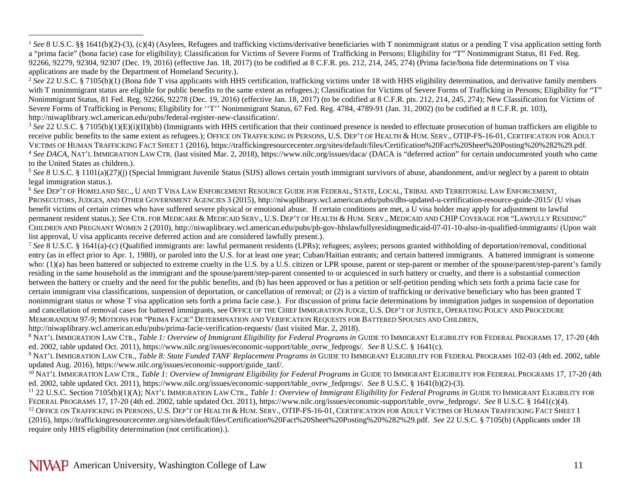<sup>2</sup> See 22 U.S.C. § 7105(b)(1) (Bona fide T visa applicants with HHS certification, trafficking victims under 18 with HHS eligibility determination, and derivative family members with T nonimmigrant status are eligible for public benefits to the same extent as refugees.); Classification for Victims of Severe Forms of Trafficking in Persons; Eligibility for "T" Nonimmigrant Status, 81 Fed. Reg. 92266, 92278 (Dec. 19, 2016) (effective Jan. 18, 2017) (to be codified at 8 C.F.R. pts. 212, 214, 245, 274); New Classification for Victims of Severe Forms of Trafficking in Persons; Eligibility for "T" Nonimmigrant Status, 67 Fed. Reg. 4784, 4789-91 (Jan. 31, 2002) (to be codified at 8 C.F.R. pt. 103), http://niwaplibrary.wcl.american.edu/pubs/federal-register-new-classification/.

<sup>3</sup> See 22 U.S.C. § 7105(b)(1)(E)(i)(II)(bb) (Immigrants with HHS certification that their continued presence is needed to effectuate prosecution of human traffickers are eligible to receive public benefits to the same extent as refugees.); OFFICE ON TRAFFICKING IN PERSONS, U.S. DEP'T OF HEALTH & HUM. SERV., OTIP-FS-16-01, CERTIFICATION FOR ADULT VICTIMS OF HUMAN TRAFFICKING FACT SHEET 1 (2016),<https://traffickingresourcecenter.org/sites/default/files/Certification%20Fact%20Sheet%20Posting%20%282%29.pdf>*.* <sup>4</sup> *See DACA*, NAT'L IMMIGRATION LAW CTR. (last visited Mar. 2, 2018), https://www.nilc.org/issues/daca/ (DACA is "deferred action" for certain undocumented youth who came to the United States as children.).

<sup>5</sup> See 8 U.S.C. § 1101(a)(27)(j) (Special Immigrant Juvenile Status (SIJS) allows certain youth immigrant survivors of abuse, abandonment, and/or neglect by a parent to obtain legal immigration status.).

<sup>6</sup> *See* DEP'T OF HOMELAND SEC., U AND T VISA LAW ENFORCEMENT RESOURCE GUIDE FOR FEDERAL, STATE, LOCAL, TRIBAL AND TERRITORIAL LAW ENFORCEMENT, PROSECUTORS, JUDGES, AND OTHER GOVERNMENT AGENCIES 3 (2015), http://niwaplibrary.wcl.american.edu/pubs/dhs-updated-u-certification-resource-guide-2015/ (U visas benefit victims of certain crimes who have suffered severe physical or emotional abuse. If certain conditions are met, a U visa holder may apply for adjustment to lawful permanent resident status.); *See* CTR. FOR MEDICARE & MEDICAID SERV., U.S. DEP'T OF HEALTH & HUM. SERV., MEDICAID AND CHIP COVERAGE FOR "LAWFULLY RESIDING" CHILDREN AND PREGNANT WOMEN 2 (2010)[, http://niwaplibrary.wcl.american.edu/pubs/pb-gov-hhslawfullyresidingmedicaid-07-01-10-also-in-qualified-immigrants/](http://niwaplibrary.wcl.american.edu/pubs/pb-gov-hhslawfullyresidingmedicaid-07-01-10-also-in-qualified-immigrants/) (Upon wait list approval, U visa applicants receive deferred action and are considered lawfully present.).<br>
<sup>7</sup> See 8 U.S.C. § 1641(a)-(c) (Qualified immigrants are: lawful permanent residents (LPRs); refugees; asylees; persons gran

entry (as in effect prior to Apr. 1, 1980), or paroled into the U.S. for at least one year; Cuban/Haitian entrants; and certain battered immigrants. A battered immigrant is someone who: (1)(a) has been battered or subjected to extreme cruelty in the U.S. by a U.S. citizen or LPR spouse, parent or step-parent or member of the spouse/parent/step-parent's family residing in the same household as the immigrant and the spouse/parent/step-parent consented to or acquiesced in such battery or cruelty, and there is a substantial connection between the battery or cruelty and the need for the public benefits, and (b) has been approved or has a petition or self-petition pending which sets forth a prima facie case for certain immigrant visa classifications, suspension of deportation, or cancellation of removal; or (2) is a victim of trafficking or derivative beneficiary who has been granted T nonimmigrant status or whose T visa application sets forth a prima facie case.). For discussion of prima facie determinations by immigration judges in suspension of deportation and cancellation of removal cases for battered immigrants, see OFFICE OF THE CHIEF IMMIGRATION JUDGE, U.S. DEP'T OF JUSTICE, OPERATING POLICY AND PROCEDURE MEMORANDUM 97-9; MOTIONS FOR "PRIMA FACIE" DETERMINATION AND VERIFICATION REQUESTS FOR BATTERED SPOUSES AND CHILDREN,

http://niwaplibrary.wcl.american.edu/pubs/prima-facie-verification-requests/ (last visited Mar. 2, 2018).

<sup>8</sup> NAT'L IMMIGRATION LAW CTR., *Table 1: Overview of Immigrant Eligibility for Federal Programs in* GUIDE TO IMMIGRANT ELIGIBILITY FOR FEDERAL PROGRAMS 17, 17-20 (4th ed. 2002, table updated Oct. 2011), https://www.nilc.org/issues/economic-support/table\_ovrw\_fedprogs/. *See* 8 U.S.C. § 1641(c).

<sup>9</sup> NAT'L IMMIGRATION LAW CTR., *Table 8: State Funded TANF Replacement Programs in* GUIDE TO IMMIGRANT ELIGIBILITY FOR FEDERAL PROGRAMS 102-03 (4th ed. 2002, table updated Aug. 2016)[, https://www.nilc.org/issues/economic-support/guide\\_tanf/.](https://www.nilc.org/issues/economic-support/guide_tanf/)

<sup>10</sup> NAT'L IMMIGRATION LAW CTR., *Table 1: Overview of Immigrant Eligibility for Federal Programs in* GUIDE TO IMMIGRANT ELIGIBILITY FOR FEDERAL PROGRAMS 17, 17-20 (4th ed. 2002, table updated Oct. 2011), https://www.nilc.org/issues/economic-support/table\_ovrw\_fedprogs/. *See* 8 U.S.C. § 1641(b)(2)-(3).

<sup>11</sup> 22 U.S.C. Section 7105(b)(1)(A); NAT'L IMMIGRATION LAW CTR., *Table 1: Overview of Immigrant Eligibility for Federal Programs in* GUIDE TO IMMIGRANT ELIGIBILITY FOR FEDERAL PROGRAMS 17, 17-20 (4th ed. 2002, table updated Oct. 2011), https://www.nilc.org/issues/economic-support/table\_ovrw\_fedprogs/. *See* 8 U.S.C. § 1641(c)(4). <sup>12</sup> Office on Trafficking in Persons, U.S. Dep't of Health & Hum. Serv., OTIP-FS-16-01, Certification for Adult Victims of Human Trafficking Fact Sheet 1 (2016)[, https://traffickingresourcecenter.org/sites/default/files/Certification%20Fact%20Sheet%20Posting%20%282%29.pdf.](https://traffickingresourcecenter.org/sites/default/files/Certification%20Fact%20Sheet%20Posting%20%282%29.pdf) *See* 22 U.S.C. § 7105(b) (Applicants under 18 require only HHS eligibility determination (not certification).).

<span id="page-10-1"></span><span id="page-10-0"></span> $\overline{a}$ 

<sup>&</sup>lt;sup>1</sup> See 8 U.S.C. §§ 1641(b)(2)-(3), (c)(4) (Asylees, Refugees and trafficking victims/derivative beneficiaries with T nonimmigrant status or a pending T visa application setting forth a "prima facie" (bona facie) case for eligibility); Classification for Victims of Severe Forms of Trafficking in Persons; Eligibility for "T" Nonimmigrant Status, 81 Fed. Reg. 92266, 92279, 92304, 92307 (Dec. 19, 2016) (effective Jan. 18, 2017) (to be codified at 8 C.F.R. pts. 212, 214, 245, 274) (Prima facie/bona fide determinations on T visa applications are made by the Department of Homeland Security.).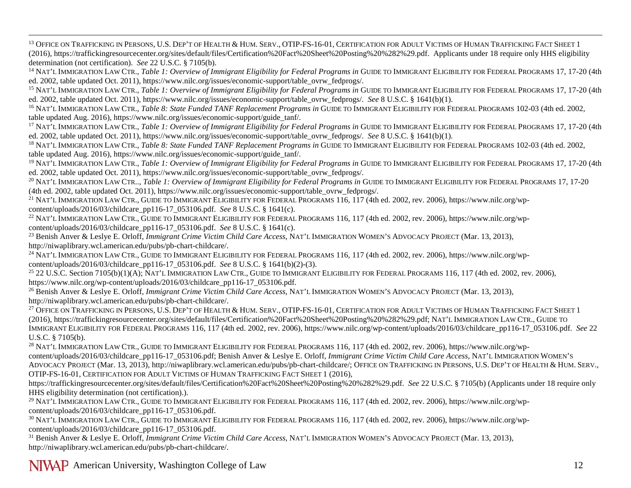<span id="page-11-1"></span><span id="page-11-0"></span><sup>13</sup> OFFICE ON TRAFFICKING IN PERSONS, U.S. DEP'T OF HEALTH & HUM. SERV., OTIP-FS-16-01, CERTIFICATION FOR ADULT VICTIMS OF HUMAN TRAFFICKING FACT SHEET 1 (2016)[, https://traffickingresourcecenter.org/sites/default/files/Certification%20Fact%20Sheet%20Posting%20%282%29.pdf.](https://traffickingresourcecenter.org/sites/default/files/Certification%20Fact%20Sheet%20Posting%20%282%29.pdf) Applicants under 18 require only HHS eligibility determination (not certification). See 22 U.S.C. § 7105(b).<br><sup>14</sup> NAT'L IMMIGRATION LAW CTR., *Table 1: Overview of Immigrant Eligibility for Federal Programs in GUIDE TO IMMIGRANT ELIGIBILITY FOR FEDERAL PROGRAMS 17, 17-20* 

ed. 2002, table updated Oct. 2011), https://www.nilc.org/issues/economic-support/table\_ovrw\_fedprogs/.

<sup>15</sup> NAT'L IMMIGRATION LAW CTR., *Table 1: Overview of Immigrant Eligibility for Federal Programs in* GUIDE TO IMMIGRANT ELIGIBILITY FOR FEDERAL PROGRAMS 17, 17-20 (4th ed. 2002, table updated Oct. 2011), https://www.nilc.org/issues/economic-support/table\_ovrw\_fedprogs/. *See* 8 U.S.C. § 1641(b)(1).

<sup>16</sup> NAT'L IMMIGRATION LAW CTR., *Table 8: State Funded TANF Replacement Programs in* GUIDE TO IMMIGRANT ELIGIBILITY FOR FEDERAL PROGRAMS 102-03 (4th ed. 2002, table updated Aug. 2016)[, https://www.nilc.org/issues/economic-support/guide\\_tanf/.](https://www.nilc.org/issues/economic-support/guide_tanf/)

<sup>17</sup> NAT'L IMMIGRATION LAW CTR., *Table 1: Overview of Immigrant Eligibility for Federal Programs in* GUIDE TO IMMIGRANT ELIGIBILITY FOR FEDERAL PROGRAMS 17, 17-20 (4th ed. 2002, table updated Oct. 2011), https://www.nilc.org/issues/economic-support/table\_ovrw\_fedprogs/. *See* 8 U.S.C. § 1641(b)(1).

<sup>18</sup> NAT'L IMMIGRATION LAW CTR., *Table 8: State Funded TANF Replacement Programs in* GUIDE TO IMMIGRANT ELIGIBILITY FOR FEDERAL PROGRAMS 102-03 (4th ed. 2002, table updated Aug. 2016)[, https://www.nilc.org/issues/economic-support/guide\\_tanf/.](https://www.nilc.org/issues/economic-support/guide_tanf/)

<sup>19</sup> NAT'L IMMIGRATION LAW CTR., *Table 1: Overview of Immigrant Eligibility for Federal Programs in* GUIDE TO IMMIGRANT ELIGIBILITY FOR FEDERAL PROGRAMS 17, 17-20 (4th ed. 2002, table updated Oct. 2011), https://www.nilc.org/issues/economic-support/table\_ovrw\_fedprogs/.

<sup>20</sup> NAT'L IMMIGRATION LAW CTR..., *Table 1: Overview of Immigrant Eligibility for Federal Programs in GUIDE TO IMMIGRANT ELIGIBILITY FOR FEDERAL PROGRAMS 17, 17-20* (4th ed. 2002, table updated Oct. 2011), https://www.nilc.org/issues/economic-support/table\_ovrw\_fedprogs/.

<sup>21</sup> NAT'L IMMIGRATION LAW CTR., GUIDE TO IMMIGRANT ELIGIBILITY FOR FEDERAL PROGRAMS 116, 117 (4th ed. 2002, rev. 2006)[, https://www.nilc.org/wp](https://www.nilc.org/wp-content/uploads/2016/03/childcare_pp116-17_053106.pdf)[content/uploads/2016/03/childcare\\_pp116-17\\_053106.pdf.](https://www.nilc.org/wp-content/uploads/2016/03/childcare_pp116-17_053106.pdf) *See* 8 U.S.C. § 1641(c).

<sup>22</sup> NAT'L IMMIGRATION LAW CTR., GUIDE TO IMMIGRANT ELIGIBILITY FOR FEDERAL PROGRAMS 116, 117 (4th ed. 2002, rev. 2006)[, https://www.nilc.org/wp](https://www.nilc.org/wp-content/uploads/2016/03/childcare_pp116-17_053106.pdf)[content/uploads/2016/03/childcare\\_pp116-17\\_053106.pdf.](https://www.nilc.org/wp-content/uploads/2016/03/childcare_pp116-17_053106.pdf) *See* 8 U.S.C. § 1641(c).

<sup>23</sup> Benish Anver & Leslye E. Orloff, *Immigrant Crime Victim Child Care Access*, NAT'L IMMIGRATION WOMEN'S ADVOCACY PROJECT (Mar. 13, 2013), [http://niwaplibrary.wcl.american.edu/pubs/pb-chart-childcare/.](http://niwaplibrary.wcl.american.edu/pubs/pb-chart-childcare/)

<sup>24</sup> NAT'L IMMIGRATION LAW CTR., GUIDE TO IMMIGRANT ELIGIBILITY FOR FEDERAL PROGRAMS 116, 117 (4th ed. 2002, rev. 2006)[, https://www.nilc.org/wp](https://www.nilc.org/wp-content/uploads/2016/03/childcare_pp116-17_053106.pdf)[content/uploads/2016/03/childcare\\_pp116-17\\_053106.pdf.](https://www.nilc.org/wp-content/uploads/2016/03/childcare_pp116-17_053106.pdf) *See* 8 U.S.C. § 1641(b)(2)-(3).

 $^{25}$  22 U.S.C. Section 7105(b)(1)(A); NAT'L IMMIGRATION LAW CTR., GUIDE TO IMMIGRANT ELIGIBILITY FOR FEDERAL PROGRAMS 116, 117 (4th ed. 2002, rev. 2006), [https://www.nilc.org/wp-content/uploads/2016/03/childcare\\_pp116-17\\_053106.pdf.](https://www.nilc.org/wp-content/uploads/2016/03/childcare_pp116-17_053106.pdf)

<sup>26</sup> Benish Anver & Leslye E. Orloff, *Immigrant Crime Victim Child Care Access*, NAT'L IMMIGRATION WOMEN'S ADVOCACY PROJECT (Mar. 13, 2013), [http://niwaplibrary.wcl.american.edu/pubs/pb-chart-childcare/.](http://niwaplibrary.wcl.american.edu/pubs/pb-chart-childcare/)

<sup>27</sup> OFFICE ON TRAFFICKING IN PERSONS, U.S. DEP'T OF HEALTH & HUM. SERV., OTIP-FS-16-01, CERTIFICATION FOR ADULT VICTIMS OF HUMAN TRAFFICKING FACT SHEET 1 (2016)[, https://traffickingresourcecenter.org/sites/default/files/Certification%20Fact%20Sheet%20Posting%20%282%29.pdf;](https://traffickingresourcecenter.org/sites/default/files/Certification%20Fact%20Sheet%20Posting%20%282%29.pdf) NAT'L IMMIGRATION LAW CTR., GUIDE TO IMMIGRANT ELIGIBILITY FOR FEDERAL PROGRAMS 116, 117 (4th ed. 2002, rev. 2006), [https://www.nilc.org/wp-content/uploads/2016/03/childcare\\_pp116-17\\_053106.pdf.](https://www.nilc.org/wp-content/uploads/2016/03/childcare_pp116-17_053106.pdf) *See* 22 U.S.C. § 7105(b).

<sup>28</sup> NAT'L IMMIGRATION LAW CTR., GUIDE TO IMMIGRANT ELIGIBILITY FOR FEDERAL PROGRAMS 116, 117 (4th ed. 2002, rev. 2006)[, https://www.nilc.org/wp](https://www.nilc.org/wp-content/uploads/2016/03/childcare_pp116-17_053106.pdf)[content/uploads/2016/03/childcare\\_pp116-17\\_053106.pdf;](https://www.nilc.org/wp-content/uploads/2016/03/childcare_pp116-17_053106.pdf) Benish Anver & Leslye E. Orloff, *Immigrant Crime Victim Child Care Access*, NAT'L IMMIGRATION WOMEN'S ADVOCACY PROJECT (Mar. 13, 2013)[, http://niwaplibrary.wcl.american.edu/pubs/pb-chart-childcare/;](http://niwaplibrary.wcl.american.edu/pubs/pb-chart-childcare/) OFFICE ON TRAFFICKING IN PERSONS, U.S. DEP'T OF HEALTH & HUM. SERV., OTIP-FS-16-01, CERTIFICATION FOR ADULT VICTIMS OF HUMAN TRAFFICKING FACT SHEET 1 (2016),

[https://traffickingresourcecenter.org/sites/default/files/Certification%20Fact%20Sheet%20Posting%20%282%29.pdf.](https://traffickingresourcecenter.org/sites/default/files/Certification%20Fact%20Sheet%20Posting%20%282%29.pdf) *See* 22 U.S.C. § 7105(b) (Applicants under 18 require only HHS eligibility determination (not certification).).<br><sup>29</sup> NAT'L IMMIGRATION LAW CTR., GUIDE TO IMMIGRANT ELIGIBILITY FOR FEDERAL PROGRAMS 116, 117 (4th ed. 2002, rev. 2006)[, https://www.nilc.org/wp-](https://www.nilc.org/wp-content/uploads/2016/03/childcare_pp116-17_053106.pdf)

[content/uploads/2016/03/childcare\\_pp116-17\\_053106.pdf.](https://www.nilc.org/wp-content/uploads/2016/03/childcare_pp116-17_053106.pdf)

<sup>30</sup> NAT'L IMMIGRATION LAW CTR., GUIDE TO IMMIGRANT ELIGIBILITY FOR FEDERAL PROGRAMS 116, 117 (4th ed. 2002, rev. 2006)[, https://www.nilc.org/wp](https://www.nilc.org/wp-content/uploads/2016/03/childcare_pp116-17_053106.pdf)[content/uploads/2016/03/childcare\\_pp116-17\\_053106.pdf.](https://www.nilc.org/wp-content/uploads/2016/03/childcare_pp116-17_053106.pdf)

<sup>31</sup> Benish Anver & Leslye E. Orloff, *Immigrant Crime Victim Child Care Access*, NAT'L IMMIGRATION WOMEN'S ADVOCACY PROJECT (Mar. 13, 2013), [http://niwaplibrary.wcl.american.edu/pubs/pb-chart-childcare/.](http://niwaplibrary.wcl.american.edu/pubs/pb-chart-childcare/)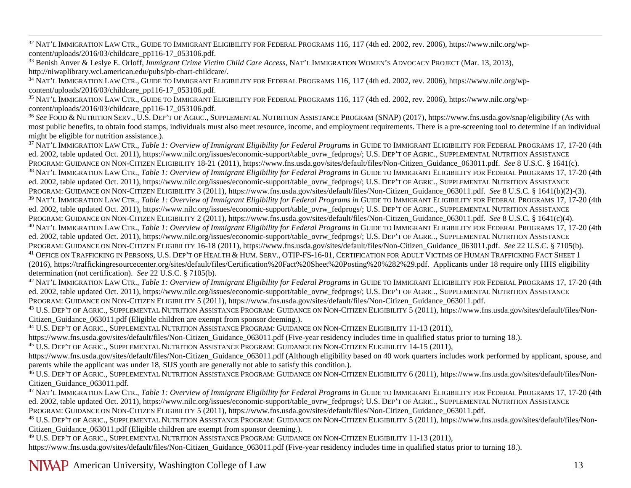<span id="page-12-4"></span><span id="page-12-3"></span><span id="page-12-2"></span><span id="page-12-1"></span><span id="page-12-0"></span> 32 NAT'L IMMIGRATION LAW CTR., GUIDE TO IMMIGRANT ELIGIBILITY FOR FEDERAL PROGRAMS 116, 117 (4th ed. 2002, rev. 2006)[, https://www.nilc.org/wp](https://www.nilc.org/wp-content/uploads/2016/03/childcare_pp116-17_053106.pdf)[content/uploads/2016/03/childcare\\_pp116-17\\_053106.pdf.](https://www.nilc.org/wp-content/uploads/2016/03/childcare_pp116-17_053106.pdf)

<sup>33</sup> Benish Anver & Leslye E. Orloff, *Immigrant Crime Victim Child Care Access*, NAT'L IMMIGRATION WOMEN'S ADVOCACY PROJECT (Mar. 13, 2013), [http://niwaplibrary.wcl.american.edu/pubs/pb-chart-childcare/.](http://niwaplibrary.wcl.american.edu/pubs/pb-chart-childcare/)

<sup>34</sup> NAT'L IMMIGRATION LAW CTR., GUIDE TO IMMIGRANT ELIGIBILITY FOR FEDERAL PROGRAMS 116, 117 (4th ed. 2002, rev. 2006)[, https://www.nilc.org/wp](https://www.nilc.org/wp-content/uploads/2016/03/childcare_pp116-17_053106.pdf)[content/uploads/2016/03/childcare\\_pp116-17\\_053106.pdf.](https://www.nilc.org/wp-content/uploads/2016/03/childcare_pp116-17_053106.pdf)

<sup>35</sup> NAT'L IMMIGRATION LAW CTR., GUIDE TO IMMIGRANT ELIGIBILITY FOR FEDERAL PROGRAMS 116, 117 (4th ed. 2002, rev. 2006)[, https://www.nilc.org/wp](https://www.nilc.org/wp-content/uploads/2016/03/childcare_pp116-17_053106.pdf)[content/uploads/2016/03/childcare\\_pp116-17\\_053106.pdf.](https://www.nilc.org/wp-content/uploads/2016/03/childcare_pp116-17_053106.pdf)

<sup>36</sup> See FOOD & NUTRITION SERV., U.S. DEP'T OF AGRIC., SUPPLEMENTAL NUTRITION ASSISTANCE PROGRAM (SNAP) (2017)[, https://www.fns.usda.gov/snap/eligibility](https://www.fns.usda.gov/snap/eligibility) (As with most public benefits, to obtain food stamps, individuals must also meet resource, income, and employment requirements. There is a pre-screening tool to determine if an individual might be eligible for nutrition assistance.).

<sup>37</sup> NAT'L IMMIGRATION LAW CTR., *Table 1: Overview of Immigrant Eligibility for Federal Programs in* GUIDE TO IMMIGRANT ELIGIBILITY FOR FEDERAL PROGRAMS 17, 17-20 (4th ed. 2002, table updated Oct. 2011), https://www.nilc.org/issues/economic-support/table\_ovrw\_fedprogs/; U.S. DEP'T OF AGRIC., SUPPLEMENTAL NUTRITION ASSISTANCE PROGRAM: GUIDANCE ON NON-CITIZEN ELIGIBILITY 18-21 (2011), [https://www.fns.usda.gov/sites/default/files/Non-Citizen\\_Guidance\\_063011.pdf.](https://www.fns.usda.gov/sites/default/files/Non-Citizen_Guidance_063011.pdf) See 8 U.S.C. § 1641(c). <sup>38</sup> NAT'L IMMIGRATION LAW CTR., *Table 1: Overview of Immigrant Eligibility for Federal Programs in* GUIDE TO IMMIGRANT ELIGIBILITY FOR FEDERAL PROGRAMS 17, 17-20 (4th ed. 2002, table updated Oct. 2011), https://www.nilc.org/issues/economic-support/table\_ovrw\_fedprogs/; U.S. DEP'T OF AGRIC., SUPPLEMENTAL NUTRITION ASSISTANCE PROGRAM: GUIDANCE ON NON-CITIZEN ELIGIBILITY 3 (2011)[, https://www.fns.usda.gov/sites/default/files/Non-Citizen\\_Guidance\\_063011.pdf.](https://www.fns.usda.gov/sites/default/files/Non-Citizen_Guidance_063011.pdf) *See* 8 U.S.C. § 1641(b)(2)-(3). <sup>39</sup> NAT'L IMMIGRATION LAW CTR., *Table 1: Overview of Immigrant Eligibility for Federal Programs in* GUIDE TO IMMIGRANT ELIGIBILITY FOR FEDERAL PROGRAMS 17, 17-20 (4th ed. 2002, table updated Oct. 2011), https://www.nilc.org/issues/economic-support/table\_ovrw\_fedprogs/; U.S. DEP'T OF AGRIC., SUPPLEMENTAL NUTRITION ASSISTANCE PROGRAM: GUIDANCE ON NON-CITIZEN ELIGIBILITY 2 (2011)[, https://www.fns.usda.gov/sites/default/files/Non-Citizen\\_Guidance\\_063011.pdf.](https://www.fns.usda.gov/sites/default/files/Non-Citizen_Guidance_063011.pdf) See 8 U.S.C. § 1641(c)(4). <sup>40</sup> NAT'L IMMIGRATION LAW CTR., *Table 1: Overview of Immigrant Eligibility for Federal Programs in* GUIDE TO IMMIGRANT ELIGIBILITY FOR FEDERAL PROGRAMS 17, 17-20 (4th ed. 2002, table updated Oct. 2011), https://www.nilc.org/issues/economic-support/table\_ovrw\_fedprogs/; U.S. DEP'T OF AGRIC., SUPPLEMENTAL NUTRITION ASSISTANCE PROGRAM: GUIDANCE ON NON-CITIZEN ELIGIBILITY 16-18 (2011), [https://www.fns.usda.gov/sites/default/files/Non-Citizen\\_Guidance\\_063011.pdf.](https://www.fns.usda.gov/sites/default/files/Non-Citizen_Guidance_063011.pdf) See 22 U.S.C. § 7105(b).<br><sup>41</sup> Office on Trafficking in Persons, U.S. Dep't of Health (2016)[, https://traffickingresourcecenter.org/sites/default/files/Certification%20Fact%20Sheet%20Posting%20%282%29.pdf.](https://traffickingresourcecenter.org/sites/default/files/Certification%20Fact%20Sheet%20Posting%20%282%29.pdf) Applicants under 18 require only HHS eligibility determination (not certification). See 22 U.S.C. § 7105(b).<br><sup>42</sup> NAT'L IMMIGRATION LAW CTR., *Table 1: Overview of Immigrant Eligibility for Federal Programs in GUIDE TO IMMIGRANT ELIGIBILITY FOR FEDERAL PROGRAMS 17, 17-20* 

ed. 2002, table updated Oct. 2011), https://www.nilc.org/issues/economic-support/table\_ovrw\_fedprogs/; U.S. DEP'T OF AGRIC., SUPPLEMENTAL NUTRITION ASSISTANCE PROGRAM: GUIDANCE ON NON-CITIZEN ELIGIBILITY 5 (2011)[, https://www.fns.usda.gov/sites/default/files/Non-Citizen\\_Guidance\\_063011.pdf.](https://www.fns.usda.gov/sites/default/files/Non-Citizen_Guidance_063011.pdf)

<sup>43</sup> U.S. DEP'T OF AGRIC., SUPPLEMENTAL NUTRITION ASSISTANCE PROGRAM: GUIDANCE ON NON-CITIZEN ELIGIBILITY 5 (2011)[, https://www.fns.usda.gov/sites/default/files/Non-](https://www.fns.usda.gov/sites/default/files/Non-Citizen_Guidance_063011.pdf)Citizen\_Guidance\_063011.pdf (Eligible children are exempt from sponsor deeming.). 44 U.S. DEP'T OF AGRIC., SUPPLEMENTAL NUTRITION ASSISTANCE PROGRAM: GUIDANCE ON NON-CITIZEN ELIGIBILITY 11-13 (2011),

https://www.fns.usda.gov/sites/default/files/Non-Citizen\_Guidance\_063011.pdf (Five-year residency includes time in qualified status prior to turning 18.).<br><sup>45</sup> U.S. DEP'T OF AGRIC., SUPPLEMENTAL NUTRITION ASSISTANCE PROGRA

https://www.fns.usda.gov/sites/default/files/Non-Citizen Guidance 063011.pdf (Although eligibility based on 40 work quarters includes work performed by applicant, spouse, and parents while the applicant was under 18, SIJS youth are generally not able to satisfy this condition.).

<sup>46</sup> U.S. DEP'T OF AGRIC., SUPPLEMENTAL NUTRITION ASSISTANCE PROGRAM: GUIDANCE ON NON-CITIZEN ELIGIBILITY 6 (2011)[, https://www.fns.usda.gov/sites/default/files/Non-](https://www.fns.usda.gov/sites/default/files/Non-Citizen_Guidance_063011.pdf)[Citizen\\_Guidance\\_063011.pdf.](https://www.fns.usda.gov/sites/default/files/Non-Citizen_Guidance_063011.pdf) 47 NAT'L IMMIGRATION LAW CTR., *Table 1: Overview of Immigrant Eligibility for Federal Programs in* GUIDE TO IMMIGRANT ELIGIBILITY FOR FEDERAL PROGRAMS 17, 17-20 (4th

ed. 2002, table updated Oct. 2011), https://www.nilc.org/issues/economic-support/table\_ovrw\_fedprogs/; U.S. DEP'T OF AGRIC., SUPPLEMENTAL NUTRITION ASSISTANCE PROGRAM: GUIDANCE ON NON-CITIZEN ELIGIBILITY 5 (2011)[, https://www.fns.usda.gov/sites/default/files/Non-Citizen\\_Guidance\\_063011.pdf.](https://www.fns.usda.gov/sites/default/files/Non-Citizen_Guidance_063011.pdf)

<sup>48</sup> U.S. DEP'T OF AGRIC., SUPPLEMENTAL NUTRITION ASSISTANCE PROGRAM: GUIDANCE ON NON-CITIZEN ELIGIBILITY 5 (2011), https://www.fns.usda.gov/sites/default/files/Non-<br>Citizen Guidance 063011.pdf (Eligible children are exemp

<sup>49</sup> U.S. DEP'T OF AGRIC., SUPPLEMENTAL NUTRITION ASSISTANCE PROGRAM: GUIDANCE ON NON-CITIZEN ELIGIBILITY 11-13 (2011), https://www.fns.usda.gov/sites/default/files/Non-Citizen Guidance 063011.pdf (Five-year residency includes time in qualified status prior to turning 18.).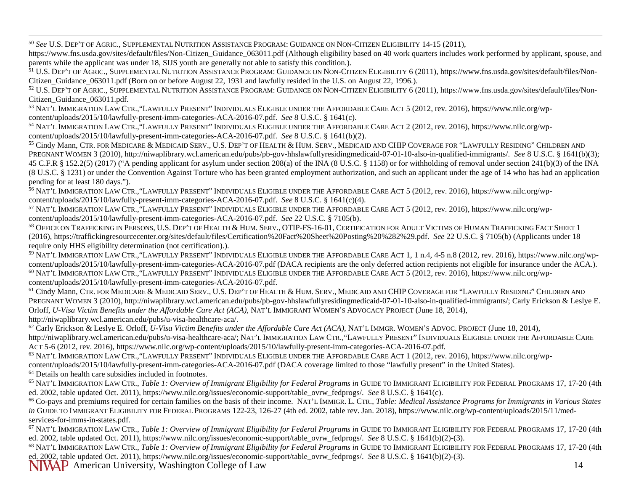<span id="page-13-2"></span><span id="page-13-1"></span><span id="page-13-0"></span>50 *See* U.S. DEP'T OF AGRIC., SUPPLEMENTAL NUTRITION ASSISTANCE PROGRAM: GUIDANCE ON NON-CITIZEN ELIGIBILITY 14-15 (2011),

https://www.fns.usda.gov/sites/default/files/Non-Citizen Guidance 063011.pdf (Although eligibility based on 40 work quarters includes work performed by applicant, spouse, and parents while the applicant was under 18, SIJS youth are generally not able to satisfy this condition.).

<sup>51</sup> U.S. DEP'T OF AGRIC., SUPPLEMENTAL NUTRITION ASSISTANCE PROGRAM: GUIDANCE ON NON-CITIZEN ELIGIBILITY 6 (2011)[, https://www.fns.usda.gov/sites/default/files/Non-](https://www.fns.usda.gov/sites/default/files/Non-Citizen_Guidance_063011.pdf)Citizen Guidance 063011.pdf (Born on or before August 22, 1931 and lawfully resided in the U.S. on August 22, 1996.).

<sup>52</sup> U.S. DEP'T OF AGRIC., SUPPLEMENTAL NUTRITION ASSISTANCE PROGRAM: GUIDANCE ON NON-CITIZEN ELIGIBILITY 6 (2011)[, https://www.fns.usda.gov/sites/default/files/Non-](https://www.fns.usda.gov/sites/default/files/Non-Citizen_Guidance_063011.pdf)[Citizen\\_Guidance\\_063011.pdf.](https://www.fns.usda.gov/sites/default/files/Non-Citizen_Guidance_063011.pdf) 53 NAT'L IMMIGRATION LAW CTR.*,*"LAWFULLY PRESENT" INDIVIDUALS ELIGIBLE UNDER THE AFFORDABLE CARE ACT 5 (2012, rev. 2016), [https://www.nilc.org/wp-](https://www.nilc.org/wp-content/uploads/2015/10/lawfully-present-imm-categories-ACA-2016-07.pdf)

[content/uploads/2015/10/lawfully-present-imm-categories-ACA-2016-07.pdf.](https://www.nilc.org/wp-content/uploads/2015/10/lawfully-present-imm-categories-ACA-2016-07.pdf) See 8 U.S.C. § 1641(c).<br><sup>54</sup> NAT'L IMMIGRATION LAW CTR., "LAWFULLY PRESENT" INDIVIDUALS ELIGIBLE UNDER THE AFFORDABLE CARE ACT 2 (2012, rev. 2016), h

[content/uploads/2015/10/lawfully-present-imm-categories-ACA-2016-07.pdf.](https://www.nilc.org/wp-content/uploads/2015/10/lawfully-present-imm-categories-ACA-2016-07.pdf) *See* 8 U.S.C. § 1641(b)(2).

<sup>55</sup> Cindy Mann, CTR. FOR MEDICARE & MEDICAID SERV., U.S. DEP'T OF HEALTH & HUM. SERV., MEDICAID AND CHIP COVERAGE FOR "LAWFULLY RESIDING" CHILDREN AND PREGNANT WOMEN 3 (2010)[, http://niwaplibrary.wcl.american.edu/pubs/pb-gov-hhslawfullyresidingmedicaid-07-01-10-also-in-qualified-immigrants/.](http://niwaplibrary.wcl.american.edu/pubs/pb-gov-hhslawfullyresidingmedicaid-07-01-10-also-in-qualified-immigrants/) *See* 8 U.S.C. § 1641(b)(3); 45 C.F.R § 152.2(5) (2017) ("A pending applicant for asylum under section 208(a) of the INA (8 U.S.C. § 1158) or for withholding of removal under section 241(b)(3) of the INA (8 U.S.C. § 1231) or under the Convention Against Torture who has been granted employment authorization, and such an applicant under the age of 14 who has had an application pending for at least 180 days.").

<sup>56</sup> NAT'L IMMIGRATION LAW CTR.*,*"LAWFULLY PRESENT" INDIVIDUALS ELIGIBLE UNDER THE AFFORDABLE CARE ACT 5 (2012, rev. 2016), [https://www.nilc.org/wp](https://www.nilc.org/wp-content/uploads/2015/10/lawfully-present-imm-categories-ACA-2016-07.pdf)[content/uploads/2015/10/lawfully-present-imm-categories-ACA-2016-07.pdf.](https://www.nilc.org/wp-content/uploads/2015/10/lawfully-present-imm-categories-ACA-2016-07.pdf) *See* 8 U.S.C. § 1641(c)(4).

<sup>57</sup> NAT'L IMMIGRATION LAW CTR., "LAWFULLY PRESENT" INDIVIDUALS ELIGIBLE UNDER THE AFFORDABLE CARE ACT 5 (2012, rev. 2016), https://www.nilc.org/wp-<br>content/uploads/2015/10/lawfully-present-imm-categories-ACA-2016-07.pdf.

<sup>58</sup> OFFICE ON TRAFFICKING IN PERSONS, U.S. DEP'T OF HEALTH & HUM. SERV., OTIP-FS-16-01, CERTIFICATION FOR ADULT VICTIMS OF HUMAN TRAFFICKING FACT SHEET 1 (2016)[, https://traffickingresourcecenter.org/sites/default/files/Certification%20Fact%20Sheet%20Posting%20%282%29.pdf.](https://traffickingresourcecenter.org/sites/default/files/Certification%20Fact%20Sheet%20Posting%20%282%29.pdf) *See* 22 U.S.C. § 7105(b) (Applicants under 18 require only HHS eligibility determination (not certification).).<br><sup>59</sup> NAT'L IMMIGRATION LAW CTR., "LAWFULLY PRESENT" INDIVIDUALS ELIGIBLE UNDER THE AFFORDABLE CARE ACT 1, 1 n.4, 4-5 n.8 (2012, rev. 2016), https://www.nilc

[content/uploads/2015/10/lawfully-present-imm-categories-ACA-2016-07.pdf](https://www.nilc.org/wp-content/uploads/2015/10/lawfully-present-imm-categories-ACA-2016-07.pdf) (DACA recipients are the only deferred action recipients not eligible for insurance under the ACA.). <sup>60</sup> NAT'L IMMIGRATION LAW CTR.*,*"LAWFULLY PRESENT" INDIVIDUALS ELIGIBLE UNDER THE AFFORDABLE CARE ACT 5 (2012, rev. 2016), [https://www.nilc.org/wp](https://www.nilc.org/wp-content/uploads/2015/10/lawfully-present-imm-categories-ACA-2016-07.pdf)[content/uploads/2015/10/lawfully-present-imm-categories-ACA-2016-07.pdf.](https://www.nilc.org/wp-content/uploads/2015/10/lawfully-present-imm-categories-ACA-2016-07.pdf)

<sup>61</sup> Cindy Mann, CTR. FOR MEDICARE & MEDICAID SERV., U.S. DEP'T OF HEALTH & HUM. SERV., MEDICAID AND CHIP COVERAGE FOR "LAWFULLY RESIDING" CHILDREN AND PREGNANT WOMEN 3 (2010)[, http://niwaplibrary.wcl.american.edu/pubs/pb-gov-hhslawfullyresidingmedicaid-07-01-10-also-in-qualified-immigrants/;](http://niwaplibrary.wcl.american.edu/pubs/pb-gov-hhslawfullyresidingmedicaid-07-01-10-also-in-qualified-immigrants/) Carly Erickson & Leslye E. Orloff, *U-Visa Victim Benefits under the Affordable Care Act (ACA),* NAT'L IMMIGRANT WOMEN'S ADVOCACY PROJECT (June 18, 2014), http://niwaplibrary.wcl.american.edu/pubs/u-visa-healthcare-aca/.

<sup>62</sup> Carly Erickson & Leslye E. Orloff, *U-Visa Victim Benefits under the Affordable Care Act (ACA),* NAT'L IMMGR. WOMEN'S ADVOC. PROJECT (June 18, 2014), http://niwaplibrary.wcl.american.edu/pubs/u-visa-healthcare-aca/; NAT'L IMMIGRATION LAW CTR.*,*"LAWFULLY PRESENT" INDIVIDUALS ELIGIBLE UNDER THE AFFORDABLE CARE ACT 5-6 (2012, rev. 2016), [https://www.nilc.org/wp-content/uploads/2015/10/lawfully-present-imm-categories-ACA-2016-07.pdf.](https://www.nilc.org/wp-content/uploads/2015/10/lawfully-present-imm-categories-ACA-2016-07.pdf)

<sup>63</sup> NAT'L IMMIGRATION LAW CTR.*,*"LAWFULLY PRESENT" INDIVIDUALS ELIGIBLE UNDER THE AFFORDABLE CARE ACT 1 (2012, rev. 2016), [https://www.nilc.org/wp](https://www.nilc.org/wp-content/uploads/2015/10/lawfully-present-imm-categories-ACA-2016-07.pdf)[content/uploads/2015/10/lawfully-present-imm-categories-ACA-2016-07.pdf](https://www.nilc.org/wp-content/uploads/2015/10/lawfully-present-imm-categories-ACA-2016-07.pdf) (DACA coverage limited to those "lawfully present" in the United States).

 $^{64}$  Details on health care subsidies included in footnotes.<br> $^{65}$  NAT'L IMMIGRATION LAW CTR., *Table 1: Overview of Immigrant Eligibility for Federal Programs in GUIDE TO IMMIGRANT ELIGIBILITY FOR FEDERAL PROGRAMS 17,* ed. 2002, table updated Oct. 2011), https://www.nilc.org/issues/economic-support/table\_ovrw\_fedprogs/. *See* 8 U.S.C. § 1641(c).

<sup>66</sup> Co-pays and premiums required for certain families on the basis of their income. NAT'L IMMIGR. L. CTR., *Table: Medical Assistance Programs for Immigrants in Various States in* GUIDE TO IMMIGRANT ELIGIBILITY FOR FEDERAL PROGRAMS 122-23, 126-27 (4th ed. 2002, table rev. Jan. 2018), [https://www.nilc.org/wp-content/uploads/2015/11/med](https://www.nilc.org/wp-content/uploads/2015/11/med-services-for-imms-in-states.pdf)[services-for-imms-in-states.pdf.](https://www.nilc.org/wp-content/uploads/2015/11/med-services-for-imms-in-states.pdf)

<sup>67</sup> NAT'L IMMIGRATION LAW CTR., *Table 1: Overview of Immigrant Eligibility for Federal Programs in* GUIDE TO IMMIGRANT ELIGIBILITY FOR FEDERAL PROGRAMS 17, 17-20 (4th ed. 2002, table updated Oct. 2011), https://www.nilc.org/issues/economic-support/table\_ovrw\_fedprogs/. *See* 8 U.S.C. § 1641(b)(2)-(3).

<sup>68</sup> NAT'L IMMIGRATION LAW CTR., *Table 1: Overview of Immigrant Eligibility for Federal Programs in* GUIDE TO IMMIGRANT ELIGIBILITY FOR FEDERAL PROGRAMS 17, 17-20 (4th ed. 2002, table updated Oct. 2011), https://www.nilc.org/issues/economic-support/table\_ovrw\_fedprogs/. *See* 8 U.S.C. § 1641(b)(2)-(3).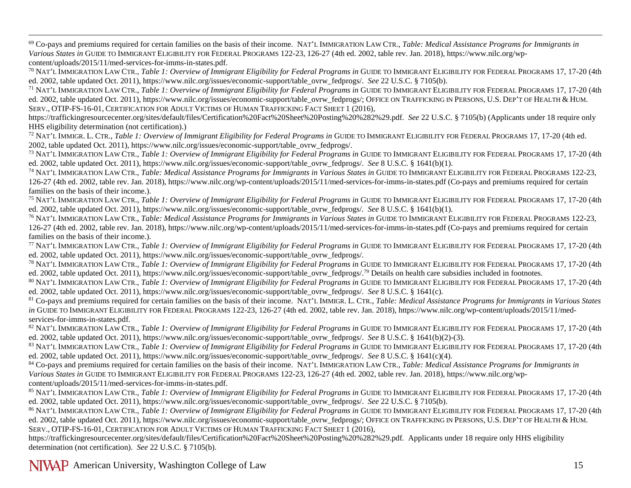<span id="page-14-1"></span><span id="page-14-0"></span> 69 Co-pays and premiums required for certain families on the basis of their income. NAT'L IMMIGRATION LAW CTR., *Table: Medical Assistance Programs for Immigrants in Various States in* GUIDE TO IMMIGRANT ELIGIBILITY FOR FEDERAL PROGRAMS 122-23, 126-27 (4th ed. 2002, table rev. Jan. 2018), [https://www.nilc.org/wp](https://www.nilc.org/wp-content/uploads/2015/11/med-services-for-imms-in-states.pdf)[content/uploads/2015/11/med-services-for-imms-in-states.pdf.](https://www.nilc.org/wp-content/uploads/2015/11/med-services-for-imms-in-states.pdf)

<sup>70</sup> NAT'L IMMIGRATION LAW CTR., *Table 1: Overview of Immigrant Eligibility for Federal Programs in* GUIDE TO IMMIGRANT ELIGIBILITY FOR FEDERAL PROGRAMS 17, 17-20 (4th ed. 2002, table updated Oct. 2011), https://www.nilc.org/issues/economic-support/table\_ovrw\_fedprogs/. *See* 22 U.S.C. § 7105(b).

<sup>71</sup> NAT'L IMMIGRATION LAW CTR., *Table 1: Overview of Immigrant Eligibility for Federal Programs in GUIDE TO IMMIGRANT ELIGIBILITY FOR FEDERAL PROGRAMS 17, 17-20 (4th* ed. 2002, table updated Oct. 2011), https://www.nilc.org/issues/economic-support/table\_ovrw\_fedprogs/; OFFICE ON TRAFFICKING IN PERSONS, U.S. DEP'T OF HEALTH & HUM. SERV., OTIP-FS-16-01, CERTIFICATION FOR ADULT VICTIMS OF HUMAN TRAFFICKING FACT SHEET 1 (2016),

[https://traffickingresourcecenter.org/sites/default/files/Certification%20Fact%20Sheet%20Posting%20%282%29.pdf.](https://traffickingresourcecenter.org/sites/default/files/Certification%20Fact%20Sheet%20Posting%20%282%29.pdf) *See* 22 U.S.C. § 7105(b) (Applicants under 18 require only HHS eligibility determination (not certification).)<br><sup>72</sup> NAT'L IMMIGR. L. CTR., *Table 1: Overview of Immigrant Eligibility for Federal Programs in GUIDE TO IMMIGRANT ELIGIBILITY FOR FEDERAL PROGRAMS 17, 17-20 (4th ed.* 

2002, table updated Oct. 2011), https://www.nilc.org/issues/economic-support/table\_ovrw\_fedprogs/.

<sup>73</sup> NAT'L IMMIGRATION LAW CTR., *Table 1: Overview of Immigrant Eligibility for Federal Programs in* GUIDE TO IMMIGRANT ELIGIBILITY FOR FEDERAL PROGRAMS 17, 17-20 (4th ed. 2002, table updated Oct. 2011), https://www.nilc.org/issues/economic-support/table\_ovrw\_fedprogs/. *See* 8 U.S.C. § 1641(b)(1).

<sup>74</sup> NAT'L IMMIGRATION LAW CTR., *Table: Medical Assistance Programs for Immigrants in Various States in* GUIDE TO IMMIGRANT ELIGIBILITY FOR FEDERAL PROGRAMS 122-23, 126-27 (4th ed. 2002, table rev. Jan. 2018),<https://www.nilc.org/wp-content/uploads/2015/11/med-services-for-imms-in-states.pdf> (Co-pays and premiums required for certain families on the basis of their income.).

<sup>75</sup> NAT'L IMMIGRATION LAW CTR., *Table 1: Overview of Immigrant Eligibility for Federal Programs in* GUIDE TO IMMIGRANT ELIGIBILITY FOR FEDERAL PROGRAMS 17, 17-20 (4th ed. 2002, table updated Oct. 2011), https://www.nilc.org/issues/economic-support/table\_ovrw\_fedprogs/. *See* 8 U.S.C. § 1641(b)(1).

<sup>76</sup> NAT'L IMMIGRATION LAW CTR., *Table: Medical Assistance Programs for Immigrants in Various States in* GUIDE TO IMMIGRANT ELIGIBILITY FOR FEDERAL PROGRAMS 122-23, 126-27 (4th ed. 2002, table rev. Jan. 2018),<https://www.nilc.org/wp-content/uploads/2015/11/med-services-for-imms-in-states.pdf> (Co-pays and premiums required for certain families on the basis of their income.).

<sup>77</sup> NAT'L IMMIGRATION LAW CTR., *Table 1: Overview of Immigrant Eligibility for Federal Programs in* GUIDE TO IMMIGRANT ELIGIBILITY FOR FEDERAL PROGRAMS 17, 17-20 (4th ed. 2002, table updated Oct. 2011), https://www.nilc.org/issues/economic-support/table\_ovrw\_fedprogs/.

<sup>78</sup> NAT'L IMMIGRATION LAW CTR., *Table 1: Overview of Immigrant Eligibility for Federal Programs in* GUIDE TO IMMIGRANT ELIGIBILITY FOR FEDERAL PROGRAMS 17, 17-20 (4th ed. 2002, table updated Oct. 2011), https://www.nilc.org/issues/economic-support/table\_ovrw\_fedprogs/.<sup>79</sup> Details on health care subsidies included in footnotes.

80 NAT'L IMMIGRATION LAW CTR., *Table 1: Overview of Immigrant Eligibility for Federal Programs in* GUIDE TO IMMIGRANT ELIGIBILITY FOR FEDERAL PROGRAMS 17, 17-20 (4th ed. 2002, table updated Oct. 2011), https://www.nilc.org/issues/economic-support/table\_ovrw\_fedprogs/. *See* 8 U.S.C. § 1641(c).

<sup>81</sup> Co-pays and premiums required for certain families on the basis of their income. NAT'L IMMIGR. L. CTR., *Table: Medical Assistance Programs for Immigrants in Various States in* GUIDE TO IMMIGRANT ELIGIBILITY FOR FEDERAL PROGRAMS 122-23, 126-27 (4th ed. 2002, table rev. Jan. 2018), [https://www.nilc.org/wp-content/uploads/2015/11/med](https://www.nilc.org/wp-content/uploads/2015/11/med-services-for-imms-in-states.pdf)[services-for-imms-in-states.pdf.](https://www.nilc.org/wp-content/uploads/2015/11/med-services-for-imms-in-states.pdf)

<sup>82</sup> NAT'L IMMIGRATION LAW CTR., *Table 1: Overview of Immigrant Eligibility for Federal Programs in* GUIDE TO IMMIGRANT ELIGIBILITY FOR FEDERAL PROGRAMS 17, 17-20 (4th ed. 2002, table updated Oct. 2011), https://www.nilc.org/issues/economic-support/table\_ovrw\_fedprogs/. *See* 8 U.S.C. § 1641(b)(2)-(3).

83 NAT'L IMMIGRATION LAW CTR., *Table 1: Overview of Immigrant Eligibility for Federal Programs in* GUIDE TO IMMIGRANT ELIGIBILITY FOR FEDERAL PROGRAMS 17, 17-20 (4th ed. 2002, table updated Oct. 2011), https://www.nilc.org/issues/economic-support/table\_ovrw\_fedprogs/. *See* 8 U.S.C. § 1641(c)(4).

<sup>84</sup> Co-pays and premiums required for certain families on the basis of their income. NAT'L IMMIGRATION LAW CTR., *Table: Medical Assistance Programs for Immigrants in Various States in* GUIDE TO IMMIGRANT ELIGIBILITY FOR FEDERAL PROGRAMS 122-23, 126-27 (4th ed. 2002, table rev. Jan. 2018), [https://www.nilc.org/wp](https://www.nilc.org/wp-content/uploads/2015/11/med-services-for-imms-in-states.pdf)[content/uploads/2015/11/med-services-for-imms-in-states.pdf.](https://www.nilc.org/wp-content/uploads/2015/11/med-services-for-imms-in-states.pdf)

85 NAT'L IMMIGRATION LAW CTR., *Table 1: Overview of Immigrant Eligibility for Federal Programs in* GUIDE TO IMMIGRANT ELIGIBILITY FOR FEDERAL PROGRAMS 17, 17-20 (4th ed. 2002, table updated Oct. 2011), https://www.nilc.org/issues/economic-support/table\_ovrw\_fedprogs/. *See* 22 U.S.C. § 7105(b).

86 NAT'L IMMIGRATION LAW CTR., *Table 1: Overview of Immigrant Eligibility for Federal Programs in* GUIDE TO IMMIGRANT ELIGIBILITY FOR FEDERAL PROGRAMS 17, 17-20 (4th ed. 2002, table updated Oct. 2011), https://www.nilc.org/issues/economic-support/table\_ovrw\_fedprogs/; OFFICE ON TRAFFICKING IN PERSONS, U.S. DEP'T OF HEALTH & HUM. SERV., OTIP-FS-16-01, CERTIFICATION FOR ADULT VICTIMS OF HUMAN TRAFFICKING FACT SHEET 1 (2016),

<https://traffickingresourcecenter.org/sites/default/files/Certification%20Fact%20Sheet%20Posting%20%282%29.pdf>*.* Applicants under 18 require only HHS eligibility determination (not certification). *See* 22 U.S.C. § 7105(b).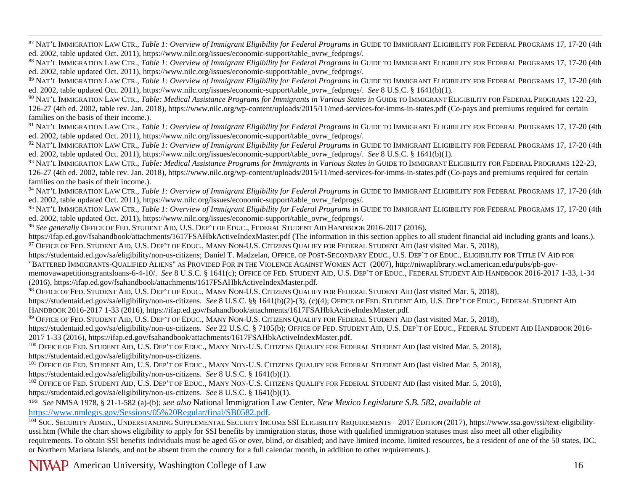<span id="page-15-0"></span>87 NAT'L IMMIGRATION LAW CTR., *Table 1: Overview of Immigrant Eligibility for Federal Programs in* GUIDE TO IMMIGRANT ELIGIBILITY FOR FEDERAL PROGRAMS 17, 17-20 (4th ed. 2002, table updated Oct. 2011), https://www.nilc.org/issues/economic-support/table\_ovrw\_fedprogs/.

88 NAT'L IMMIGRATION LAW CTR., *Table 1: Overview of Immigrant Eligibility for Federal Programs in* GUIDE TO IMMIGRANT ELIGIBILITY FOR FEDERAL PROGRAMS 17, 17-20 (4th ed. 2002, table updated Oct. 2011), https://www.nilc.org/issues/economic-support/table\_ovrw\_fedprogs/.

89 NAT'L IMMIGRATION LAW CTR., *Table 1: Overview of Immigrant Eligibility for Federal Programs in* GUIDE TO IMMIGRANT ELIGIBILITY FOR FEDERAL PROGRAMS 17, 17-20 (4th ed. 2002, table updated Oct. 2011), https://www.nilc.org/issues/economic-support/table\_ovrw\_fedprogs/. *See* 8 U.S.C. § 1641(b)(1).

<sup>90</sup> NAT'L IMMIGRATION LAW CTR., *Table: Medical Assistance Programs for Immigrants in Various States in* GUIDE TO IMMIGRANT ELIGIBILITY FOR FEDERAL PROGRAMS 122-23, 126-27 (4th ed. 2002, table rev. Jan. 2018),<https://www.nilc.org/wp-content/uploads/2015/11/med-services-for-imms-in-states.pdf> (Co-pays and premiums required for certain families on the basis of their income.).

<sup>91</sup> NAT'L IMMIGRATION LAW CTR., *Table 1: Overview of Immigrant Eligibility for Federal Programs in GUIDE TO IMMIGRANT ELIGIBILITY FOR FEDERAL PROGRAMS 17, 17-20 (4th* ed. 2002, table updated Oct. 2011), https://www.nilc.org/issues/economic-support/table\_ovrw\_fedprogs/.

<sup>92</sup> NAT'L IMMIGRATION LAW CTR., *Table 1: Overview of Immigrant Eligibility for Federal Programs in* GUIDE TO IMMIGRANT ELIGIBILITY FOR FEDERAL PROGRAMS 17, 17-20 (4th ed. 2002, table updated Oct. 2011), https://www.nilc.org/issues/economic-support/table\_ovrw\_fedprogs/. *See* 8 U.S.C. § 1641(b)(1).

<sup>93</sup> NAT'L IMMIGRATION LAW CTR., *Table: Medical Assistance Programs for Immigrants in Various States in* GUIDE TO IMMIGRANT ELIGIBILITY FOR FEDERAL PROGRAMS 122-23, 126-27 (4th ed. 2002, table rev. Jan. 2018),<https://www.nilc.org/wp-content/uploads/2015/11/med-services-for-imms-in-states.pdf> (Co-pays and premiums required for certain families on the basis of their income.).

<sup>94</sup> NAT'L IMMIGRATION LAW CTR., *Table 1: Overview of Immigrant Eligibility for Federal Programs in* GUIDE TO IMMIGRANT ELIGIBILITY FOR FEDERAL PROGRAMS 17, 17-20 (4th ed. 2002, table updated Oct. 2011), https://www.nilc.org/issues/economic-support/table\_ovrw\_fedprogs/.

<sup>95</sup> NAT'L IMMIGRATION LAW CTR., *Table 1: Overview of Immigrant Eligibility for Federal Programs in* GUIDE TO IMMIGRANT ELIGIBILITY FOR FEDERAL PROGRAMS 17, 17-20 (4th ed. 2002, table updated Oct. 2011), https://www.nilc.org/issues/economic-support/table\_ovrw\_fedprogs/.

<sup>96</sup> *See generally* OFFICE OF FED. STUDENT AID, U.S. DEP'T OF EDUC., FEDERAL STUDENT AID HANDBOOK 2016-2017 (2016),

<https://ifap.ed.gov/fsahandbook/attachments/1617FSAHbkActiveIndexMaster.pdf> (The information in this section applies to all student financial aid including grants and loans.). <sup>97</sup> OFFICE OF FED. STUDENT AID, U.S. DEP'T OF EDUC., MANY NON-U.S. CITIZENS QUALIFY FOR FEDERAL STUDENT AID (last visited Mar. 5, 2018),

[https://studentaid.ed.gov/sa/eligibility/non-us-citizens;](https://studentaid.ed.gov/sa/eligibility/non-us-citizens) Daniel T. Madzelan, OFFICE. OF POST-SECONDARY EDUC., U.S. DEP'T OF EDUC., ELIGIBILITY FOR TITLE IV AID FOR "BATTERED IMMIGRANTS-QUALIFIED ALIENS" AS PROVIDED FOR IN THE VIOLENCE AGAINST WOMEN ACT (2007), [http://niwaplibrary.wcl.american.edu/pubs/pb-gov-](http://niwaplibrary.wcl.american.edu/pubs/pb-gov-memovawapetitionsgrantsloans-6-4-10/)

[memovawapetitionsgrantsloans-6-4-10/.](http://niwaplibrary.wcl.american.edu/pubs/pb-gov-memovawapetitionsgrantsloans-6-4-10/) *See* 8 U.S.C. § 1641(c); OFFICE OF FED. STUDENT AID, U.S. DEP'T OF EDUC., FEDERAL STUDENT AID HANDBOOK 2016-2017 1-33, 1-34 (2016)[, https://ifap.ed.gov/fsahandbook/attachments/1617FSAHbkActiveIndexMaster.pdf.](https://ifap.ed.gov/fsahandbook/attachments/1617FSAHbkActiveIndexMaster.pdf)

<sup>98</sup> OFFICE OF FED. STUDENT AID, U.S. DEP'T OF EDUC., MANY NON-U.S. CITIZENS QUALIFY FOR FEDERAL STUDENT AID (last visited Mar. 5, 2018),

[https://studentaid.ed.gov/sa/eligibility/non-us-citizens.](https://studentaid.ed.gov/sa/eligibility/non-us-citizens) *See* 8 U.S.C. §§ 1641(b)(2)-(3), (c)(4); OFFICE OF FED. STUDENT AID, U.S. DEP'T OF EDUC., FEDERAL STUDENT AID HANDBOOK 2016-2017 1-33 (2016)[, https://ifap.ed.gov/fsahandbook/attachments/1617FSAHbkActiveIndexMaster.pdf.](https://ifap.ed.gov/fsahandbook/attachments/1617FSAHbkActiveIndexMaster.pdf)

<sup>99</sup> OFFICE OF FED. STUDENT AID, U.S. DEP'T OF EDUC., MANY NON-U.S. CITIZENS QUALIFY FOR FEDERAL STUDENT AID (last visited Mar. 5, 2018),

[https://studentaid.ed.gov/sa/eligibility/non-us-citizens.](https://studentaid.ed.gov/sa/eligibility/non-us-citizens) *See* 22 U.S.C. § 7105(b); OFFICE OF FED. STUDENT AID, U.S. DEP'T OF EDUC., FEDERAL STUDENT AID HANDBOOK 2016- 2017 1-33 (2016), [https://ifap.ed.gov/fsahandbook/attachments/1617FSAHbkActiveIndexMaster.pdf.](https://ifap.ed.gov/fsahandbook/attachments/1617FSAHbkActiveIndexMaster.pdf)

<sup>100</sup> OFFICE OF FED. STUDENT AID, U.S. DEP'T OF EDUC., MANY NON-U.S. CITIZENS QUALIFY FOR FEDERAL STUDENT AID (last visited Mar. 5, 2018), [https://studentaid.ed.gov/sa/eligibility/non-us-citizens.](https://studentaid.ed.gov/sa/eligibility/non-us-citizens)

<sup>101</sup> OFFICE OF FED. STUDENT AID, U.S. DEP'T OF EDUC., MANY NON-U.S. CITIZENS QUALIFY FOR FEDERAL STUDENT AID (last visited Mar. 5, 2018), [https://studentaid.ed.gov/sa/eligibility/non-us-citizens.](https://studentaid.ed.gov/sa/eligibility/non-us-citizens) *See* 8 U.S.C. § 1641(b)(1).

<sup>102</sup> OFFICE OF FED. STUDENT AID, U.S. DEP'T OF EDUC., MANY NON-U.S. CITIZENS QUALIFY FOR FEDERAL STUDENT AID (last visited Mar. 5, 2018), [https://studentaid.ed.gov/sa/eligibility/non-us-citizens.](https://studentaid.ed.gov/sa/eligibility/non-us-citizens) *See* 8 U.S.C. § 1641(b)(1).

<sup>103</sup> *See* NMSA 1978, § 21-1-582 (a)-(b); *see also* National Immigration Law Center, *New Mexico Legislature S.B. 58*2, *available at*

104 SOC. SECURITY ADMIN., UNDERSTANDING SUPPLEMENTAL SECURITY INCOME SSI ELIGIBILITY REQUIREMENTS - 2017 EDITION (2017), [https://www.ssa.gov/ssi/text-eligibility](https://www.ssa.gov/ssi/text-eligibility-ussi.htm)[ussi.htm](https://www.ssa.gov/ssi/text-eligibility-ussi.htm) (While the chart shows eligibility to apply for SSI benefits by immigration status, those with qualified immigration statuses must also meet all other eligibility requirements. To obtain SSI benefits individuals must be aged 65 or over, blind, or disabled; and have limited income, limited resources, be a resident of one of the 50 states, DC, or Northern Mariana Islands, and not be absent from the country for a full calendar month, in addition to other requirements.).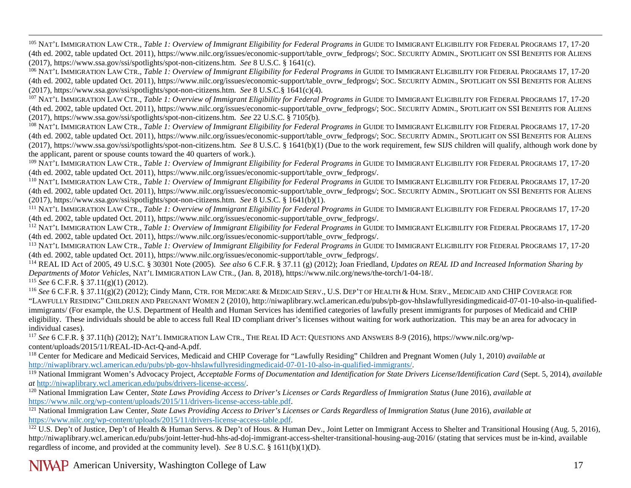<span id="page-16-0"></span><sup>105</sup> NAT'L IMMIGRATION LAW CTR., *Table 1: Overview of Immigrant Eligibility for Federal Programs in* GUIDE TO IMMIGRANT ELIGIBILITY FOR FEDERAL PROGRAMS 17, 17-20 (4th ed. 2002, table updated Oct. 2011), https://www.nilc.org/issues/economic-support/table\_ovrw\_fedprogs/; SOC. SECURITY ADMIN., SPOTLIGHT ON SSI BENEFITS FOR ALIENS (2017)[, https://www.ssa.gov/ssi/spotlights/spot-non-citizens.htm.](https://www.ssa.gov/ssi/spotlights/spot-non-citizens.htm) *See* 8 U.S.C. § 1641(c).

<sup>106</sup> NAT'L IMMIGRATION LAW CTR., *Table 1: Overview of Immigrant Eligibility for Federal Programs in* GUIDE TO IMMIGRANT ELIGIBILITY FOR FEDERAL PROGRAMS 17, 17-20 (4th ed. 2002, table updated Oct. 2011), https://www.nilc.org/issues/economic-support/table\_ovrw\_fedprogs/; SOC. SECURITY ADMIN., SPOTLIGHT ON SSI BENEFITS FOR ALIENS (2017)[, https://www.ssa.gov/ssi/spotlights/spot-non-citizens.htm.](https://www.ssa.gov/ssi/spotlights/spot-non-citizens.htm) *See* 8 U.S.C.§ 1641(c)(4).

<sup>107</sup> NAT'L IMMIGRATION LAW CTR., *Table 1: Overview of Immigrant Eligibility for Federal Programs in* GUIDE TO IMMIGRANT ELIGIBILITY FOR FEDERAL PROGRAMS 17, 17-20 (4th ed. 2002, table updated Oct. 2011), https://www.nilc.org/issues/economic-support/table\_ovrw\_fedprogs/; SOC. SECURITY ADMIN., SPOTLIGHT ON SSI BENEFITS FOR ALIENS (2017)[, https://www.ssa.gov/ssi/spotlights/spot-non-citizens.htm.](https://www.ssa.gov/ssi/spotlights/spot-non-citizens.htm) *See* 22 U.S.C. § 7105(b).

<sup>108</sup> NAT'L IMMIGRATION LAW CTR., *Table 1: Overview of Immigrant Eligibility for Federal Programs in* GUIDE TO IMMIGRANT ELIGIBILITY FOR FEDERAL PROGRAMS 17, 17-20 (4th ed. 2002, table updated Oct. 2011), https://www.nilc.org/issues/economic-support/table\_ovrw\_fedprogs/; SOC. SECURITY ADMIN., SPOTLIGHT ON SSI BENEFITS FOR ALIENS (2017)[, https://www.ssa.gov/ssi/spotlights/spot-non-citizens.htm.](https://www.ssa.gov/ssi/spotlights/spot-non-citizens.htm) *See* 8 U.S.C. § 1641(b)(1) (Due to the work requirement, few SIJS children will qualify, although work done by the applicant, parent or spouse counts toward the 40 quarters of work.).

<sup>109</sup> NAT'L IMMIGRATION LAW CTR., *Table 1: Overview of Immigrant Eligibility for Federal Programs in* GUIDE TO IMMIGRANT ELIGIBILITY FOR FEDERAL PROGRAMS 17, 17-20 (4th ed. 2002, table updated Oct. 2011), https://www.nilc.org/issues/economic-support/table\_ovrw\_fedprogs/.

<sup>110</sup> NAT'L IMMIGRATION LAW CTR., *Table 1: Overview of Immigrant Eligibility for Federal Programs in* GUIDE TO IMMIGRANT ELIGIBILITY FOR FEDERAL PROGRAMS 17, 17-20 (4th ed. 2002, table updated Oct. 2011), https://www.nilc.org/issues/economic-support/table\_ovrw\_fedprogs/; SOC. SECURITY ADMIN., SPOTLIGHT ON SSI BENEFITS FOR ALIENS (2017), https://www.ssa.gov/ssi/spotlights/spot-non-citizens.htm. See 8 U.S.C. § 1641(b)(1).<br><sup>111</sup> NAT'L IMMIGRATION LAW CTR., *Table 1: Overview of Immigrant Eligibility for Federal Programs in GUIDE TO IMMIGRANT ELIGIBIL* 

(4th ed. 2002, table updated Oct. 2011), https://www.nilc.org/issues/economic-support/table\_ovrw\_fedprogs/.

<sup>112</sup> NAT'L IMMIGRATION LAW CTR., *Table 1: Overview of Immigrant Eligibility for Federal Programs in* GUIDE TO IMMIGRANT ELIGIBILITY FOR FEDERAL PROGRAMS 17, 17-20 (4th ed. 2002, table updated Oct. 2011), https://www.nilc.org/issues/economic-support/table\_ovrw\_fedprogs/.

<sup>113</sup> NAT'L IMMIGRATION LAW CTR., *Table 1: Overview of Immigrant Eligibility for Federal Programs in* GUIDE TO IMMIGRANT ELIGIBILITY FOR FEDERAL PROGRAMS 17, 17-20 (4th ed. 2002, table updated Oct. 2011), https://www.nilc.org/issues/economic-support/table\_ovrw\_fedprogs/.

<sup>114</sup> REAL ID Act of 2005, 49 U.S.C. § 30301 Note (2005). *See also* 6 C.F.R. § 37.11 (g) (2012); Joan Friedland, *Updates on REAL ID and Increased Information Sharing by Departments of Motor Vehicles,* NAT'L IMMIGRATION LAW CTR., (Jan. 8, 2018), [https://www.nilc.org/news/the-torch/1-04-18/.](https://www.nilc.org/news/the-torch/1-04-18/) <sup>115</sup> *See* 6 C.F.R. § 37.11(g)(1) (2012).

<sup>116</sup> *See* 6 C.F.R. § 37.11(g)(2) (2012); Cindy Mann, CTR. FOR MEDICARE & MEDICAID SERV., U.S. DEP'T OF HEALTH & HUM. SERV., MEDICAID AND CHIP COVERAGE FOR "LAWFULLY RESIDING" CHILDREN AND PREGNANT WOMEN 2 (2010), [http://niwaplibrary.wcl.american.edu/pubs/pb-gov-hhslawfullyresidingmedicaid-07-01-10-also-in-qualified](http://niwaplibrary.wcl.american.edu/pubs/pb-gov-hhslawfullyresidingmedicaid-07-01-10-also-in-qualified-immigrants/)[immigrants/](http://niwaplibrary.wcl.american.edu/pubs/pb-gov-hhslawfullyresidingmedicaid-07-01-10-also-in-qualified-immigrants/) (For example, the U.S. Department of Health and Human Services has identified categories of lawfully present immigrants for purposes of Medicaid and CHIP eligibility. These individuals should be able to access full Real ID compliant driver's licenses without waiting for work authorization. This may be an area for advocacy in individual cases).

<sup>117</sup> *See* 6 C.F.R. § 37.11(h) (2012); NAT'L IMMIGRATION LAW CTR., THE REAL ID ACT: QUESTIONS AND ANSWERS 8-9 (2016), https://www.nilc.org/wpcontent/uploads/2015/11/REAL-ID-Act-Q-and-A.pdf.

<sup>118</sup> Center for Medicare and Medicaid Services, Medicaid and CHIP Coverage for "Lawfully Residing" Children and Pregnant Women (July 1, 2010) *available at*

http://niwaplibrary.wcl.american.edu/pubs/pb-gov-hhslawfullyresidingmedicaid-07-01-10-also-in-qualified-immigrants/.<br><sup>119</sup> National Immigrant Women's Advocacy Project, Acceptable Forms of Documentation and Identification f *at* [http://niwaplibrary.wcl.american.edu/pubs/drivers-license-access/.](http://niwaplibrary.wcl.american.edu/pubs/drivers-license-access/)

<sup>120</sup> National Immigration Law Center, *State Laws Providing Access to Driver's Licenses or Cards Regardless of Immigration Status* (June 2016), *available at*  [https://www.nilc.org/wp-content/uploads/2015/11/drivers-license-access-table.pdf.](https://www.nilc.org/wp-content/uploads/2015/11/drivers-license-access-table.pdf)

<sup>121</sup> National Immigration Law Center, *State Laws Providing Access to Driver's Licenses or Cards Regardless of Immigration Status* (June 2016), *available at*  [https://www.nilc.org/wp-content/uploads/2015/11/drivers-license-access-table.pdf.](https://www.nilc.org/wp-content/uploads/2015/11/drivers-license-access-table.pdf)

 $^{122}$  U.S. Dep't of Justice, Dep't of Health & Human Servs. & Dep't of Hous. & Human Dev., Joint Letter on Immigrant Access to Shelter and Transitional Housing (Aug. 5, 2016), http://niwaplibrary.wcl.american.edu/pubs/joint-letter-hud-hhs-ad-doj-immigrant-access-shelter-transitional-housing-aug-2016/ (stating that services must be in-kind, available regardless of income, and provided at the community level). *See* 8 U.S.C. § 1611(b)(1)(D).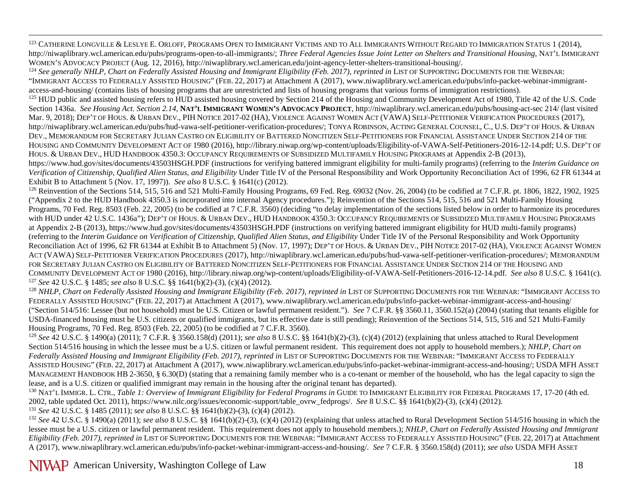<span id="page-17-1"></span><span id="page-17-0"></span><sup>123</sup> CATHERINE LONGVILLE & LESLYE E. ORLOFF, PROGRAMS OPEN TO IMMIGRANT VICTIMS AND TO ALL IMMIGRANTS WITHOUT REGARD TO IMMIGRATION STATUS 1 (2014), http://niwaplibrary.wcl.american.edu/pubs/programs-open-to-all-immigrants/; *Three Federal Agencies Issue Joint Letter on Shelters and Transitional Housing*, NAT'L IMMIGRANT WOMEN'S ADVOCACY PROJECT (Aug. 12, 2016), http://niwaplibrary.wcl.american.edu/joint-agency-letter-shelters-transitional-housing/.<br><sup>124</sup> See generally NHLP, Chart on Federally Assisted Housing and Immigrant Eligibility (Fe

"IMMIGRANT ACCESS TO FEDERALLY ASSISTED HOUSING" (FEB. 22, 2017) at Attachment A (2017), www.niwaplibrary.wcl.american.edu/pubs/info-packet-webinar-immigrantaccess-and-housing/ (contains lists of housing programs that are unrestricted and lists of housing programs that various forms of immigration restrictions).

<sup>125</sup> HUD public and assisted housing refers to HUD assisted housing covered by Section 214 of the Housing and Community Development Act of 1980, Title 42 of the U.S. Code Section 1436a. *See Housing Act. Section 2.14*, **NAT'L IMMIGRANT WOMEN'S ADVOCACY PROJECT**, http://niwaplibrary.wcl.american.edu/pubs/housing-act-sec 214/ (last visited Mar. 9, 2018); DEP'T OF HOUS. & URBAN DEV., PIH NOTICE 2017-02 (HA), VIOLENCE AGAINST WOMEN ACT (VAWA) SELF-PETITIONER VERIFICATION PROCEDURES (2017), http://niwaplibrary.wcl.american.edu/pubs/hud-vawa-self-petitioner-verification-procedures/; TONYA ROBINSON, ACTING GENERAL COUNSEL, C., U.S. DEP'T OF HOUS. & URBAN DEV., MEMORANDUM FOR SECRETARY JULIAN CASTRO ON ELIGIBILITY OF BATTERED NONCITIZEN SELF-PETITIONERS FOR FINANCIAL ASSISTANCE UNDER SECTION 214 OF THE HOUSING AND COMMUNITY DEVELOPMENT ACT OF 1980 (2016), http://library.niwap.org/wp-content/uploads/Eligibility-of-VAWA-Self-Petitioners-2016-12-14.pdf; U.S. DEP'T OF HOUS. & URBAN DEV., HUD HANDBOOK 4350.3: OCCUPANCY REQUIREMENTS OF SUBSIDIZED MULTIFAMILY HOUSING PROGRAMS at Appendix 2-B (2013),

https://www.hud.gov/sites/documents/43503HSGH.PDF (instructions for verifying battered immigrant eligibility for multi-family programs) (referring to the *Interim Guidance on Verification of Citizenship, Qualified Alien Status, and Eligibility* Under Title IV of the Personal Responsibility and Work Opportunity Reconciliation Act of 1996, 62 FR 61344 at Exhibit B to Attachment 5 (Nov. 17, 1997)

<sup>126</sup> Reinvention of the Sections 514, 515, 516 and 521 Multi-Family Housing Programs, 69 Fed. Reg. 69032 (Nov. 26, 2004) (to be codified at 7 C.F.R. pt. 1806, 1822, 1902, 1925 ("Appendix 2 to the HUD Handbook 4350.3 is incorporated into internal Agency procedures."); Reinvention of the Sections 514, 515, 516 and 521 Multi-Family Housing Programs, 70 Fed. Reg. 8503 (Feb. 22, 2005) (to be codified at 7 C.F.R. 3560) (deciding "to delay implementation of the sections listed below in order to harmonize its procedures with HUD under 42 U.S.C. 1436a"); DEP'T OF HOUS. & URBAN DEV., HUD HANDBOOK 4350.3: OCCUPANCY REQUIREMENTS OF SUBSIDIZED MULTIFAMILY HOUSING PROGRAMS at Appendix 2-B (2013), https://www.hud.gov/sites/documents/43503HSGH.PDF (instructions on verifying battered immigrant eligibility for HUD multi-family programs) (referring to the *Interim Guidance on Verification of Citizenship, Qualified Alien Status, and Eligibility* Under Title IV of the Personal Responsibility and Work Opportunity Reconciliation Act of 1996, 62 FR 61344 at Exhibit B to Attachment 5) (Nov. 17, 1997); DEP'T OF HOUS. & URBAN DEV., PIH NOTICE 2017-02 (HA), VIOLENCE AGAINST WOMEN ACT (VAWA) SELF-PETITIONER VERIFICATION PROCEDURES (2017), http://niwaplibrary.wcl.american.edu/pubs/hud-vawa-self-petitioner-verification-procedures/; MEMORANDUM FOR SECRETARY JULIAN CASTRO ON ELIGIBILITY OF BATTERED NONCITIZEN SELF-PETITIONERS FOR FINANCIAL ASSISTANCE UNDER SECTION 214 OF THE HOUSING AND COMMUNITY DEVELOPMENT ACT OF 1980 (2016), http://library.niwap.org/wp-content/uploads/Eligibility-of-VAWA-Self-Petitioners-2016-12-14.pdf. *See also* 8 U.S.C. § 1641(c).<br><sup>127</sup> See 42 U.S.C. § 1485; see also 8 U.S.C. §§ 164

<sup>128</sup> NHLP, Chart on Federally Assisted Housing and Immigrant Eligibility (Feb. 2017), reprinted in LIST OF SUPPORTING DOCUMENTS FOR THE WEBINAR: "IMMIGRANT ACCESS TO FEDERALLY ASSISTED HOUSING" (FEB. 22, 2017) at Attachment A (2017), www.niwaplibrary.wcl.american.edu/pubs/info-packet-webinar-immigrant-access-and-housing/ ("Section 514/516: Lessee (but not household) must be U.S. Citizen or lawful permanent resident."). *See* 7 C.F.R. §§ 3560.11, 3560.152(a) (2004) (stating that tenants eligible for USDA-financed housing must be U.S. citizens or qualified immigrants, but its effective date is still pending); Reinvention of the Sections 514, 515, 516 and 521 Multi-Family Housing Programs, 70 Fed. Reg. 8503 (Feb. 22, 2005) (to be codified at 7 C.F.R. 3560).

<sup>129</sup> *See* 42 U.S.C. § 1490(a) (2011); 7 C.F.R. § 3560.158(d) (2011); *see also* 8 U.S.C. §§ 1641(b)(2)-(3), (c)(4) (2012) (explaining that unless attached to Rural Development Section 514/516 housing in which the lessee must be a U.S. citizen or lawful permanent resident. This requirement does not apply to household members.); *NHLP, Chart on Federally Assisted Housing and Immigrant Eligibility (Feb. 2017)*, *reprinted in* LIST OF SUPPORTING DOCUMENTS FOR THE WEBINAR: "IMMIGRANT ACCESS TO FEDERALLY ASSISTED HOUSING" (FEB. 22, 2017) at Attachment A (2017), www.niwaplibrary.wcl.american.edu/pubs/info-packet-webinar-immigrant-access-and-housing/; USDA MFH ASSET MANAGEMENT HANDBOOK HB 2-3650, § 6.30(D) (stating that a remaining family member who is a co-tenant or member of the household, who has the legal capacity to sign the lease, and is a U.S. citizen or qualified immigrant may remain in the housing after the original tenant has departed).

<sup>130</sup> NAT'L IMMIGR. L. CTR., *Table 1: Overview of Immigrant Eligibility for Federal Programs in* GUIDE TO IMMIGRANT ELIGIBILITY FOR FEDERAL PROGRAMS 17, 17-20 (4th ed.<br>2002, table updated Oct. 2011), https://www.nilc.org/

<sup>131</sup> See 42 U.S.C. § 1485 (2011); see also 8 U.S.C. §§ 1641(b)(2)-(3), (c)(4) (2012).<br><sup>132</sup> See 42 U.S.C. § 1490(a) (2011); see also 8 U.S.C. §§ 1641(b)(2)-(3), (c)(4) (2012) (explaining that unless attached to Rural Dev lessee must be a U.S. citizen or lawful permanent resident. This requirement does not apply to household members.); *NHLP, Chart on Federally Assisted Housing and Immigrant Eligibility (Feb. 2017)*, *reprinted in* LIST OF SUPPORTING DOCUMENTS FOR THE WEBINAR: "IMMIGRANT ACCESS TO FEDERALLY ASSISTED HOUSING" (FEB. 22, 2017) at Attachment A (2017), www.niwaplibrary.wcl.american.edu/pubs/info-packet-webinar-immigrant-access-and-housing/. *See* 7 C.F.R. § 3560.158(d) (2011); *see also* USDA MFH ASSET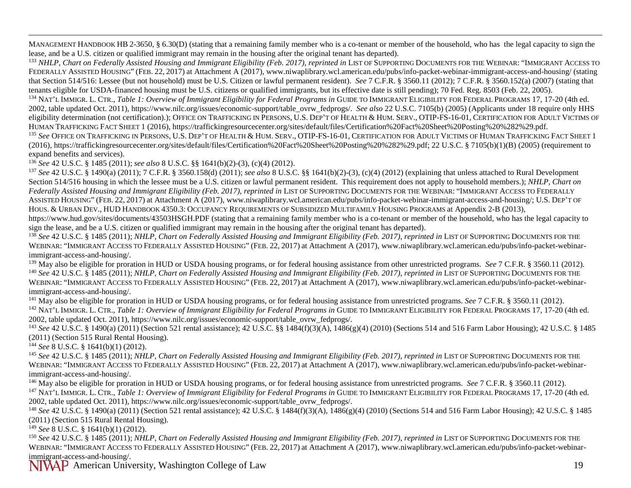<span id="page-18-1"></span><span id="page-18-0"></span>MANAGEMENT HANDBOOK HB 2-3650, § 6.30(D) (stating that a remaining family member who is a co-tenant or member of the household, who has the legal capacity to sign the lease, and be a U.S. citizen or qualified immigrant may remain in the housing after the original tenant has departed).

<sup>133</sup> *NHLP, Chart on Federally Assisted Housing and Immigrant Eligibility (Feb. 2017)*, *reprinted in* LIST OF SUPPORTING DOCUMENTS FOR THE WEBINAR: "IMMIGRANT ACCESS TO FEDERALLY ASSISTED HOUSING" (FEB. 22, 2017) at Attachment A (2017), www.niwaplibrary.wcl.american.edu/pubs/info-packet-webinar-immigrant-access-and-housing/ (stating that Section 514/516: Lessee (but not household) must be U.S. Citizen or lawful permanent resident). *See* 7 C.F.R. § 3560.11 (2012); 7 C.F.R. § 3560.152(a) (2007) (stating that

tenants eligible for USDA-financed housing must be U.S. citizens or qualified immigrants, but its effective date is still pending); 70 Fed. Reg. 8503 (Feb. 22, 2005).<br><sup>134</sup> NAT'L IMMIGR. L. CTR., *Table 1: Overview of Immi* 2002, table updated Oct. 2011), https://www.nilc.org/issues/economic-support/table\_ovrw\_fedprogs/. *See also* [22 U.S.C. 7105\(b\)](http://uscode.house.gov/quicksearch/get.plx?title=22§ion=7105) (2005) (Applicants under 18 require only HHS eligibility determination (not certification).); OFFICE ON TRAFFICKING IN PERSONS, U.S. DEP'T OF HEALTH & HUM. SERV., OTIP-FS-16-01, CERTIFICATION FOR ADULT VICTIMS OF

HUMAN TRAFFICKING FACT SHEET 1 (2016), https://traffickingresourcecenter.org/sites/default/files/Certification%20Fact%20Sheet%20Posting%20%282%29.pdf.<br><sup>135</sup> See Office on Trafficking in Persons, U.S. Dep't of Health & HUM. (2016)[, https://traffickingresourcecenter.org/sites/default/files/Certification%20Fact%20Sheet%20Posting%20%282%29.pdf;](https://traffickingresourcecenter.org/sites/default/files/Certification%20Fact%20Sheet%20Posting%20%282%29.pdf) 22 U.S.C. § 7105(b)(1)(B) (2005) (requirement to expand benefits and services).

<sup>136</sup> See 42 U.S.C. § 1485 (2011); see also 8 U.S.C. §§ 1641(b)(2)-(3), (c)(4) (2012).<br><sup>137</sup> See 42 U.S.C. § 1490(a) (2011); 7 C.F.R. § 3560.158(d) (2011); see also 8 U.S.C. §§ 1641(b)(2)-(3), (c)(4) (2012) (explaining th Section 514/516 housing in which the lessee must be a U.S. citizen or lawful permanent resident. This requirement does not apply to household members.); *NHLP, Chart on Federally Assisted Housing and Immigrant Eligibility (Feb. 2017)*, *reprinted in* LIST OF SUPPORTING DOCUMENTS FOR THE WEBINAR: "IMMIGRANT ACCESS TO FEDERALLY ASSISTED HOUSING" (FEB. 22, 2017) at Attachment A (2017), www.niwaplibrary.wcl.american.edu/pubs/info-packet-webinar-immigrant-access-and-housing/; U.S. DEP'T OF HOUS. & URBAN DEV., HUD HANDBOOK 4350.3: OCCUPANCY REQUIREMENTS OF SUBSIDIZED MULTIFAMILY HOUSING PROGRAMS at Appendix 2-B (2013),

https://www.hud.gov/sites/documents/43503HSGH.PDF (stating that a remaining family member who is a co-tenant or member of the household, who has the legal capacity to sign the lease, and be a U.S. citizen or qualified immigrant may remain in the housing after the original tenant has departed).

<sup>138</sup> *See* 42 U.S.C. § 1485 (2011); *NHLP, Chart on Federally Assisted Housing and Immigrant Eligibility (Feb. 2017)*, *reprinted in* LIST OF SUPPORTING DOCUMENTS FOR THE WEBINAR: "IMMIGRANT ACCESS TO FEDERALLY ASSISTED HOUSING" (FEB. 22, 2017) at Attachment A (2017), www.niwaplibrary.wcl.american.edu/pubs/info-packet-webinarimmigrant-access-and-housing/.<br><sup>139</sup> May also be eligible for proration in HUD or USDA housing programs, or for federal housing assistance from other unrestricted programs. *See* 7 C.F.R. § 3560.11 (2012).

<sup>140</sup> See 42 U.S.C. § 1485 (2011); NHLP, Chart on Federally Assisted Housing and Immigrant Eligibility (Feb. 2017), reprinted in LIST OF SUPPORTING DOCUMENTS FOR THE WEBINAR: "IMMIGRANT ACCESS TO FEDERALLY ASSISTED HOUSING" (FEB. 22, 2017) at Attachment A (2017), www.niwaplibrary.wcl.american.edu/pubs/info-packet-webinar-

immigrant-access-and-housing/.<br><sup>141</sup> May also be eligible for proration in HUD or USDA housing programs, or for federal housing assistance from unrestricted programs. *See* 7 C.F.R. § 3560.11 (2012).<br><sup>142</sup> NAT'L IMMIGR. L. 2002, table updated Oct. 2011), https://www.nilc.org/issues/economic-support/table\_ovrw\_fedprogs/.<br><sup>143</sup> See 42 U.S.C. § 1490(a) (2011) (Section 521 rental assistance); 42 U.S.C. §§ 1484(f)(3)(A), 1486(g)(4) (2010) (Sectio

(2011) (Section 515 Rural Rental Housing).

<sup>144</sup> *See* 8 U.S.C. § 1641(b)(1) (2012).

<sup>145</sup> *See* 42 U.S.C. § 1485 (2011); *NHLP, Chart on Federally Assisted Housing and Immigrant Eligibility (Feb. 2017)*, *reprinted in* LIST OF SUPPORTING DOCUMENTS FOR THE WEBINAR: "IMMIGRANT ACCESS TO FEDERALLY ASSISTED HOUSING" (FEB. 22, 2017) at Attachment A (2017), www.niwaplibrary.wcl.american.edu/pubs/info-packet-webinarimmigrant-access-and-housing/.<br><sup>146</sup> May also be eligible for proration in HUD or USDA housing programs, or for federal housing assistance from unrestricted programs. *See* 7 C.F.R. § 3560.11 (2012).

<sup>147</sup> NAT'L IMMIGR. L. CTR., *Table 1: Overview of Immigrant Eligibility for Federal Programs in GUIDE TO IMMIGRANT ELIGIBILITY FOR FEDERAL PROGRAMS 17, 17-20 (4th ed.* 2002, table updated Oct. 2011), https://www.nilc.org/issues/economic-support/table\_ovrw\_fedprogs/.

<sup>148</sup> *See* 42 U.S.C. § 1490(a) (2011) (Section 521 rental assistance); 42 U.S.C. § 1484(f)(3)(A), 1486(g)(4) (2010) (Sections 514 and 516 Farm Labor Housing); 42 U.S.C. § 1485 (2011) (Section 515 Rural Rental Housing).

<sup>149</sup> *See* 8 U.S.C. § 1641(b)(1) (2012).

<sup>150</sup> *See* 42 U.S.C. § 1485 (2011); *NHLP, Chart on Federally Assisted Housing and Immigrant Eligibility (Feb. 2017)*, *reprinted in* LIST OF SUPPORTING DOCUMENTS FOR THE WEBINAR: "IMMIGRANT ACCESS TO FEDERALLY ASSISTED HOUSING" (FEB. 22, 2017) at Attachment A (2017), www.niwaplibrary.wcl.american.edu/pubs/info-packet-webinarimmigrant-access-and-housing/.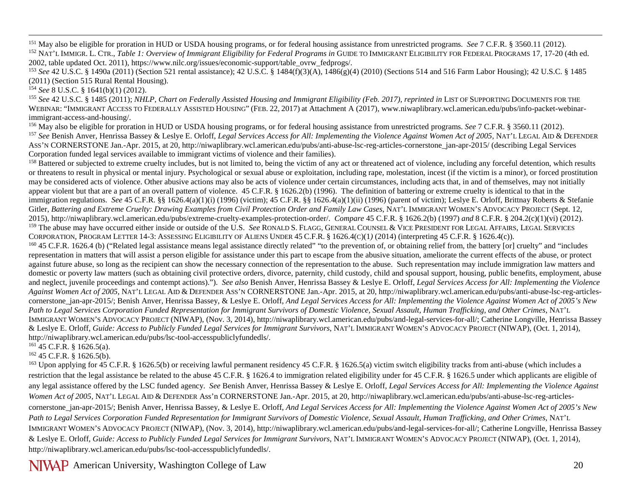<span id="page-19-0"></span><sup>151</sup> May also be eligible for proration in HUD or USDA housing programs, or for federal housing assistance from unrestricted programs. *See* 7 C.F.R. § 3560.11 (2012).<br><sup>152</sup> NAT'L IMMIGR. L. CTR., *Table 1: Overview of Im* 2002, table updated Oct. 2011), https://www.nilc.org/issues/economic-support/table\_ovrw\_fedprogs/.

<sup>153</sup> *See* 42 U.S.C. § 1490a (2011) (Section 521 rental assistance); 42 U.S.C. § 1484(f)(3)(A), 1486(g)(4) (2010) (Sections 514 and 516 Farm Labor Housing); 42 U.S.C. § 1485 (2011) (Section 515 Rural Rental Housing).

<sup>154</sup> *See* 8 U.S.C. § 1641(b)(1) (2012).

<sup>155</sup> *See* 42 U.S.C. § 1485 (2011); *NHLP, Chart on Federally Assisted Housing and Immigrant Eligibility (Feb. 2017)*, *reprinted in* LIST OF SUPPORTING DOCUMENTS FOR THE WEBINAR: "IMMIGRANT ACCESS TO FEDERALLY ASSISTED HOUSING" (FEB. 22, 2017) at Attachment A (2017), www.niwaplibrary.wcl.american.edu/pubs/info-packet-webinar-

immigrant-access-and-housing/.<br><sup>156</sup> May also be eligible for proration in HUD or USDA housing programs, or for federal housing assistance from unrestricted programs. See 7 C.F.R. § 3560.11 (2012).<br><sup>157</sup> See Benish Anver, ASS'N CORNERSTONE Jan.-Apr. 2015, at 20, http://niwaplibrary.wcl.american.edu/pubs/anti-abuse-lsc-reg-articles-cornerstone\_jan-apr-2015/ (describing Legal Services Corporation funded legal services available to immigrant victims of violence and their families).

<sup>158</sup> Battered or subjected to extreme cruelty includes, but is not limited to, being the victim of any act or threatened act of violence, including any forceful detention, which results or threatens to result in physical or mental injury. Psychological or sexual abuse or exploitation, including rape, molestation, incest (if the victim is a minor), or forced prostitution may be considered acts of violence. Other abusive actions may also be acts of violence under certain circumstances, including acts that, in and of themselves, may not initially appear violent but that are a part of an overall pattern of violence. 45 C.F.R. § 1626.2(b) (1996). The definition of battering or extreme cruelty is identical to that in the immigration regulations. *See* 45 C.F.R. §§ 1626.4(a)(1)(i) (1996) (victim); 45 C.F.R. §§ 1626.4(a)(1)(ii) (1996) (parent of victim); Leslye E. Orloff, Brittnay Roberts & Stefanie Gitler, *Battering and Extreme Cruelty: Drawing Examples from Civil Protection Order and Family Law Cases*, NAT'L IMMIGRANT WOMEN'S ADVOCACY PROJECT (Sept. 12, 2015), http://niwaplibrary.wcl.american.edu/pubs/extreme-cruelty-examples-protection-order/. *Compare* 45 C.F.R. § 1626.2(b) (1997) *and* 8 C.F.R. § 204.2(c)(1)(vi) (2012). <sup>159</sup> The abuse may have occurred either inside or outside of the U.S. *See* RONALD S. FLAGG, GENERAL COUNSEL & VICE PRESIDENT FOR LEGAL AFFAIRS, LEGAL SERVICES CORPORATION, PROGRAM LETTER 14-3: ASSESSING ELIGIBILITY OF ALIENS UNDER 45 C.F.R. § 1626.4(C)(1*)* (2014) (interpreting 45 C.F.R. § 1626.4(c)).

<sup>160</sup> 45 C.F.R. 1626.4 (b) ("Related legal assistance means legal assistance directly related" "to the prevention of, or obtaining relief from, the battery [or] cruelty" and "includes representation in matters that will assist a person eligible for assistance under this part to escape from the abusive situation, ameliorate the current effects of the abuse, or protect against future abuse, so long as the recipient can show the necessary connection of the representation to the abuse. Such representation may include immigration law matters and domestic or poverty law matters (such as obtaining civil protective orders, divorce, paternity, child custody, child and spousal support, housing, public benefits, employment, abuse and neglect, juvenile proceedings and contempt actions)."). *See also* Benish Anver, Henrissa Bassey & Leslye E. Orloff, *Legal Services Access for All: Implementing the Violence Against Women Act of 2005,* NAT'L LEGAL AID & DEFENDER ASS'N CORNERSTONE Jan.-Apr. 2015, at 20, http://niwaplibrary.wcl.american.edu/pubs/anti-abuse-lsc-reg-articlescornerstone jan-apr-2015/; Benish Anver, Henrissa Bassey, & Leslye E. Orloff, *And Legal Services Access for All: Implementing the Violence Against Women Act of 2005's New* Path to Legal Services Corporation Funded Representation for Immigrant Survivors of Domestic Violence, Sexual Assault, Human Trafficking, and Other Crimes, NAT'L IMMIGRANT WOMEN'S ADVOCACY PROJECT (NIWAP), (Nov. 3, 2014), http://niwaplibrary.wcl.american.edu/pubs/and-legal-services-for-all/; Catherine Longville, Henrissa Bassey & Leslye E. Orloff, *Guide: Access to Publicly Funded Legal Services for Immigrant Survivors*, NAT'L IMMIGRANT WOMEN'S ADVOCACY PROJECT (NIWAP), (Oct. 1, 2014)*,*  http://niwaplibrary.wcl.american.edu/pubs/lsc-tool-accesspubliclyfundedls/.

 $161$  45 C.F.R. § 1626.5(a).

<sup>162</sup> 45 C.F.R. § 1626.5(b).

<sup>163</sup> Upon applying for 45 C.F.R. § 1626.5(b) or receiving lawful permanent residency 45 C.F.R. § 1626.5(a) victim switch eligibility tracks from anti-abuse (which includes a restriction that the legal assistance be related to the abuse 45 C.F.R. § 1626.4 to immigration related eligibility under for 45 C.F.R. § 1626.5 under which applicants are eligible of any legal assistance offered by the LSC funded agency. *See* Benish Anver, Henrissa Bassey & Leslye E. Orloff, *Legal Services Access for All: Implementing the Violence Against Women Act of 2005,* NAT'L LEGAL AID & DEFENDER Ass'n CORNERSTONE Jan.-Apr. 2015, at 20, http://niwaplibrary.wcl.american.edu/pubs/anti-abuse-lsc-reg-articlescornerstone jan-apr-2015/; Benish Anver, Henrissa Bassey, & Leslye E. Orloff, *And Legal Services Access for All: Implementing the Violence Against Women Act of 2005's New* Path to Legal Services Corporation Funded Representation for Immigrant Survivors of Domestic Violence, Sexual Assault, Human Trafficking, and Other Crimes, NAT'L IMMIGRANT WOMEN'S ADVOCACY PROJECT (NIWAP), (Nov. 3, 2014), http://niwaplibrary.wcl.american.edu/pubs/and-legal-services-for-all/; Catherine Longville, Henrissa Bassey & Leslye E. Orloff, *Guide: Access to Publicly Funded Legal Services for Immigrant Survivors*, NAT'L IMMIGRANT WOMEN'S ADVOCACY PROJECT (NIWAP), (Oct. 1, 2014)*,*  http://niwaplibrary.wcl.american.edu/pubs/lsc-tool-accesspubliclyfundedls/.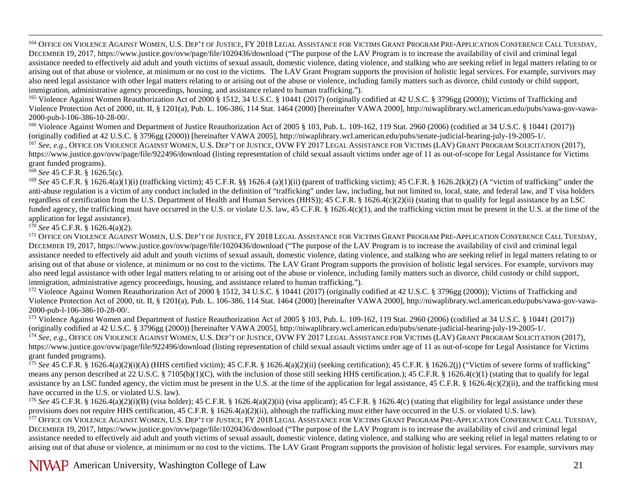<span id="page-20-1"></span><span id="page-20-0"></span><sup>164</sup> OFFICE ON VIOLENCE AGAINST WOMEN, U.S. DEP'T OF JUSTICE, FY 2018 LEGAL ASSISTANCE FOR VICTIMS GRANT PROGRAM PRE-APPLICATION CONFERENCE CALL TUESDAY, DECEMBER 19, 2017, https://www.justice.gov/ovw/page/file/1020436/download ("The purpose of the LAV Program is to increase the availability of civil and criminal legal assistance needed to effectively aid adult and youth victims of sexual assault, domestic violence, dating violence, and stalking who are seeking relief in legal matters relating to or arising out of that abuse or violence, at minimum or no cost to the victims. The LAV Grant Program supports the provision of holistic legal services. For example, survivors may also need legal assistance with other legal matters relating to or arising out of the abuse or violence, including family matters such as divorce, child custody or child support, immigration, administrative agency proceedings, housing, and assistance related to human trafficking.").

<sup>165</sup> Violence Against Women Reauthorization Act of 2000 § 1512, 34 U.S.C. § 10441 (2017) (originally codified at 42 U.S.C. § 3796gg (2000)); Victims of Trafficking and Violence Protection Act of 2000, tit. II, § 1201(a), Pub. L. 106-386, 114 Stat. 1464 (2000) [hereinafter VAWA 2000], http://niwaplibrary.wcl.american.edu/pubs/vawa-gov-vawa-2000-pub-l-106-386-10-28-00/.<br><sup>166</sup> Violence Against Women and Department of Justice Reauthorization Act of 2005 § 103, Pub. L. 109-162, 119 Stat. 2960 (2006) (codified at 34 U.S.C. § 10441 (2017))

(originally codified at 42 U.S.C. § 3796gg (2000)) [hereinafter VAWA 2005], http://niwaplibrary.wcl.american.edu/pubs/senate-judicial-hearing-july-19-2005-1/.

<sup>167</sup> *See, e.g.*, OFFICE ON VIOLENCE AGAINST WOMEN, U.S. DEP'T OF JUSTICE, OVW FY 2017 LEGAL ASSISTANCE FOR VICTIMS (LAV) GRANT PROGRAM SOLICITATION (2017), https://www.justice.gov/ovw/page/file/922496/download (listing representation of child sexual assault victims under age of 11 as out-of-scope for Legal Assistance for Victims grant funded programs).

<sup>168</sup> *See* 45 C.F.R. § 1626.5(c).

<sup>169</sup> See 45 C.F.R. § 1626.4(a)(1)(i) (trafficking victim); 45 C.F.R. §§ 1626.4 (a)(1)(ii) (parent of trafficking victim); 45 C.F.R. § 1626.2(k)(2) (A "victim of trafficking" under the anti-abuse regulation is a victim of any conduct included in the definition of "trafficking" under law, including, but not limited to, local, state, and federal law, and T visa holders regardless of certification from the U.S. Department of Health and Human Services (HHS)); 45 C.F.R. § 1626.4(c)(2)(ii) (stating that to qualify for legal assistance by an LSC funded agency, the trafficking must have occurred in the U.S. or violate U.S. law, 45 C.F.R. § 1626.4(c)(1), and the trafficking victim must be present in the U.S. at the time of the application for legal assistance).

 $1^{70}$  *See* 45 C.F.R. § 1626.4(a)(2).

<sup>171</sup> OFFICE ON VIOLENCE AGAINST WOMEN, U.S. DEP'T OF JUSTICE, FY 2018 LEGAL ASSISTANCE FOR VICTIMS GRANT PROGRAM PRE-APPLICATION CONFERENCE CALL TUESDAY, DECEMBER 19, 2017, https://www.justice.gov/ovw/page/file/1020436/download ("The purpose of the LAV Program is to increase the availability of civil and criminal legal assistance needed to effectively aid adult and youth victims of sexual assault, domestic violence, dating violence, and stalking who are seeking relief in legal matters relating to or arising out of that abuse or violence, at minimum or no cost to the victims. The LAV Grant Program supports the provision of holistic legal services. For example, survivors may also need legal assistance with other legal matters relating to or arising out of the abuse or violence, including family matters such as divorce, child custody or child support, immigration, administrative agency proceedings, housing, and assistance related to human trafficking.").

<sup>172</sup> Violence Against Women Reauthorization Act of 2000 § 1512, 34 U.S.C. § 10441 (2017) (originally codified at 42 U.S.C. § 3796gg (2000)); Victims of Trafficking and Violence Protection Act of 2000, tit. II, § 1201(a), Pub. L. 106-386, 114 Stat. 1464 (2000) [hereinafter VAWA 2000], http://niwaplibrary.wcl.american.edu/pubs/vawa-gov-vawa-2000-pub-l-106-386-10-28-00/.

<sup>173</sup> Violence Against Women and Department of Justice Reauthorization Act of 2005 § 103, Pub. L. 109-162, 119 Stat. 2960 (2006) (codified at 34 U.S.C. § 10441 (2017)) (originally codified at 42 U.S.C. § 3796gg (2000)) [hereinafter VAWA 2005], http://niwaplibrary.wcl.american.edu/pubs/senate-judicial-hearing-july-19-2005-1/.

<sup>174</sup> See, e.g., OFFICE ON VIOLENCE AGAINST WOMEN, U.S. DEP'T OF JUSTICE, OVW FY 2017 LEGAL ASSISTANCE FOR VICTIMS (LAV) GRANT PROGRAM SOLICITATION (2017), https://www.justice.gov/ovw/page/file/922496/download (listing representation of child sexual assault victims under age of 11 as out-of-scope for Legal Assistance for Victims grant funded programs).

<sup>175</sup> See 45 C.F.R. § 1626.4(a)(2)(i)(A) (HHS certified victim); 45 C.F.R. § 1626.4(a)(2)(ii) (seeking certification); 45 C.F.R. § 1626.2(j) ("Victim of severe forms of trafficking" means any person described at 22 U.S.C. § 7105(b)(1)(C), with the inclusion of those still seeking HHS certification.); 45 C.F.R. § 1626.4(c)(1) (stating that to qualify for legal assistance by an LSC funded agency, the victim must be present in the U.S. at the time of the application for legal assistance, 45 C.F.R. § 1626.4(c)(2)(ii), and the trafficking must have occurred in the U.S. or violated U.S. law)*.*

<sup>176</sup> See 45 C.F.R. § 1626.4(a)(2)(i)(B) (visa holder); 45 C.F.R. § 1626.4(a)(2)(ii) (visa applicant); 45 C.F.R. § 1626.4(c) (stating that eligibility for legal assistance under these provisions does not require HHS certification, 45 C.F.R. § 1626.4(a)(2)(ii), although the trafficking must either have occurred in the U.S. or violated U.S. law).<br><sup>177</sup> OFFICE ON VIOLENCE AGAINST WOMEN, U.S. DEP'T OF JUSTI

DECEMBER 19, 2017, https://www.justice.gov/ovw/page/file/1020436/download ("The purpose of the LAV Program is to increase the availability of civil and criminal legal assistance needed to effectively aid adult and youth victims of sexual assault, domestic violence, dating violence, and stalking who are seeking relief in legal matters relating to or arising out of that abuse or violence, at minimum or no cost to the victims. The LAV Grant Program supports the provision of holistic legal services. For example, survivors may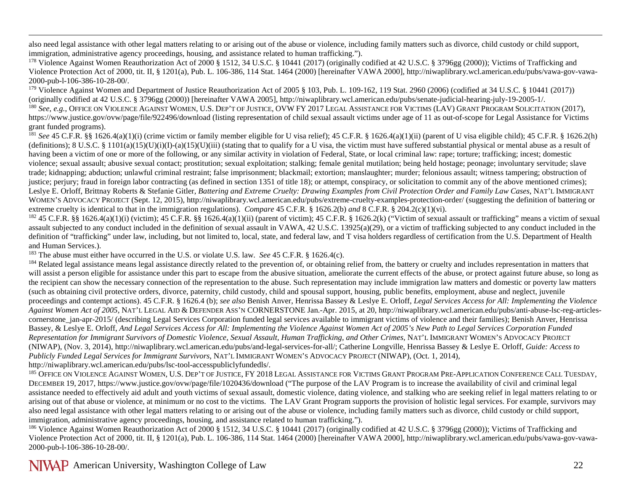<span id="page-21-1"></span><span id="page-21-0"></span> also need legal assistance with other legal matters relating to or arising out of the abuse or violence, including family matters such as divorce, child custody or child support, immigration, administrative agency proceedings, housing, and assistance related to human trafficking.").

<sup>178</sup> Violence Against Women Reauthorization Act of 2000 § 1512, 34 U.S.C. § 10441 (2017) (originally codified at 42 U.S.C. § 3796gg (2000)); Victims of Trafficking and Violence Protection Act of 2000, tit. II, § 1201(a), Pub. L. 106-386, 114 Stat. 1464 (2000) [hereinafter VAWA 2000], http://niwaplibrary.wcl.american.edu/pubs/vawa-gov-vawa-2000-pub-l-106-386-10-28-00/.

<sup>179</sup> Violence Against Women and Department of Justice Reauthorization Act of 2005 § 103, Pub. L. 109-162, 119 Stat. 2960 (2006) (codified at 34 U.S.C. § 10441 (2017)) (originally codified at 42 U.S.C. § 3796gg (2000)) [hereinafter VAWA 2005], http://niwaplibrary.wcl.american.edu/pubs/senate-judicial-hearing-july-19-2005-1/. 180 *See, e.g.*, OFFICE ON VIOLENCE AGAINST WOMEN, U.S. DEP'T OF JUSTICE, OVW FY 2017 LEGAL ASSISTANCE FOR VICTIMS (LAV) GRANT PROGRAM SOLICITATION (2017), https://www.justice.gov/ovw/page/file/922496/download (listing representation of child sexual assault victims under age of 11 as out-of-scope for Legal Assistance for Victims grant funded programs).

<sup>181</sup> See 45 C.F.R. §§ 1626.4(a)(1)(i) (crime victim or family member eligible for U visa relief); 45 C.F.R. § 1626.4(a)(1)(ii) (parent of U visa eligible child); 45 C.F.R. § 1626.2(h) (definitions);  $8 \text{ U.S.C.} \& 1101(a)(15)(U)(i)(I) - (a)(15)(U)(iii)$  (stating that to qualify for a U visa, the victim must have suffered substantial physical or mental abuse as a result of having been a victim of one or more of the following, or any similar activity in violation of Federal, State, or local criminal law: rape; torture; trafficking; incest; domestic violence; sexual assault; abusive sexual contact; prostitution; sexual exploitation; stalking; female genital mutilation; being held hostage; peonage; involuntary servitude; slave trade; kidnapping; abduction; unlawful criminal restraint; false imprisonment; blackmail; extortion; manslaughter; murder; felonious assault; witness tampering; obstruction of justice; perjury; fraud in foreign labor contracting (as defined in section 1351 of title 18); or attempt, conspiracy, or solicitation to commit any of the above mentioned crimes); Leslye E. Orloff, Brittnay Roberts & Stefanie Gitler, *Battering and Extreme Cruelty: Drawing Examples from Civil Protection Order and Family Law Cases*, NAT'L IMMIGRANT WOMEN'S ADVOCACY PROJECT (Sept. 12, 2015), http://niwaplibrary.wcl.american.edu/pubs/extreme-cruelty-examples-protection-order/ (suggesting the definition of battering or extreme cruelty is identical to that in the immigration regulations). *Compare* 45 C.F.R. § 1626.2(b) *and* 8 C.F.R. § 204.2(c)(1)(vi).

 $^{182}$  45 C.F.R. §§ 1626.4(a)(1)(i) (victim); 45 C.F.R. §§ 1626.4(a)(1)(ii) (parent of victim); 45 C.F.R. § 1626.2(k) ("Victim of sexual assault or trafficking" means a victim of sexual assault subjected to any conduct included in the definition of sexual assault in VAWA, 42 U.S.C. 13925(a)(29), or a victim of trafficking subjected to any conduct included in the definition of "trafficking" under law, including, but not limited to, local, state, and federal law, and T visa holders regardless of certification from the U.S. Department of Health and Human Services.).

<sup>183</sup> The abuse must either have occurred in the U.S. or violate U.S. law. *See* 45 C.F.R. § 1626.4(c).

<sup>184</sup> Related legal assistance means legal assistance directly related to the prevention of, or obtaining relief from, the battery or cruelty and includes representation in matters that will assist a person eligible for assistance under this part to escape from the abusive situation, ameliorate the current effects of the abuse, or protect against future abuse, so long as the recipient can show the necessary connection of the representation to the abuse. Such representation may include immigration law matters and domestic or poverty law matters (such as obtaining civil protective orders, divorce, paternity, child custody, child and spousal support, housing, public benefits, employment, abuse and neglect, juvenile proceedings and contempt actions). 45 C.F.R. § 1626.4 (b); *see also* Benish Anver, Henrissa Bassey & Leslye E. Orloff, *Legal Services Access for All: Implementing the Violence Against Women Act of 2005,* NAT'L LEGAL AID & DEFENDER ASS'N CORNERSTONE Jan.-Apr. 2015, at 20, http://niwaplibrary.wcl.american.edu/pubs/anti-abuse-lsc-reg-articlescornerstone jan-apr-2015/ (describing Legal Services Corporation funded legal services available to immigrant victims of violence and their families); Benish Anver, Henrissa Bassey, & Leslye E. Orloff, *And Legal Services Access for All: Implementing the Violence Against Women Act of 2005's New Path to Legal Services Corporation Funded*  Representation for Immigrant Survivors of Domestic Violence, Sexual Assault, Human Trafficking, and Other Crimes, NAT'L IMMIGRANT WOMEN'S ADVOCACY PROJECT (NIWAP), (Nov. 3, 2014), http://niwaplibrary.wcl.american.edu/pubs/and-legal-services-for-all/; Catherine Longville, Henrissa Bassey & Leslye E. Orloff, *Guide: Access to Publicly Funded Legal Services for Immigrant Survivors*, NAT'L IMMIGRANT WOMEN'S ADVOCACY PROJECT (NIWAP), (Oct. 1, 2014)*,*  http://niwaplibrary.wcl.american.edu/pubs/lsc-tool-accesspubliclyfundedls/.

<sup>185</sup> OFFICE ON VIOLENCE AGAINST WOMEN, U.S. DEP'T OF JUSTICE, FY 2018 LEGAL ASSISTANCE FOR VICTIMS GRANT PROGRAM PRE-APPLICATION CONFERENCE CALL TUESDAY, DECEMBER 19, 2017, https://www.justice.gov/ovw/page/file/1020436/download ("The purpose of the LAV Program is to increase the availability of civil and criminal legal assistance needed to effectively aid adult and youth victims of sexual assault, domestic violence, dating violence, and stalking who are seeking relief in legal matters relating to or arising out of that abuse or violence, at minimum or no cost to the victims. The LAV Grant Program supports the provision of holistic legal services. For example, survivors may also need legal assistance with other legal matters relating to or arising out of the abuse or violence, including family matters such as divorce, child custody or child support, immigration, administrative agency proceedings, housing, and assistance related to human trafficking.").

<sup>186</sup> Violence Against Women Reauthorization Act of 2000 § 1512, 34 U.S.C. § 10441 (2017) (originally codified at 42 U.S.C. § 3796gg (2000)); Victims of Trafficking and Violence Protection Act of 2000, tit. II, § 1201(a), Pub. L. 106-386, 114 Stat. 1464 (2000) [hereinafter VAWA 2000], http://niwaplibrary.wcl.american.edu/pubs/vawa-gov-vawa-2000-pub-l-106-386-10-28-00/.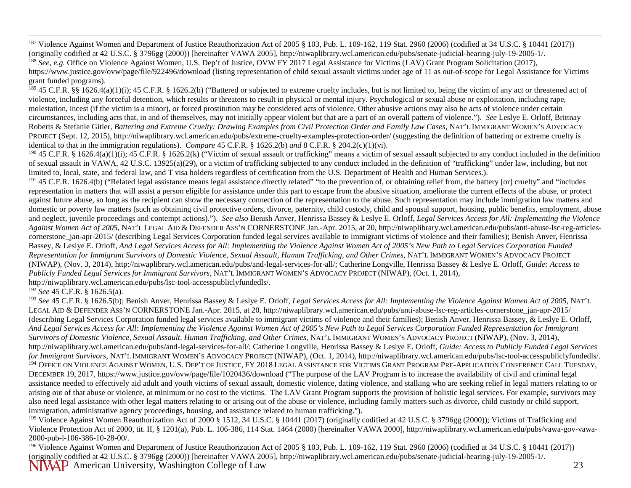<span id="page-22-1"></span><span id="page-22-0"></span><sup>187</sup> Violence Against Women and Department of Justice Reauthorization Act of 2005 § 103, Pub. L. 109-162, 119 Stat. 2960 (2006) (codified at 34 U.S.C. § 10441 (2017)) (originally codified at 42 U.S.C. § 3796gg (2000)) [hereinafter VAWA 2005], http://niwaplibrary.wcl.american.edu/pubs/senate-judicial-hearing-july-19-2005-1/.

<sup>188</sup> See, e.g. Office on Violence Against Women, U.S. Dep't of Justice, OVW FY 2017 Legal Assistance for Victims (LAV) Grant Program Solicitation (2017), https://www.justice.gov/ovw/page/file/922496/download (listing representation of child sexual assault victims under age of 11 as out-of-scope for Legal Assistance for Victims grant funded programs).

 $^{189}$  45 C.F.R. §§ 1626.4(a)(1)(i); 45 C.F.R. § 1626.2(b) ("Battered or subjected to extreme cruelty includes, but is not limited to, being the victim of any act or threatened act of violence, including any forceful detention, which results or threatens to result in physical or mental injury. Psychological or sexual abuse or exploitation, including rape, molestation, incest (if the victim is a minor), or forced prostitution may be considered acts of violence. Other abusive actions may also be acts of violence under certain circumstances, including acts that, in and of themselves, may not initially appear violent but that are a part of an overall pattern of violence."). *See* Leslye E. Orloff, Brittnay Roberts & Stefanie Gitler, *Battering and Extreme Cruelty: Drawing Examples from Civil Protection Order and Family Law Cases*, NAT'L IMMIGRANT WOMEN'S ADVOCACY PROJECT (Sept. 12, 2015), http://niwaplibrary.wcl.american.edu/pubs/extreme-cruelty-examples-protection-order/ (suggesting the definition of battering or extreme cruelty is identical to that in the immigration regulations). *Compare* 45 C.F.R. § 1626.2(b) *and* 8 C.F.R. § 204.2(c)(1)(vi).

 $190$  45 C.F.R. § 1626.4(a)(1)(i); 45 C.F.R. § 1626.2(k) ("Victim of sexual assault or trafficking" means a victim of sexual assault subjected to any conduct included in the definition of sexual assault in VAWA, 42 U.S.C. 13925(a)(29), or a victim of trafficking subjected to any conduct included in the definition of "trafficking" under law, including, but not limited to, local, state, and federal law, and T visa holders regardless of certification from the U.S. Department of Health and Human Services.).

<sup>191</sup> 45 C.F.R. 1626.4(b) ("Related legal assistance means legal assistance directly related" "to the prevention of, or obtaining relief from, the battery [or] cruelty" and "includes representation in matters that will assist a person eligible for assistance under this part to escape from the abusive situation, ameliorate the current effects of the abuse, or protect against future abuse, so long as the recipient can show the necessary connection of the representation to the abuse. Such representation may include immigration law matters and domestic or poverty law matters (such as obtaining civil protective orders, divorce, paternity, child custody, child and spousal support, housing, public benefits, employment, abuse and neglect, juvenile proceedings and contempt actions)."). *See also* Benish Anver, Henrissa Bassey & Leslye E. Orloff, *Legal Services Access for All: Implementing the Violence Against Women Act of 2005,* NAT'L LEGAL AID & DEFENDER ASS'N CORNERSTONE Jan.-Apr. 2015, at 20, http://niwaplibrary.wcl.american.edu/pubs/anti-abuse-lsc-reg-articlescornerstone jan-apr-2015/ (describing Legal Services Corporation funded legal services available to immigrant victims of violence and their families); Benish Anver, Henrissa Bassey, & Leslye E. Orloff, *And Legal Services Access for All: Implementing the Violence Against Women Act of 2005's New Path to Legal Services Corporation Funded*  Representation for Immigrant Survivors of Domestic Violence, Sexual Assault, Human Trafficking, and Other Crimes, NAT'L IMMIGRANT WOMEN'S ADVOCACY PROJECT (NIWAP), (Nov. 3, 2014), http://niwaplibrary.wcl.american.edu/pubs/and-legal-services-for-all/; Catherine Longville, Henrissa Bassey & Leslye E. Orloff, *Guide: Access to Publicly Funded Legal Services for Immigrant Survivors*, NAT'L IMMIGRANT WOMEN'S ADVOCACY PROJECT (NIWAP), (Oct. 1, 2014)*,*  http://niwaplibrary.wcl.american.edu/pubs/lsc-tool-accesspubliclyfundedls/.

<sup>192</sup> *See* 45 C.F.R. § 1626.5(a).

<sup>193</sup> *See* 45 C.F.R. § 1626.5(b); Benish Anver, Henrissa Bassey & Leslye E. Orloff, *Legal Services Access for All: Implementing the Violence Against Women Act of 2005,* NAT'L LEGAL AID & DEFENDER ASS'N CORNERSTONE Jan.-Apr. 2015, at 20, http://niwaplibrary.wcl.american.edu/pubs/anti-abuse-lsc-reg-articles-cornerstone\_jan-apr-2015/ (describing Legal Services Corporation funded legal services available to immigrant victims of violence and their families); Benish Anver, Henrissa Bassey, & Leslye E. Orloff, *And Legal Services Access for All: Implementing the Violence Against Women Act of 2005's New Path to Legal Services Corporation Funded Representation for Immigrant Survivors of Domestic Violence, Sexual Assault, Human Trafficking, and Other Crimes, NAT'L IMMIGRANT WOMEN'S ADVOCACY PROJECT (NIWAP), (Nov. 3, 2014),* http://niwaplibrary.wcl.american.edu/pubs/and-legal-services-for-all/; Catherine Longville, Henrissa Bassey & Leslye E. Orloff, *Guide: Access to Publicly Funded Legal Services for Immigrant Survivors*, NAT'L IMMIGRANT WOMEN'S ADVOCACY PROJECT (NIWAP), (Oct. 1, 2014)*,* http://niwaplibrary.wcl.american.edu/pubs/lsc-tool-accesspubliclyfundedls/. <sup>194</sup> OFFICE ON VIOLENCE AGAINST WOMEN, U.S. DEP'T OF JUSTICE, FY 2018 LEGAL ASSISTANCE FOR VICTIMS GRANT PROGRAM PRE-APPLICATION CONFERENCE CALL TUESDAY, DECEMBER 19, 2017, https://www.justice.gov/ovw/page/file/1020436/download ("The purpose of the LAV Program is to increase the availability of civil and criminal legal assistance needed to effectively aid adult and youth victims of sexual assault, domestic violence, dating violence, and stalking who are seeking relief in legal matters relating to or arising out of that abuse or violence, at minimum or no cost to the victims. The LAV Grant Program supports the provision of holistic legal services. For example, survivors may also need legal assistance with other legal matters relating to or arising out of the abuse or violence, including family matters such as divorce, child custody or child support, immigration, administrative agency proceedings, housing, and assistance related to human trafficking.").

<sup>195</sup> Violence Against Women Reauthorization Act of 2000 § 1512, 34 U.S.C. § 10441 (2017) (originally codified at 42 U.S.C. § 3796gg (2000)); Victims of Trafficking and Violence Protection Act of 2000, tit. II, § 1201(a), Pub. L. 106-386, 114 Stat. 1464 (2000) [hereinafter VAWA 2000], http://niwaplibrary.wcl.american.edu/pubs/vawa-gov-vawa-2000-pub-l-106-386-10-28-00/.

NIVAP American University, Washington College of Law 23 <sup>196</sup> Violence Against Women and Department of Justice Reauthorization Act of 2005 § 103, Pub. L. 109-162, 119 Stat. 2960 (2006) (codified at 34 U.S.C. § 10441 (2017)) (originally codified at 42 U.S.C. § 3796gg (2000)) [hereinafter VAWA 2005], http://niwaplibrary.wcl.american.edu/pubs/senate-judicial-hearing-july-19-2005-1/.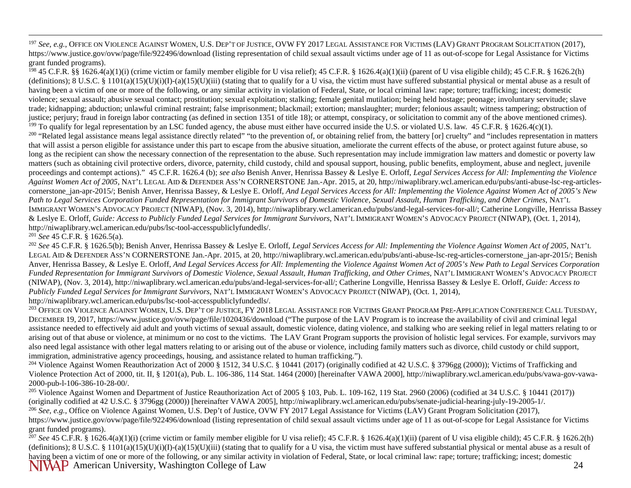<span id="page-23-4"></span><span id="page-23-3"></span><span id="page-23-2"></span><span id="page-23-1"></span><span id="page-23-0"></span><sup>197</sup> See, e.g., OFFICE ON VIOLENCE AGAINST WOMEN, U.S. DEP'T OF JUSTICE, OVW FY 2017 LEGAL ASSISTANCE FOR VICTIMS (LAV) GRANT PROGRAM SOLICITATION (2017), https://www.justice.gov/ovw/page/file/922496/download (listing representation of child sexual assault victims under age of 11 as out-of-scope for Legal Assistance for Victims grant funded programs).

<sup>198</sup> 45 C.F.R. §§ 1626.4(a)(1)(i) (crime victim or family member eligible for U visa relief); 45 C.F.R. § 1626.4(a)(1)(ii) (parent of U visa eligible child); 45 C.F.R. § 1626.2(h) (definitions);  $8 \text{ U.S.C.} \$   $1101(a)(15)(U)(i)(I) - (a)(15)(U)(iii)$  (stating that to qualify for a U visa, the victim must have suffered substantial physical or mental abuse as a result of having been a victim of one or more of the following, or any similar activity in violation of Federal, State, or local criminal law: rape; torture; trafficking; incest; domestic violence; sexual assault; abusive sexual contact; prostitution; sexual exploitation; stalking; female genital mutilation; being held hostage; peonage; involuntary servitude; slave trade; kidnapping; abduction; unlawful criminal restraint; false imprisonment; blackmail; extortion; manslaughter; murder; felonious assault; witness tampering; obstruction of justice; perjury; fraud in foreign labor contracting (as defined in section 1351 of title 18); or attempt, conspiracy, or solicitation to commit any of the above mentioned crimes). <sup>199</sup> To qualify for legal representation by an LSC funded agency, the abuse must either have occurred inside the U.S. or violated U.S. law*.* 45 C.F.R. § 1626.4(c)(1). <sup>200</sup> "Related legal assistance means legal assistance directly related" "to the prevention of, or obtaining relief from, the battery [or] cruelty" and "includes representation in matters that will assist a person eligible for assistance under this part to escape from the abusive situation, ameliorate the current effects of the abuse, or protect against future abuse, so long as the recipient can show the necessary connection of the representation to the abuse. Such representation may include immigration law matters and domestic or poverty law matters (such as obtaining civil protective orders, divorce, paternity, child custody, child and spousal support, housing, public benefits, employment, abuse and neglect, juvenile proceedings and contempt actions)." 45 C.F.R. 1626.4 (b); *see also* Benish Anver, Henrissa Bassey & Leslye E. Orloff, *Legal Services Access for All: Implementing the Violence Against Women Act of 2005,* NAT'L LEGAL AID & DEFENDER ASS'N CORNERSTONE Jan.-Apr. 2015, at 20, http://niwaplibrary.wcl.american.edu/pubs/anti-abuse-lsc-reg-articlescornerstone jan-apr-2015/; Benish Anver, Henrissa Bassey, & Leslye E. Orloff, *And Legal Services Access for All: Implementing the Violence Against Women Act of 2005's New* Path to Legal Services Corporation Funded Representation for Immigrant Survivors of Domestic Violence, Sexual Assault, Human Trafficking, and Other Crimes, NAT'L IMMIGRANT WOMEN'S ADVOCACY PROJECT (NIWAP), (Nov. 3, 2014), http://niwaplibrary.wcl.american.edu/pubs/and-legal-services-for-all/; Catherine Longville, Henrissa Bassey & Leslye E. Orloff, *Guide: Access to Publicly Funded Legal Services for Immigrant Survivors*, NAT'L IMMIGRANT WOMEN'S ADVOCACY PROJECT (NIWAP), (Oct. 1, 2014)*,*  http://niwaplibrary.wcl.american.edu/pubs/lsc-tool-accesspubliclyfundedls/.

<sup>201</sup> *See* 45 C.F.R. § 1626.5(a).

<sup>202</sup> *See* 45 C.F.R. § 1626.5(b); Benish Anver, Henrissa Bassey & Leslye E. Orloff, *Legal Services Access for All: Implementing the Violence Against Women Act of 2005,* NAT'L LEGAL AID & DEFENDER ASS'N CORNERSTONE Jan.-Apr. 2015, at 20, http://niwaplibrary.wcl.american.edu/pubs/anti-abuse-lsc-reg-articles-cornerstone\_jan-apr-2015/; Benish Anver, Henrissa Bassey, & Leslye E. Orloff, *And Legal Services Access for All: Implementing the Violence Against Women Act of 2005's New Path to Legal Services Corporation*  Funded Representation for Immigrant Survivors of Domestic Violence, Sexual Assault, Human Trafficking, and Other Crimes, NAT'L IMMIGRANT WOMEN'S ADVOCACY PROJECT (NIWAP), (Nov. 3, 2014), http://niwaplibrary.wcl.american.edu/pubs/and-legal-services-for-all/; Catherine Longville, Henrissa Bassey & Leslye E. Orloff, *Guide: Access to Publicly Funded Legal Services for Immigrant Survivors*, NAT'L IMMIGRANT WOMEN'S ADVOCACY PROJECT (NIWAP), (Oct. 1, 2014)*,*  http://niwaplibrary.wcl.american.edu/pubs/lsc-tool-accesspubliclyfundedls/.

<sup>203</sup> OFFICE ON VIOLENCE AGAINST WOMEN, U.S. DEP'T OF JUSTICE, FY 2018 LEGAL ASSISTANCE FOR VICTIMS GRANT PROGRAM PRE-APPLICATION CONFERENCE CALL TUESDAY, DECEMBER 19, 2017, https://www.justice.gov/ovw/page/file/1020436/download ("The purpose of the LAV Program is to increase the availability of civil and criminal legal assistance needed to effectively aid adult and youth victims of sexual assault, domestic violence, dating violence, and stalking who are seeking relief in legal matters relating to or arising out of that abuse or violence, at minimum or no cost to the victims. The LAV Grant Program supports the provision of holistic legal services. For example, survivors may also need legal assistance with other legal matters relating to or arising out of the abuse or violence, including family matters such as divorce, child custody or child support, immigration, administrative agency proceedings, housing, and assistance related to human trafficking.").

<sup>204</sup> Violence Against Women Reauthorization Act of 2000 § 1512, 34 U.S.C. § 10441 (2017) (originally codified at 42 U.S.C. § 3796gg (2000)); Victims of Trafficking and Violence Protection Act of 2000, tit. II, § 1201(a), Pub. L. 106-386, 114 Stat. 1464 (2000) [hereinafter VAWA 2000], http://niwaplibrary.wcl.american.edu/pubs/vawa-gov-vawa-2000-pub-l-106-386-10-28-00/.

<sup>205</sup> Violence Against Women and Department of Justice Reauthorization Act of 2005 § 103, Pub. L. 109-162, 119 Stat. 2960 (2006) (codified at 34 U.S.C. § 10441 (2017)) (originally codified at 42 U.S.C. § 3796gg (2000)) [hereinafter VAWA 2005], http://niwaplibrary.wcl.american.edu/pubs/senate-judicial-hearing-july-19-2005-1/.

<sup>206</sup> *See, e.g.*, Office on Violence Against Women, U.S. Dep't of Justice, OVW FY 2017 Legal Assistance for Victims (LAV) Grant Program Solicitation (2017), https://www.justice.gov/ovw/page/file/922496/download (listing representation of child sexual assault victims under age of 11 as out-of-scope for Legal Assistance for Victims grant funded programs).

NIVAP American University, Washington College of Law 24 <sup>207</sup> See 45 C.F.R. § 1626.4(a)(1)(i) (crime victim or family member eligible for U visa relief); 45 C.F.R. § 1626.4(a)(1)(ii) (parent of U visa eligible child); 45 C.F.R. § 1626.2(h) (definitions);  $8 \text{ U.S.C.} \& 1101(a)(15)(U)(i)(I) - (a)(15)(U)(iii)$  (stating that to qualify for a U visa, the victim must have suffered substantial physical or mental abuse as a result of having been a victim of one or more of the following, or any similar activity in violation of Federal, State, or local criminal law: rape; torture; trafficking; incest; domestic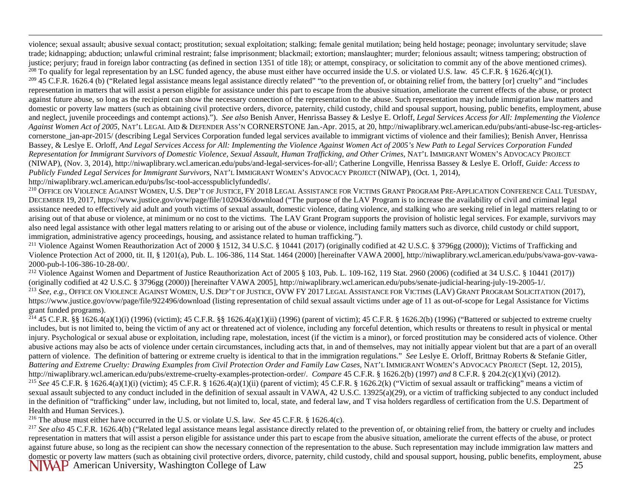<span id="page-24-6"></span><span id="page-24-5"></span><span id="page-24-4"></span><span id="page-24-3"></span><span id="page-24-2"></span><span id="page-24-1"></span><span id="page-24-0"></span> violence; sexual assault; abusive sexual contact; prostitution; sexual exploitation; stalking; female genital mutilation; being held hostage; peonage; involuntary servitude; slave trade; kidnapping; abduction; unlawful criminal restraint; false imprisonment; blackmail; extortion; manslaughter; murder; felonious assault; witness tampering; obstruction of justice; perjury; fraud in foreign labor contracting (as defined in section 1351 of title 18); or attempt, conspiracy, or solicitation to commit any of the above mentioned crimes).<br><sup>208</sup> To qualify for legal representation

 $209$  45 C.F.R. 1626.4 (b) ("Related legal assistance means legal assistance directly related" "to the prevention of, or obtaining relief from, the battery [or] cruelty" and "includes representation in matters that will assist a person eligible for assistance under this part to escape from the abusive situation, ameliorate the current effects of the abuse, or protect against future abuse, so long as the recipient can show the necessary connection of the representation to the abuse. Such representation may include immigration law matters and domestic or poverty law matters (such as obtaining civil protective orders, divorce, paternity, child custody, child and spousal support, housing, public benefits, employment, abuse and neglect, juvenile proceedings and contempt actions)."). *See also* Benish Anver, Henrissa Bassey & Leslye E. Orloff, *Legal Services Access for All: Implementing the Violence Against Women Act of 2005,* NAT'L LEGAL AID & DEFENDER ASS'N CORNERSTONE Jan.-Apr. 2015, at 20, http://niwaplibrary.wcl.american.edu/pubs/anti-abuse-lsc-reg-articlescornerstone jan-apr-2015/ (describing Legal Services Corporation funded legal services available to immigrant victims of violence and their families); Benish Anver, Henrissa Bassey, & Leslye E. Orloff, *And Legal Services Access for All: Implementing the Violence Against Women Act of 2005's New Path to Legal Services Corporation Funded*  Representation for Immigrant Survivors of Domestic Violence, Sexual Assault, Human Trafficking, and Other Crimes, NAT'L IMMIGRANT WOMEN'S ADVOCACY PROJECT (NIWAP), (Nov. 3, 2014), http://niwaplibrary.wcl.american.edu/pubs/and-legal-services-for-all/; Catherine Longville, Henrissa Bassey & Leslye E. Orloff, *Guide: Access to Publicly Funded Legal Services for Immigrant Survivors*, NAT'L IMMIGRANT WOMEN'S ADVOCACY PROJECT (NIWAP), (Oct. 1, 2014)*,*  http://niwaplibrary.wcl.american.edu/pubs/lsc-tool-accesspubliclyfundedls/.

<sup>210</sup> OFFICE ON VIOLENCE AGAINST WOMEN, U.S. DEP'T OF JUSTICE, FY 2018 LEGAL ASSISTANCE FOR VICTIMS GRANT PROGRAM PRE-APPLICATION CONFERENCE CALL TUESDAY, DECEMBER 19, 2017, https://www.justice.gov/ovw/page/file/1020436/download ("The purpose of the LAV Program is to increase the availability of civil and criminal legal assistance needed to effectively aid adult and youth victims of sexual assault, domestic violence, dating violence, and stalking who are seeking relief in legal matters relating to or arising out of that abuse or violence, at minimum or no cost to the victims. The LAV Grant Program supports the provision of holistic legal services. For example, survivors may also need legal assistance with other legal matters relating to or arising out of the abuse or violence, including family matters such as divorce, child custody or child support, immigration, administrative agency proceedings, housing, and assistance related to human trafficking.").

<sup>211</sup> Violence Against Women Reauthorization Act of 2000 § 1512, 34 U.S.C. § 10441 (2017) (originally codified at 42 U.S.C. § 3796gg (2000)); Victims of Trafficking and Violence Protection Act of 2000, tit. II, § 1201(a), Pub. L. 106-386, 114 Stat. 1464 (2000) [hereinafter VAWA 2000], http://niwaplibrary.wcl.american.edu/pubs/vawa-gov-vawa-2000-pub-l-106-386-10-28-00/.

<sup>212</sup> Violence Against Women and Department of Justice Reauthorization Act of 2005 § 103, Pub. L. 109-162, 119 Stat. 2960 (2006) (codified at 34 U.S.C. § 10441 (2017)) (originally codified at 42 U.S.C. § 3796gg (2000)) [hereinafter VAWA 2005], http://niwaplibrary.wcl.american.edu/pubs/senate-judicial-hearing-july-19-2005-1/. <sup>213</sup> *See, e.g.*, OFFICE ON VIOLENCE AGAINST WOMEN, U.S. DEP'T OF JUSTICE, OVW FY 2017 LEGAL ASSISTANCE FOR VICTIMS (LAV) GRANT PROGRAM SOLICITATION (2017), https://www.justice.gov/ovw/page/file/922496/download (listing representation of child sexual assault victims under age of 11 as out-of-scope for Legal Assistance for Victims grant funded programs).

<sup>214</sup> 45 C.F.R. §§ 1626.4(a)(1)(i) (1996) (victim); 45 C.F.R. §§ 1626.4(a)(1)(ii) (1996) (parent of victim); 45 C.F.R. § 1626.2(b) (1996) ("Battered or subjected to extreme cruelty includes, but is not limited to, being the victim of any act or threatened act of violence, including any forceful detention, which results or threatens to result in physical or mental injury. Psychological or sexual abuse or exploitation, including rape, molestation, incest (if the victim is a minor), or forced prostitution may be considered acts of violence. Other abusive actions may also be acts of violence under certain circumstances, including acts that, in and of themselves, may not initially appear violent but that are a part of an overall pattern of violence. The definition of battering or extreme cruelty is identical to that in the immigration regulations." *See* Leslye E. Orloff, Brittnay Roberts & Stefanie Gitler, *Battering and Extreme Cruelty: Drawing Examples from Civil Protection Order and Family Law Cases*, NAT'L IMMIGRANT WOMEN'S ADVOCACY PROJECT (Sept. 12, 2015), http://niwaplibrary.wcl.american.edu/pubs/extreme-cruelty-examples-protection-order/. *Compare* 45 C.F.R. § 1626.2(b) (1997) *and* 8 C.F.R. § 204.2(c)(1)(vi) (2012). <sup>215</sup> See 45 C.F.R. § 1626.4(a)(1)(i) (victim); 45 C.F.R. § 1626.4(a)(1)(ii) (parent of victim); 45 C.F.R. § 1626.2(k) ("Victim of sexual assault or trafficking" means a victim of sexual assault subjected to any conduct included in the definition of sexual assault in VAWA, 42 U.S.C. 13925(a)(29), or a victim of trafficking subjected to any conduct included in the definition of "trafficking" under law, including, but not limited to, local, state, and federal law, and T visa holders regardless of certification from the U.S. Department of Health and Human Services.).

<sup>216</sup> The abuse must either have occurred in the U.S. or violate U.S. law. *See* 45 C.F.R. § 1626.4(c).

NIVAP American University, Washington College of Law 25 <sup>217</sup> See also 45 C.F.R. 1626.4(b) ("Related legal assistance means legal assistance directly related to the prevention of, or obtaining relief from, the battery or cruelty and includes representation in matters that will assist a person eligible for assistance under this part to escape from the abusive situation, ameliorate the current effects of the abuse, or protect against future abuse, so long as the recipient can show the necessary connection of the representation to the abuse. Such representation may include immigration law matters and domestic or poverty law matters (such as obtaining civil protective orders, divorce, paternity, child custody, child and spousal support, housing, public benefits, employment, abuse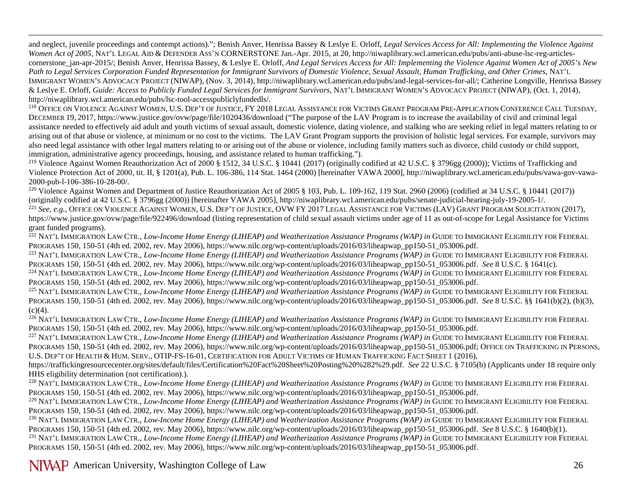<span id="page-25-0"></span> and neglect, juvenile proceedings and contempt actions)."; Benish Anver, Henrissa Bassey & Leslye E. Orloff, *Legal Services Access for All: Implementing the Violence Against Women Act of 2005,* NAT'L LEGAL AID & DEFENDER ASS'N CORNERSTONE Jan.-Apr. 2015, at 20, http://niwaplibrary.wcl.american.edu/pubs/anti-abuse-lsc-reg-articlescornerstone jan-apr-2015/; Benish Anver, Henrissa Bassey, & Leslye E. Orloff, *And Legal Services Access for All: Implementing the Violence Against Women Act of 2005's New* Path to Legal Services Corporation Funded Representation for Immigrant Survivors of Domestic Violence, Sexual Assault, Human Trafficking, and Other Crimes, NAT'L IMMIGRANT WOMEN'S ADVOCACY PROJECT (NIWAP), (Nov. 3, 2014), http://niwaplibrary.wcl.american.edu/pubs/and-legal-services-for-all/; Catherine Longville, Henrissa Bassey & Leslye E. Orloff, *Guide: Access to Publicly Funded Legal Services for Immigrant Survivors*, NAT'L IMMIGRANT WOMEN'S ADVOCACY PROJECT (NIWAP), (Oct. 1, 2014)*,*  http://niwaplibrary.wcl.american.edu/pubs/lsc-tool-accesspubliclyfundedls/.

<sup>218</sup> OFFICE ON VIOLENCE AGAINST WOMEN, U.S. DEP'T OF JUSTICE, FY 2018 LEGAL ASSISTANCE FOR VICTIMS GRANT PROGRAM PRE-APPLICATION CONFERENCE CALL TUESDAY, DECEMBER 19, 2017, https://www.justice.gov/ovw/page/file/1020436/download ("The purpose of the LAV Program is to increase the availability of civil and criminal legal assistance needed to effectively aid adult and youth victims of sexual assault, domestic violence, dating violence, and stalking who are seeking relief in legal matters relating to or arising out of that abuse or violence, at minimum or no cost to the victims. The LAV Grant Program supports the provision of holistic legal services. For example, survivors may also need legal assistance with other legal matters relating to or arising out of the abuse or violence, including family matters such as divorce, child custody or child support, immigration, administrative agency proceedings, housing, and assistance related to human trafficking.").

<sup>219</sup> Violence Against Women Reauthorization Act of 2000 § 1512, 34 U.S.C. § 10441 (2017) (originally codified at 42 U.S.C. § 3796gg (2000)); Victims of Trafficking and Violence Protection Act of 2000, tit. II, § 1201(a), Pub. L. 106-386, 114 Stat. 1464 (2000) [hereinafter VAWA 2000], http://niwaplibrary.wcl.american.edu/pubs/vawa-gov-vawa-2000-pub-l-106-386-10-28-00/.

<sup>220</sup> Violence Against Women and Department of Justice Reauthorization Act of 2005 § 103, Pub. L. 109-162, 119 Stat. 2960 (2006) (codified at 34 U.S.C. § 10441 (2017)) (originally codified at 42 U.S.C. § 3796gg (2000)) [hereinafter VAWA 2005], http://niwaplibrary.wcl.american.edu/pubs/senate-judicial-hearing-july-19-2005-1/.

<sup>221</sup> See, e.g., OFFICE ON VIOLENCE AGAINST WOMEN, U.S. DEP'T OF JUSTICE, OVW FY 2017 LEGAL ASSISTANCE FOR VICTIMS (LAV) GRANT PROGRAM SOLICITATION (2017), https://www.justice.gov/ovw/page/file/922496/download (listing representation of child sexual assault victims under age of 11 as out-of-scope for Legal Assistance for Victims grant funded programs).

<sup>222</sup> NAT'L IMMIGRATION LAW CTR., *Low-Income Home Energy (LIHEAP) and Weatherization Assistance Programs (WAP) in GUIDE TO IMMIGRANT ELIGIBILITY FOR FEDERAL* PROGRAMS 150, 150-51 (4th ed. 2002, rev. May 2006), https://www.nilc.org/wp-content/uploads/2016/03/liheapwap\_pp150-51\_053006.pdf.

<sup>223</sup> NAT'L IMMIGRATION LAW CTR., *Low-Income Home Energy (LIHEAP) and Weatherization Assistance Programs (WAP) in GUIDE TO IMMIGRANT ELIGIBILITY FOR FEDERAL* PROGRAMS 150, 150-51 (4th ed. 2002, rev. May 2006), https://www.nilc.org/wp-content/uploads/2016/03/liheapwap\_pp150-51\_053006.pdf. *See* 8 U.S.C. § 1641(c).

<sup>224</sup> NAT'L IMMIGRATION LAW CTR., *Low-Income Home Energy (LIHEAP) and Weatherization Assistance Programs (WAP) in GUIDE TO IMMIGRANT ELIGIBILITY FOR FEDERAL* PROGRAMS 150, 150-51 (4th ed. 2002, rev. May 2006), https://www.nilc.org/wp-content/uploads/2016/03/liheapwap\_pp150-51\_053006.pdf.

<sup>225</sup> NAT'L IMMIGRATION LAW CTR., *Low-Income Home Energy (LIHEAP) and Weatherization Assistance Programs (WAP) in* GUIDE TO IMMIGRANT ELIGIBILITY FOR FEDERAL PROGRAMS 150, 150-51 (4th ed. 2002, rev. May 2006), https://www.nilc.org/wp-content/uploads/2016/03/liheapwap\_pp150-51\_053006.pdf. *See* 8 U.S.C. §§ 1641(b)(2), (b)(3),  $(c)(4)$ .

<sup>226</sup> NAT'L IMMIGRATION LAW CTR., *Low-Income Home Energy (LIHEAP) and Weatherization Assistance Programs (WAP) in GUIDE TO IMMIGRANT ELIGIBILITY FOR FEDERAL* PROGRAMS 150, 150-51 (4th ed. 2002, rev. May 2006), https://www.nilc.org/wp-content/uploads/2016/03/liheapwap\_pp150-51\_053006.pdf.

<sup>227</sup> NAT'L IMMIGRATION LAW CTR., *Low-Income Home Energy (LIHEAP) and Weatherization Assistance Programs (WAP) in GUIDE TO IMMIGRANT ELIGIBILITY FOR FEDERAL* PROGRAMS 150, 150-51 (4th ed. 2002, rev. May 2006), https://www.nilc.org/wp-content/uploads/2016/03/liheapwap\_pp150-51\_053006.pdf; OFFICE ON TRAFFICKING IN PERSONS, U.S. DEP'T OF HEALTH & HUM. SERV., OTIP-FS-16-01, CERTIFICATION FOR ADULT VICTIMS OF HUMAN TRAFFICKING FACT SHEET 1 (2016),

[https://traffickingresourcecenter.org/sites/default/files/Certification%20Fact%20Sheet%20Posting%20%282%29.pdf.](https://traffickingresourcecenter.org/sites/default/files/Certification%20Fact%20Sheet%20Posting%20%282%29.pdf) *See* 22 U.S.C. § 7105(b) (Applicants under 18 require only HHS eligibility determination (not certification).).

<sup>228</sup> NAT'L IMMIGRATION LAW CTR., *Low-Income Home Energy (LIHEAP) and Weatherization Assistance Programs (WAP) in GUIDE TO IMMIGRANT ELIGIBILITY FOR FEDERAL* PROGRAMS 150, 150-51 (4th ed. 2002, rev. May 2006), https://www.nilc.org/wp-content/uploads/2016/03/liheapwap\_pp150-51\_053006.pdf.

<sup>229</sup> NAT'L IMMIGRATION LAW CTR., *Low-Income Home Energy (LIHEAP) and Weatherization Assistance Programs (WAP) in GUIDE TO IMMIGRANT ELIGIBILITY FOR FEDERAL* PROGRAMS 150, 150-51 (4th ed. 2002, rev. May 2006), https://www.nilc.org/wp-content/uploads/2016/03/liheapwap\_pp150-51\_053006.pdf.

<sup>230</sup> NAT'L IMMIGRATION LAW CTR., *Low-Income Home Energy (LIHEAP) and Weatherization Assistance Programs (WAP) in GUIDE TO IMMIGRANT ELIGIBILITY FOR FEDERAL* PROGRAMS 150, 150-51 (4th ed. 2002, rev. May 2006), https://www.nilc.org/wp-content/uploads/2016/03/liheapwap\_pp150-51\_053006.pdf. *See* 8 U.S.C. § 1640(b)(1).

<sup>231</sup> NAT'L IMMIGRATION LAW CTR., *Low-Income Home Energy (LIHEAP) and Weatherization Assistance Programs (WAP) in GUIDE TO IMMIGRANT ELIGIBILITY FOR FEDERAL* PROGRAMS 150, 150-51 (4th ed. 2002, rev. May 2006), https://www.nilc.org/wp-content/uploads/2016/03/liheapwap\_pp150-51\_053006.pdf.